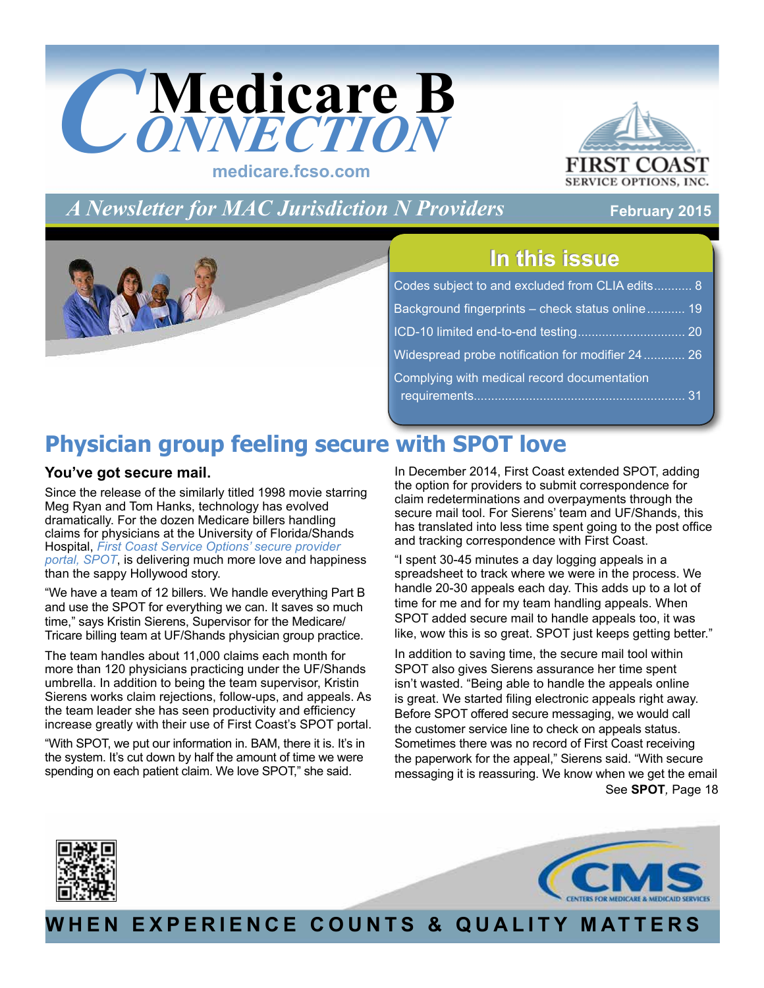

**FIRST C SERVICE OPTIONS, INC.** 

*A Newsletter for MAC Jurisdiction N Providers*

## **February 2015**

## **In this issue In this issue**

| Codes subject to and excluded from CLIA edits 8  |  |
|--------------------------------------------------|--|
| Background fingerprints - check status online 19 |  |
|                                                  |  |
| Widespread probe notification for modifier 24 26 |  |
| Complying with medical record documentation      |  |

# **Physician group feeling secure with SPOT love**

## **You've got secure mail.**

Since the release of the similarly titled 1998 movie starring Meg Ryan and Tom Hanks, technology has evolved dramatically. For the dozen Medicare billers handling claims for physicians at the University of Florida/Shands Hospital, *[First Coast Service Options' secure provider](http://medicare.fcso.com/Landing/256747.asp)  [portal, SPOT](http://medicare.fcso.com/Landing/256747.asp)*, is delivering much more love and happiness than the sappy Hollywood story.

"We have a team of 12 billers. We handle everything Part B and use the SPOT for everything we can. It saves so much time," says Kristin Sierens, Supervisor for the Medicare/ Tricare billing team at UF/Shands physician group practice.

The team handles about 11,000 claims each month for more than 120 physicians practicing under the UF/Shands umbrella. In addition to being the team supervisor, Kristin Sierens works claim rejections, follow-ups, and appeals. As the team leader she has seen productivity and efficiency increase greatly with their use of First Coast's SPOT portal.

"With SPOT, we put our information in. BAM, there it is. It's in the system. It's cut down by half the amount of time we were spending on each patient claim. We love SPOT," she said.

In December 2014, First Coast extended SPOT, adding the option for providers to submit correspondence for claim redeterminations and overpayments through the secure mail tool. For Sierens' team and UF/Shands, this has translated into less time spent going to the post office and tracking correspondence with First Coast.

"I spent 30-45 minutes a day logging appeals in a spreadsheet to track where we were in the process. We handle 20-30 appeals each day. This adds up to a lot of time for me and for my team handling appeals. When SPOT added secure mail to handle appeals too, it was like, wow this is so great. SPOT just keeps getting better."

See **SPOT***,* [Page 18](#page-17-0) In addition to saving time, the secure mail tool within SPOT also gives Sierens assurance her time spent isn't wasted. "Being able to handle the appeals online is great. We started filing electronic appeals right away. Before SPOT offered secure messaging, we would call the customer service line to check on appeals status. Sometimes there was no record of First Coast receiving the paperwork for the appeal," Sierens said. "With secure messaging it is reassuring. We know when we get the email





**WHEN EXPERIENCE COUNTS & QUALITY MATTERS**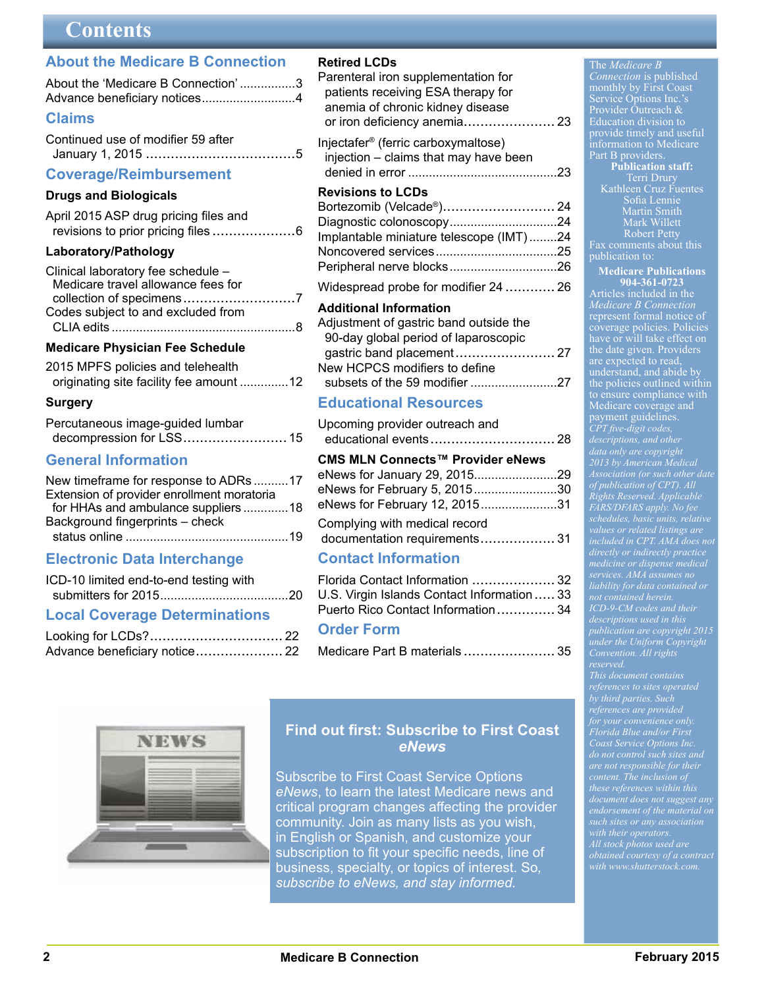## **Contents**

## <span id="page-1-0"></span>**[About the Medicare B Connection](#page-2-0)**

| About the 'Medicare B Connection'3 |  |
|------------------------------------|--|
|                                    |  |
| <b>Claims</b>                      |  |

| Continued use of modifier 59 after |  |
|------------------------------------|--|
|                                    |  |

### **[Coverage/Reimbursement](#page-5-0)**

#### **Drugs and Biologicals**

| April 2015 ASP drug pricing files and |  |
|---------------------------------------|--|
|                                       |  |

### **Laboratory/Pathology**

| Clinical laboratory fee schedule - |  |
|------------------------------------|--|
| Medicare travel allowance fees for |  |
|                                    |  |
| Codes subject to and excluded from |  |
|                                    |  |

## **[Medicare Physician Fee Schedule](#page-11-0)**

| 2015 MPFS policies and telehealth       |  |
|-----------------------------------------|--|
| originating site facility fee amount 12 |  |

### **Surgery**

| Percutaneous image-guided lumbar |  |
|----------------------------------|--|
| decompression for LSS 15         |  |

## **[General Information](#page-16-0)**

| New timeframe for response to ADRs 17      |  |
|--------------------------------------------|--|
| Extension of provider enrollment moratoria |  |
| for HHAs and ambulance suppliers 18        |  |
| Background fingerprints - check            |  |
|                                            |  |

## **[Electronic Data Interchange](#page-19-0)**

| ICD-10 limited end-to-end testing with |  |
|----------------------------------------|--|
|                                        |  |

## **Local Coverage Determinations**

| Advance beneficiary notice 22 |  |
|-------------------------------|--|

## **Retired LCDs**

| Parenteral iron supplementation for             |  |
|-------------------------------------------------|--|
| patients receiving ESA therapy for              |  |
| anemia of chronic kidney disease                |  |
|                                                 |  |
| Injectafer <sup>®</sup> (ferric carboxymaltose) |  |

 [injection – claims that may have been](#page-22-0)  denied in error ...........................................23

### **Revisions to LCDs**

| Bortezomib (Velcade®) 24                |  |
|-----------------------------------------|--|
| Diagnostic colonoscopy24                |  |
| Implantable miniature telescope (IMT)24 |  |
|                                         |  |
|                                         |  |
|                                         |  |

[Widespread probe for modifier 24](#page-25-0) ............ 26

### **Additional Information**

| Adjustment of gastric band outside the |
|----------------------------------------|
| 90-day global period of laparoscopic   |
|                                        |
| New HCPCS modifiers to define          |
|                                        |

## **[Educational Resources](#page-27-0)**

| Upcoming provider outreach and<br>educational events 28 |  |
|---------------------------------------------------------|--|
| CMS MLN Connects™ Provider eNews                        |  |
|                                                         |  |
| eNews for February 5, 201530                            |  |
| eNews for February 12, 201531                           |  |
| Complying with medical record                           |  |
| documentation requirements 31                           |  |

## **[Contact Information](#page-31-0)**

| Florida Contact Information  32            |  |
|--------------------------------------------|--|
| U.S. Virgin Islands Contact Information 33 |  |
| Puerto Rico Contact Information 34         |  |

## **Order Form**

| Medicare Part B materials  35 |  |
|-------------------------------|--|
|-------------------------------|--|



## **Find out first: Subscribe to First Coast**  *eNews*

[Subscribe](http://medicare.fcso.com/Header/137525.asp) to First Coast Service Options *eNews*, to learn the latest Medicare news and critical program changes affecting the provider community. Join as many lists as you wish, in English or Spanish, and customize your subscription to fit your specific needs, line of business, specialty, or topics of interest. So*, [subscribe to eNews, and stay informed.](http://medicare.fcso.com/Header/137525.asp)*

 The *Medicare B Connection* is published monthly by First Coast Service Options Inc.'s Provider Outreach & Education division to provide timely and useful information to Medicare Part B providers **Publication staff:**

Terri Drury Kathleen Cruz Fuentes Sofia Lennie Martin Smith Mark Willett Robert Petty Fax comments about this publication to:

## **Medicare Publications**

**904-361-0723** Articles included in the *Medicare B Connection* represent formal notice of coverage policies. Policies have or will take effect on the date given. Providers are expected to read, understand, and abide by the policies outlined within to ensure compliance with Medicare coverage and payment guidelines. *CPT five-digit codes, data only are copyright 2013 by American Medical of publication of CPT). All Rights Reserved. Applicable FARS/DFARS apply. No fee schedules, basic units, relative values or related listings are included in CPT. AMA does not services. AMA assumes no liability for data contained or not contained herein. ICD-9-CM codes and their publication are copyright 2015 under the Uniform Copyright* 

*This document contains by third parties. Such for your convenience only. Florida Blue and/or First Coast Service Options Inc. are not responsible for their content. The inclusion of these references within this document does not suggest any endorsement of the material on*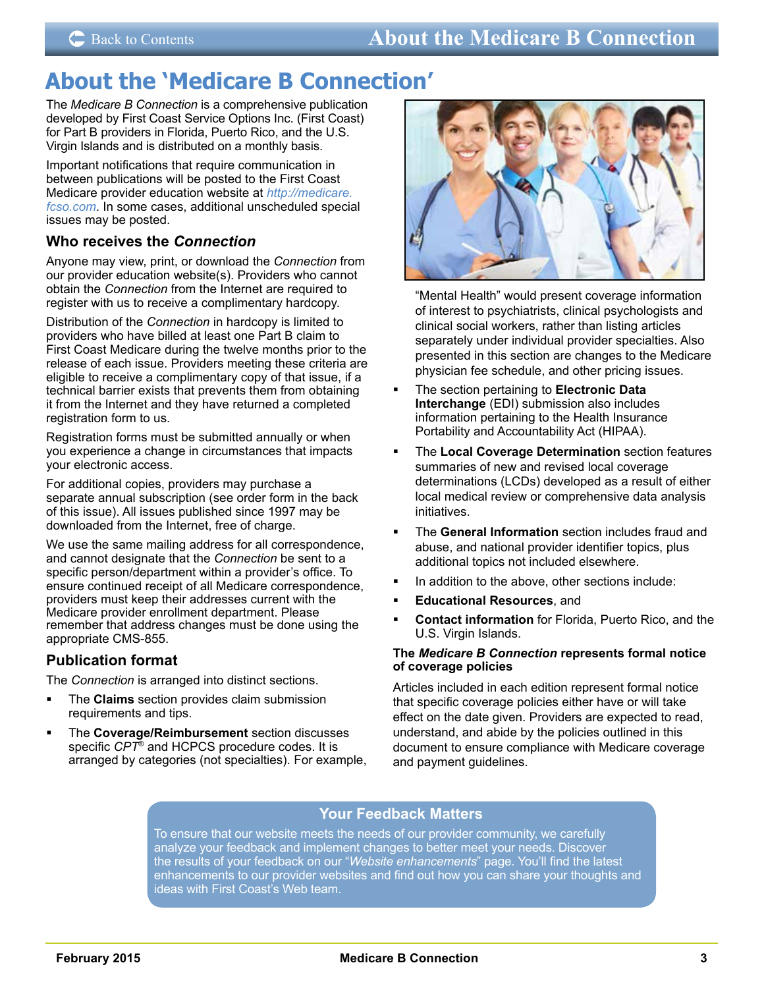## <span id="page-2-0"></span>**About the 'Medicare B Connection'**

The *Medicare B Connection* is a comprehensive publication developed by First Coast Service Options Inc. (First Coast) for Part B providers in Florida, Puerto Rico, and the U.S. Virgin Islands and is distributed on a monthly basis.

Important notifications that require communication in between publications will be posted to the First Coast Medicare provider education website at *[http://medicare.](http://medicare.fcso.com) [fcso.com](http://medicare.fcso.com)*. In some cases, additional unscheduled special issues may be posted.

## **Who receives the** *Connection*

Anyone may view, print, or download the *Connection* from our provider education website(s). Providers who cannot obtain the *Connection* from the Internet are required to register with us to receive a complimentary hardcopy.

Distribution of the *Connection* in hardcopy is limited to providers who have billed at least one Part B claim to First Coast Medicare during the twelve months prior to the release of each issue. Providers meeting these criteria are eligible to receive a complimentary copy of that issue, if a technical barrier exists that prevents them from obtaining it from the Internet and they have returned a completed registration form to us.

Registration forms must be submitted annually or when you experience a change in circumstances that impacts your electronic access.

For additional copies, providers may purchase a separate annual subscription (see order form in the back of this issue). All issues published since 1997 may be downloaded from the Internet, free of charge.

We use the same mailing address for all correspondence, and cannot designate that the *Connection* be sent to a specific person/department within a provider's office. To ensure continued receipt of all Medicare correspondence, providers must keep their addresses current with the Medicare provider enrollment department. Please remember that address changes must be done using the appropriate CMS-855.

## **Publication format**

The *Connection* is arranged into distinct sections.

- The **Claims** section provides claim submission requirements and tips.
- **FILE** Coverage/Reimbursement section discusses specific *CPT*® and HCPCS procedure codes. It is arranged by categories (not specialties). For example,



"Mental Health" would present coverage information of interest to psychiatrists, clinical psychologists and clinical social workers, rather than listing articles separately under individual provider specialties. Also presented in this section are changes to the Medicare physician fee schedule, and other pricing issues.

- The section pertaining to **Electronic Data Interchange** (EDI) submission also includes information pertaining to the Health Insurance Portability and Accountability Act (HIPAA).
- The **Local Coverage Determination** section features summaries of new and revised local coverage determinations (LCDs) developed as a result of either local medical review or comprehensive data analysis initiatives.
- The **General Information** section includes fraud and abuse, and national provider identifier topics, plus additional topics not included elsewhere.
- In addition to the above, other sections include:
- **Educational Resources**, and
- **Contact information** for Florida, Puerto Rico, and the U.S. Virgin Islands.

#### **The** *Medicare B Connection* **represents formal notice of coverage policies**

Articles included in each edition represent formal notice that specific coverage policies either have or will take effect on the date given. Providers are expected to read, understand, and abide by the policies outlined in this document to ensure compliance with Medicare coverage and payment guidelines.

## **Your Feedback Matters**

To ensure that our website meets the needs of our provider community, we carefully analyze your feedback and implement changes to better meet your needs. Discover the results of your feedback on our "*[Website enhancements](http://medicare.fcso.com/Feedback/201743.asp)*" page. You'll find the latest enhancements to our provider websites and find out how you can share your thoughts and ideas with First Coast's Web team.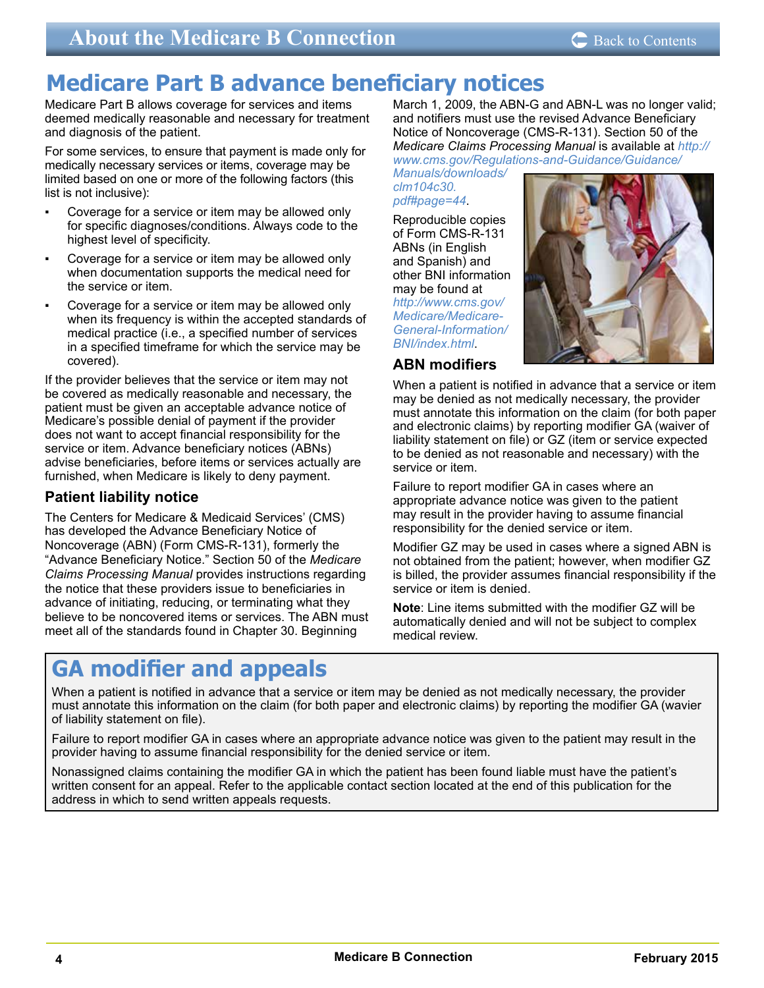# <span id="page-3-0"></span>**Medicare Part B advance beneficiary notices**

Medicare Part B allows coverage for services and items deemed medically reasonable and necessary for treatment and diagnosis of the patient.

For some services, to ensure that payment is made only for medically necessary services or items, coverage may be limited based on one or more of the following factors (this list is not inclusive):

- Coverage for a service or item may be allowed only for specific diagnoses/conditions. Always code to the highest level of specificity.
- Coverage for a service or item may be allowed only when documentation supports the medical need for the service or item.
- Coverage for a service or item may be allowed only when its frequency is within the accepted standards of medical practice (i.e., a specified number of services in a specified timeframe for which the service may be covered).

If the provider believes that the service or item may not be covered as medically reasonable and necessary, the patient must be given an acceptable advance notice of Medicare's possible denial of payment if the provider does not want to accept financial responsibility for the service or item. Advance beneficiary notices (ABNs) advise beneficiaries, before items or services actually are furnished, when Medicare is likely to deny payment.

## **Patient liability notice**

The Centers for Medicare & Medicaid Services' (CMS) has developed the Advance Beneficiary Notice of Noncoverage (ABN) (Form CMS-R-131), formerly the "Advance Beneficiary Notice." Section 50 of the *Medicare Claims Processing Manual* provides instructions regarding the notice that these providers issue to beneficiaries in advance of initiating, reducing, or terminating what they believe to be noncovered items or services. The ABN must meet all of the standards found in Chapter 30. Beginning

March 1, 2009, the ABN-G and ABN-L was no longer valid; and notifiers must use the revised Advance Beneficiary Notice of Noncoverage (CMS-R-131). Section 50 of the *Medicare Claims Processing Manual* is available at *[http://](http://www.cms.gov/Regulations-and-Guidance/Guidance/Manuals/downloads/clm104c30.pdf#page=44) [www.cms.gov/Regulations-and-Guidance/Guidance/](http://www.cms.gov/Regulations-and-Guidance/Guidance/Manuals/downloads/clm104c30.pdf#page=44)*

*[Manuals/downloads/](http://www.cms.gov/Regulations-and-Guidance/Guidance/Manuals/downloads/clm104c30.pdf#page=44) [clm104c30.](http://www.cms.gov/Regulations-and-Guidance/Guidance/Manuals/downloads/clm104c30.pdf#page=44) [pdf#page=44](http://www.cms.gov/Regulations-and-Guidance/Guidance/Manuals/downloads/clm104c30.pdf#page=44)*.

Reproducible copies of Form CMS-R-131 ABNs (in English and Spanish) and other BNI information may be found at *[http://www.cms.gov/](http://www.cms.gov/Medicare/Medicare-General-Information/BNI/index.html) [Medicare/Medicare-](http://www.cms.gov/Medicare/Medicare-General-Information/BNI/index.html)[General-Information/](http://www.cms.gov/Medicare/Medicare-General-Information/BNI/index.html) [BNI/index.html](http://www.cms.gov/Medicare/Medicare-General-Information/BNI/index.html)*.



## **ABN modifiers**

When a patient is notified in advance that a service or item may be denied as not medically necessary, the provider must annotate this information on the claim (for both paper and electronic claims) by reporting modifier GA (waiver of liability statement on file) or GZ (item or service expected to be denied as not reasonable and necessary) with the service or item.

Failure to report modifier GA in cases where an appropriate advance notice was given to the patient may result in the provider having to assume financial responsibility for the denied service or item.

Modifier GZ may be used in cases where a signed ABN is not obtained from the patient; however, when modifier GZ is billed, the provider assumes financial responsibility if the service or item is denied.

**Note**: Line items submitted with the modifier GZ will be automatically denied and will not be subject to complex medical review.

# **GA modifier and appeals**

When a patient is notified in advance that a service or item may be denied as not medically necessary, the provider must annotate this information on the claim (for both paper and electronic claims) by reporting the modifier GA (wavier of liability statement on file).

Failure to report modifier GA in cases where an appropriate advance notice was given to the patient may result in the provider having to assume financial responsibility for the denied service or item.

Nonassigned claims containing the modifier GA in which the patient has been found liable must have the patient's written consent for an appeal. Refer to the applicable contact section located at the end of this publication for the address in which to send written appeals requests.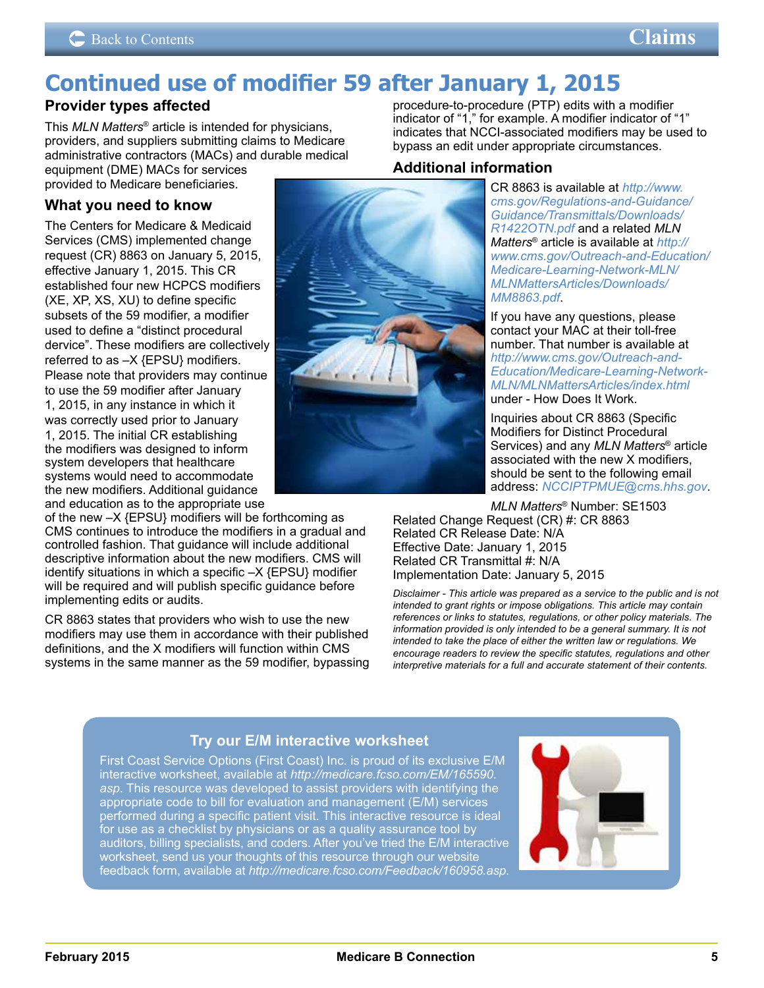# <span id="page-4-0"></span>**Continued use of modifier 59 after January 1, 2015**

## **Provider types affected**

This *MLN Matters*® article is intended for physicians, providers, and suppliers submitting claims to Medicare administrative contractors (MACs) and durable medical equipment (DME) MACs for services

provided to Medicare beneficiaries.

## **What you need to know**

The Centers for Medicare & Medicaid Services (CMS) implemented change request (CR) 8863 on January 5, 2015, effective January 1, 2015. This CR established four new HCPCS modifiers (XE, XP, XS, XU) to define specific subsets of the 59 modifier, a modifier used to define a "distinct procedural dervice". These modifiers are collectively referred to as –X {EPSU} modifiers. Please note that providers may continue to use the 59 modifier after January 1, 2015, in any instance in which it was correctly used prior to January 1, 2015. The initial CR establishing the modifiers was designed to inform system developers that healthcare systems would need to accommodate the new modifiers. Additional guidance and education as to the appropriate use

of the new –X {EPSU} modifiers will be forthcoming as CMS continues to introduce the modifiers in a gradual and controlled fashion. That guidance will include additional descriptive information about the new modifiers. CMS will identify situations in which a specific –X {EPSU} modifier will be required and will publish specific guidance before implementing edits or audits.

CR 8863 states that providers who wish to use the new modifiers may use them in accordance with their published definitions, and the X modifiers will function within CMS systems in the same manner as the 59 modifier, bypassing



## **Additional information**

procedure-to-procedure (PTP) edits with a modifier indicator of "1," for example. A modifier indicator of "1" indicates that NCCI-associated modifiers may be used to

bypass an edit under appropriate circumstances.

CR 8863 is available at *[http://www.](http://www.cms.gov/Regulations-and-Guidance/Guidance/Transmittals/Downloads/R1422OTN.pdf) [cms.gov/Regulations-and-Guidance/](http://www.cms.gov/Regulations-and-Guidance/Guidance/Transmittals/Downloads/R1422OTN.pdf) [Guidance/Transmittals/Downloads/](http://www.cms.gov/Regulations-and-Guidance/Guidance/Transmittals/Downloads/R1422OTN.pdf) [R1422OTN.pdf](http://www.cms.gov/Regulations-and-Guidance/Guidance/Transmittals/Downloads/R1422OTN.pdf)* and a related *MLN Matters*® article is available at *[http://](http://www.cms.gov/Outreach-and-Education/Medicare-Learning-Network-MLN/MLNMattersArticles/Downloads/MM8863.pdf) [www.cms.gov/Outreach-and-Education/](http://www.cms.gov/Outreach-and-Education/Medicare-Learning-Network-MLN/MLNMattersArticles/Downloads/MM8863.pdf) [Medicare-Learning-Network-MLN/](http://www.cms.gov/Outreach-and-Education/Medicare-Learning-Network-MLN/MLNMattersArticles/Downloads/MM8863.pdf) [MLNMattersArticles/Downloads/](http://www.cms.gov/Outreach-and-Education/Medicare-Learning-Network-MLN/MLNMattersArticles/Downloads/MM8863.pdf) [MM8863.pdf](http://www.cms.gov/Outreach-and-Education/Medicare-Learning-Network-MLN/MLNMattersArticles/Downloads/MM8863.pdf)*.

If you have any questions, please contact your MAC at their toll-free number. That number is available at *[http://www.cms.gov/Outreach-and-](http://www.cms.gov/Outreach-and-Education/Medicare-Learning-Network-MLN/MLNMattersArticles/index.html)[Education/Medicare-Learning-Network-](http://www.cms.gov/Outreach-and-Education/Medicare-Learning-Network-MLN/MLNMattersArticles/index.html)[MLN/MLNMattersArticles/index.html](http://www.cms.gov/Outreach-and-Education/Medicare-Learning-Network-MLN/MLNMattersArticles/index.html)* under - How Does It Work.

Inquiries about CR 8863 (Specific Modifiers for Distinct Procedural Services) and any *MLN Matters*® article associated with the new X modifiers, should be sent to the following email address: *[NCCIPTPMUE@cms.hhs.gov](mailto:NCCIPTPMUE@cms.hhs.gov)*.

*MLN Matters*® Number: SE1503 Related Change Request (CR) #: CR 8863 Related CR Release Date: N/A Effective Date: January 1, 2015 Related CR Transmittal #: N/A Implementation Date: January 5, 2015

*Disclaimer - This article was prepared as a service to the public and is not intended to grant rights or impose obligations. This article may contain references or links to statutes, regulations, or other policy materials. The information provided is only intended to be a general summary. It is not intended to take the place of either the written law or regulations. We encourage readers to review the specific statutes, regulations and other interpretive materials for a full and accurate statement of their contents.*

## **Try our E/M interactive worksheet**

First Coast Service Options (First Coast) Inc. is proud of its exclusive E/M interactive worksheet, available at *[http://medicare.fcso.com/EM/165590.](ttp://medicare.fcso.com/EM/165590.asp) [asp](ttp://medicare.fcso.com/EM/165590.asp)*. This resource was developed to assist providers with identifying the appropriate code to bill for evaluation and management (E/M) services performed during a specific patient visit. This interactive resource is ideal for use as a checklist by physicians or as a quality assurance tool by auditors, billing specialists, and coders. After you've tried the E/M interactive worksheet, send us your thoughts of this resource through our website feedback form, available at *<http://medicare.fcso.com/Feedback/160958.asp>*.

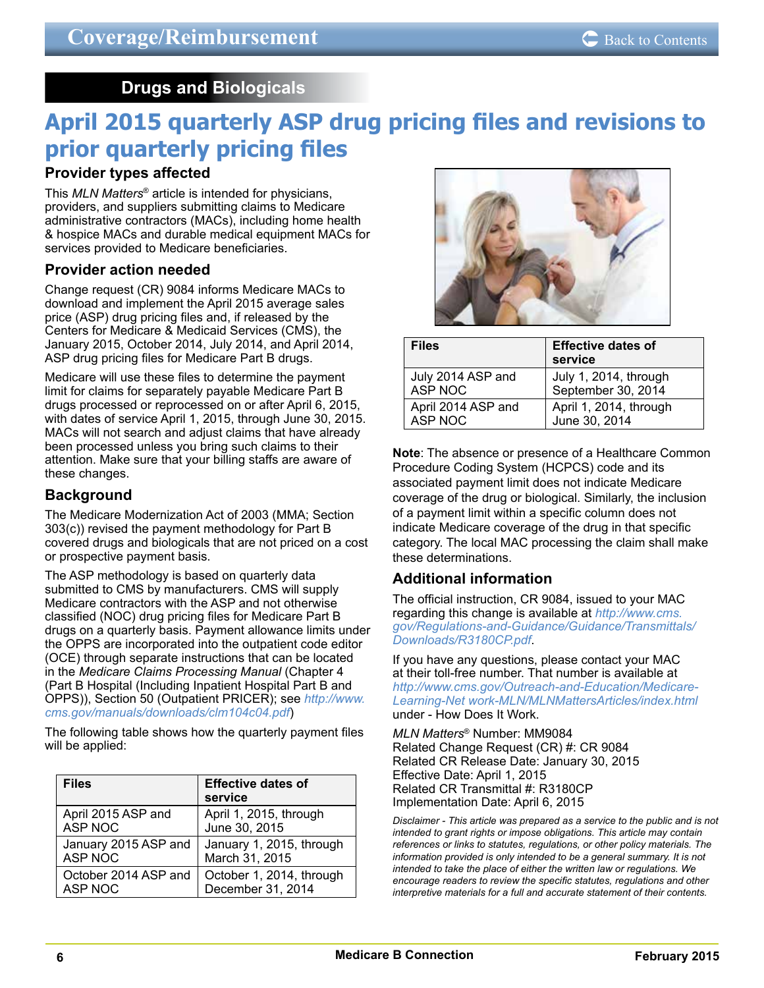## **Drugs and Biologicals**

# <span id="page-5-0"></span>**April 2015 quarterly ASP drug pricing files and revisions to prior quarterly pricing files**

## **Provider types affected**

This *MLN Matters*® article is intended for physicians, providers, and suppliers submitting claims to Medicare administrative contractors (MACs), including home health & hospice MACs and durable medical equipment MACs for services provided to Medicare beneficiaries.

## **Provider action needed**

Change request (CR) 9084 informs Medicare MACs to download and implement the April 2015 average sales price (ASP) drug pricing files and, if released by the Centers for Medicare & Medicaid Services (CMS), the January 2015, October 2014, July 2014, and April 2014, ASP drug pricing files for Medicare Part B drugs.

Medicare will use these files to determine the payment limit for claims for separately payable Medicare Part B drugs processed or reprocessed on or after April 6, 2015, with dates of service April 1, 2015, through June 30, 2015. MACs will not search and adjust claims that have already been processed unless you bring such claims to their attention. Make sure that your billing staffs are aware of these changes.

## **Background**

The Medicare Modernization Act of 2003 (MMA; Section 303(c)) revised the payment methodology for Part B covered drugs and biologicals that are not priced on a cost or prospective payment basis.

The ASP methodology is based on quarterly data submitted to CMS by manufacturers. CMS will supply Medicare contractors with the ASP and not otherwise classified (NOC) drug pricing files for Medicare Part B drugs on a quarterly basis. Payment allowance limits under the OPPS are incorporated into the outpatient code editor (OCE) through separate instructions that can be located in the *Medicare Claims Processing Manual* (Chapter 4 (Part B Hospital (Including Inpatient Hospital Part B and OPPS)), Section 50 (Outpatient PRICER); see *[http://www.](http://www.cms.gov/manuals/downloads/clm104c04.pdf) [cms.gov/manuals/downloads/clm104c04.pdf](http://www.cms.gov/manuals/downloads/clm104c04.pdf)*)

The following table shows how the quarterly payment files will be applied:

| <b>Files</b>         | <b>Effective dates of</b><br>service |
|----------------------|--------------------------------------|
| April 2015 ASP and   | April 1, 2015, through               |
| <b>ASP NOC</b>       | June 30, 2015                        |
| January 2015 ASP and | January 1, 2015, through             |
| ASP NOC              | March 31, 2015                       |
| October 2014 ASP and | October 1, 2014, through             |
| <b>ASP NOC</b>       | December 31, 2014                    |



| <b>Files</b>       | <b>Effective dates of</b><br>service |
|--------------------|--------------------------------------|
| July 2014 ASP and  | July 1, 2014, through                |
| ASP NOC            | September 30, 2014                   |
| April 2014 ASP and | April 1, 2014, through               |
| <b>ASP NOC</b>     | June 30, 2014                        |

**Note**: The absence or presence of a Healthcare Common Procedure Coding System (HCPCS) code and its associated payment limit does not indicate Medicare coverage of the drug or biological. Similarly, the inclusion of a payment limit within a specific column does not indicate Medicare coverage of the drug in that specific category. The local MAC processing the claim shall make these determinations.

## **Additional information**

The official instruction, CR 9084, issued to your MAC regarding this change is available at *[http://www.cms.](http://www.cms.gov/Regulations-and-Guidance/Guidance/Transmittals/Downloads/R3180CP.pdf) [gov/Regulations-and-Guidance/Guidance/Transmittals/](http://www.cms.gov/Regulations-and-Guidance/Guidance/Transmittals/Downloads/R3180CP.pdf) [Downloads/R3180CP.pdf](http://www.cms.gov/Regulations-and-Guidance/Guidance/Transmittals/Downloads/R3180CP.pdf)*.

If you have any questions, please contact your MAC at their toll-free number. That number is available at *[http://www.cms.gov/Outreach-and-Education/Medicare-](http://www.cms.gov/Outreach-and-Education/Medicare-Learning-Net work-MLN/MLNMattersArticles/index.html)[Learning-Net work-MLN/MLNMattersArticles/index.html](http://www.cms.gov/Outreach-and-Education/Medicare-Learning-Net work-MLN/MLNMattersArticles/index.html)* under - How Does It Work.

*MLN Matters*® Number: MM9084 Related Change Request (CR) #: CR 9084 Related CR Release Date: January 30, 2015 Effective Date: April 1, 2015 Related CR Transmittal #: R3180CP Implementation Date: April 6, 2015

*Disclaimer - This article was prepared as a service to the public and is not intended to grant rights or impose obligations. This article may contain references or links to statutes, regulations, or other policy materials. The information provided is only intended to be a general summary. It is not intended to take the place of either the written law or regulations. We encourage readers to review the specific statutes, regulations and other interpretive materials for a full and accurate statement of their contents.*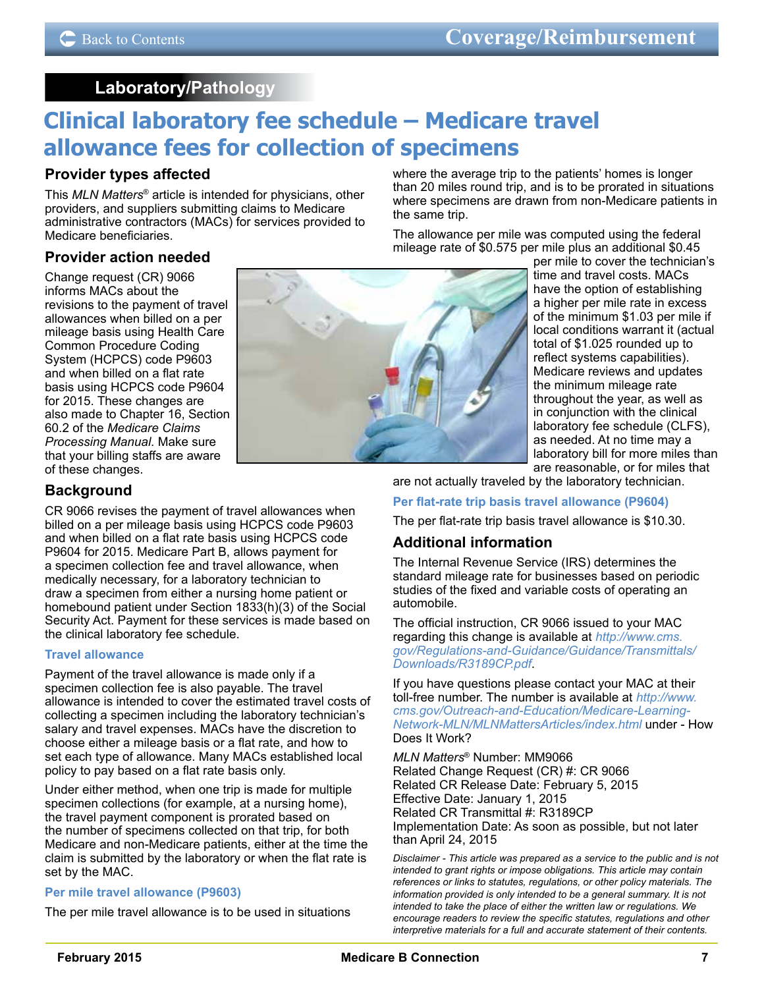## **Laboratory/Pathology**

# <span id="page-6-0"></span>**Clinical laboratory fee schedule – Medicare travel allowance fees for collection of specimens**

## **Provider types affected**

This *MLN Matters*® article is intended for physicians, other providers, and suppliers submitting claims to Medicare administrative contractors (MACs) for services provided to Medicare beneficiaries.

**Provider action needed**

Change request (CR) 9066 informs MACs about the revisions to the payment of travel allowances when billed on a per mileage basis using Health Care Common Procedure Coding System (HCPCS) code P9603 and when billed on a flat rate basis using HCPCS code P9604 for 2015. These changes are also made to Chapter 16, Section 60.2 of the *Medicare Claims Processing Manual*. Make sure that your billing staffs are aware of these changes.



where the average trip to the patients' homes is longer than 20 miles round trip, and is to be prorated in situations where specimens are drawn from non-Medicare patients in the same trip.

The allowance per mile was computed using the federal mileage rate of \$0.575 per mile plus an additional \$0.45

per mile to cover the technician's time and travel costs. MACs have the option of establishing a higher per mile rate in excess of the minimum \$1.03 per mile if local conditions warrant it (actual total of \$1.025 rounded up to reflect systems capabilities). Medicare reviews and updates the minimum mileage rate throughout the year, as well as in conjunction with the clinical laboratory fee schedule (CLFS), as needed. At no time may a laboratory bill for more miles than are reasonable, or for miles that

## **Background**

CR 9066 revises the payment of travel allowances when billed on a per mileage basis using HCPCS code P9603 and when billed on a flat rate basis using HCPCS code P9604 for 2015. Medicare Part B, allows payment for a specimen collection fee and travel allowance, when medically necessary, for a laboratory technician to draw a specimen from either a nursing home patient or homebound patient under Section 1833(h)(3) of the Social Security Act. Payment for these services is made based on the clinical laboratory fee schedule.

## **Travel allowance**

Payment of the travel allowance is made only if a specimen collection fee is also payable. The travel allowance is intended to cover the estimated travel costs of collecting a specimen including the laboratory technician's salary and travel expenses. MACs have the discretion to choose either a mileage basis or a flat rate, and how to set each type of allowance. Many MACs established local policy to pay based on a flat rate basis only.

Under either method, when one trip is made for multiple specimen collections (for example, at a nursing home), the travel payment component is prorated based on the number of specimens collected on that trip, for both Medicare and non-Medicare patients, either at the time the claim is submitted by the laboratory or when the flat rate is set by the MAC.

### **Per mile travel allowance (P9603)**

The per mile travel allowance is to be used in situations

are not actually traveled by the laboratory technician.

### **Per flat-rate trip basis travel allowance (P9604)**

The per flat-rate trip basis travel allowance is \$10.30.

## **Additional information**

The Internal Revenue Service (IRS) determines the standard mileage rate for businesses based on periodic studies of the fixed and variable costs of operating an automobile.

The official instruction, CR 9066 issued to your MAC regarding this change is available at *[http://www.cms.](http://www.cms.gov/Regulations-and-Guidance/Guidance/Transmittals/Downloads/R3189CP.pdf) [gov/Regulations-and-Guidance/Guidance/Transmittals/](http://www.cms.gov/Regulations-and-Guidance/Guidance/Transmittals/Downloads/R3189CP.pdf) [Downloads/R3189CP.pdf](http://www.cms.gov/Regulations-and-Guidance/Guidance/Transmittals/Downloads/R3189CP.pdf)*.

If you have questions please contact your MAC at their toll-free number. The number is available at *[http://www.](http://www.cms.gov/Outreach-and-Education/Medicare-Learning-Network-MLN/MLNMattersArticles/index.html) [cms.gov/Outreach-and-Education/Medicare-Learning-](http://www.cms.gov/Outreach-and-Education/Medicare-Learning-Network-MLN/MLNMattersArticles/index.html)[Network-MLN/MLNMattersArticles/index.html](http://www.cms.gov/Outreach-and-Education/Medicare-Learning-Network-MLN/MLNMattersArticles/index.html)* under - How Does It Work?

#### *MLN Matters*® Number: MM9066

Related Change Request (CR) #: CR 9066 Related CR Release Date: February 5, 2015 Effective Date: January 1, 2015 Related CR Transmittal #: R3189CP Implementation Date: As soon as possible, but not later than April 24, 2015

*Disclaimer - This article was prepared as a service to the public and is not intended to grant rights or impose obligations. This article may contain references or links to statutes, regulations, or other policy materials. The information provided is only intended to be a general summary. It is not intended to take the place of either the written law or regulations. We encourage readers to review the specific statutes, regulations and other interpretive materials for a full and accurate statement of their contents.*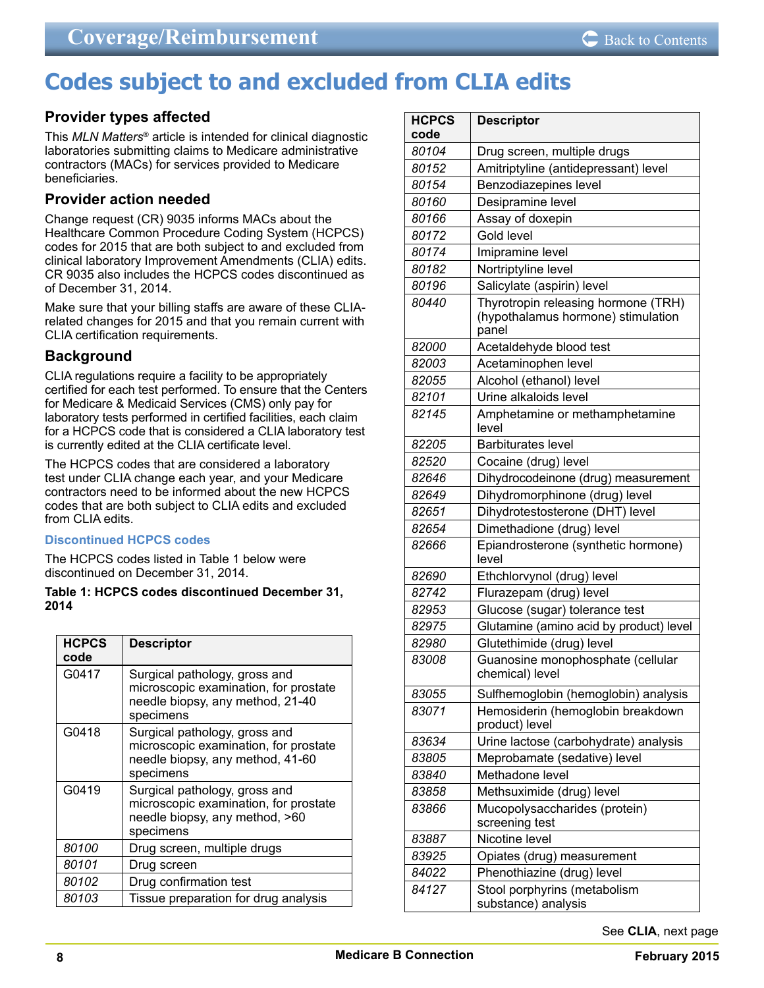# <span id="page-7-0"></span>**Codes subject to and excluded from CLIA edits**

## **Provider types affected**

This *MLN Matters*® article is intended for clinical diagnostic laboratories submitting claims to Medicare administrative contractors (MACs) for services provided to Medicare beneficiaries.

## **Provider action needed**

Change request (CR) 9035 informs MACs about the Healthcare Common Procedure Coding System (HCPCS) codes for 2015 that are both subject to and excluded from clinical laboratory Improvement Amendments (CLIA) edits. CR 9035 also includes the HCPCS codes discontinued as of December 31, 2014.

Make sure that your billing staffs are aware of these CLIArelated changes for 2015 and that you remain current with CLIA certification requirements.

## **Background**

CLIA regulations require a facility to be appropriately certified for each test performed. To ensure that the Centers for Medicare & Medicaid Services (CMS) only pay for laboratory tests performed in certified facilities, each claim for a HCPCS code that is considered a CLIA laboratory test is currently edited at the CLIA certificate level.

The HCPCS codes that are considered a laboratory test under CLIA change each year, and your Medicare contractors need to be informed about the new HCPCS codes that are both subject to CLIA edits and excluded from CLIA edits.

#### **Discontinued HCPCS codes**

The HCPCS codes listed in Table 1 below were discontinued on December 31, 2014.

#### **Table 1: HCPCS codes discontinued December 31, 2014**

| <b>HCPCS</b><br>code | <b>Descriptor</b>                                                                                                       |
|----------------------|-------------------------------------------------------------------------------------------------------------------------|
| G0417                | Surgical pathology, gross and<br>microscopic examination, for prostate<br>needle biopsy, any method, 21-40<br>specimens |
| G0418                | Surgical pathology, gross and<br>microscopic examination, for prostate<br>needle biopsy, any method, 41-60<br>specimens |
| G0419                | Surgical pathology, gross and<br>microscopic examination, for prostate<br>needle biopsy, any method, >60<br>specimens   |
| 80100                | Drug screen, multiple drugs                                                                                             |
| 80101                | Drug screen                                                                                                             |
| 80102                | Drug confirmation test                                                                                                  |
| 80103                | Tissue preparation for drug analysis                                                                                    |

| <b>HCPCS</b><br>code | <b>Descriptor</b>                                                 |
|----------------------|-------------------------------------------------------------------|
| 80104                | Drug screen, multiple drugs                                       |
| 80152                | Amitriptyline (antidepressant) level                              |
| 80154                | Benzodiazepines level                                             |
| 80160                | Desipramine level                                                 |
| 80166                |                                                                   |
| 80172                | Assay of doxepin<br>Gold level                                    |
| 80174                | Imipramine level                                                  |
| 80182                | Nortriptyline level                                               |
| 80196                |                                                                   |
| 80440                | Salicylate (aspirin) level<br>Thyrotropin releasing hormone (TRH) |
|                      | (hypothalamus hormone) stimulation<br>panel                       |
| 82000                | Acetaldehyde blood test                                           |
| 82003                | Acetaminophen level                                               |
| 82055                | Alcohol (ethanol) level                                           |
| 82101                | Urine alkaloids level                                             |
| 82145                | Amphetamine or methamphetamine<br>level                           |
| 82205                | <b>Barbiturates level</b>                                         |
| 82520                | Cocaine (drug) level                                              |
| 82646                | Dihydrocodeinone (drug) measurement                               |
| 82649                | Dihydromorphinone (drug) level                                    |
| 82651                | Dihydrotestosterone (DHT) level                                   |
| 82654                | Dimethadione (drug) level                                         |
| 82666                | Epiandrosterone (synthetic hormone)<br>level                      |
| 82690                | Ethchlorvynol (drug) level                                        |
| 82742                | Flurazepam (drug) level                                           |
| 82953                | Glucose (sugar) tolerance test                                    |
| 82975                | Glutamine (amino acid by product) level                           |
| 82980                | Glutethimide (drug) level                                         |
| 83008                | Guanosine monophosphate (cellular<br>chemical) level              |
| 83055                | Sulfhemoglobin (hemoglobin) analysis                              |
| 83071                | Hemosiderin (hemoglobin breakdown<br>product) level               |
| 83634                | Urine lactose (carbohydrate) analysis                             |
| 83805                | Meprobamate (sedative) level                                      |
| 83840                | Methadone level                                                   |
| 83858                | Methsuximide (drug) level                                         |
| 83866                | Mucopolysaccharides (protein)<br>screening test                   |
| 83887                | Nicotine level                                                    |
| 83925                | Opiates (drug) measurement                                        |
| 84022                | Phenothiazine (drug) level                                        |
| 84127                | Stool porphyrins (metabolism<br>substance) analysis               |

See **CLIA**, next page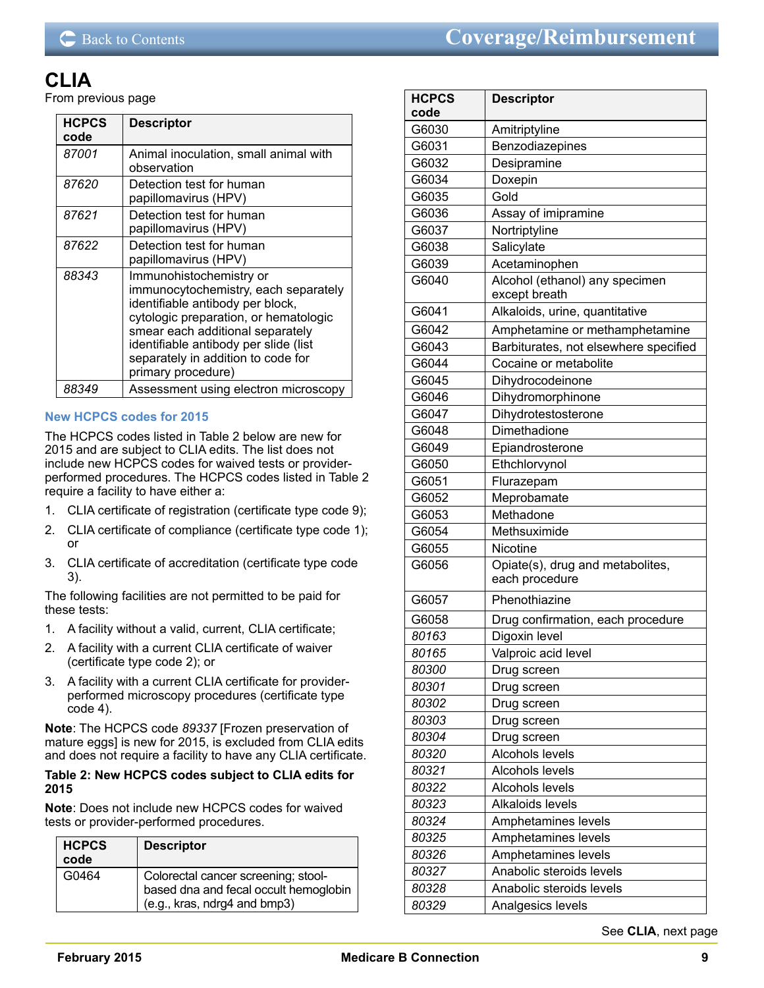## **CLIA**

From previous page

| <b>HCPCS</b><br>code | <b>Descriptor</b>                                                                                                                                                                                                                                                                     |
|----------------------|---------------------------------------------------------------------------------------------------------------------------------------------------------------------------------------------------------------------------------------------------------------------------------------|
| 87001                | Animal inoculation, small animal with<br>observation                                                                                                                                                                                                                                  |
| 87620                | Detection test for human<br>papillomavirus (HPV)                                                                                                                                                                                                                                      |
| 87621                | Detection test for human<br>papillomavirus (HPV)                                                                                                                                                                                                                                      |
| 87622                | Detection test for human<br>papillomavirus (HPV)                                                                                                                                                                                                                                      |
| 88343                | Immunohistochemistry or<br>immunocytochemistry, each separately<br>identifiable antibody per block,<br>cytologic preparation, or hematologic<br>smear each additional separately<br>identifiable antibody per slide (list<br>separately in addition to code for<br>primary procedure) |
| 88349                | Assessment using electron microscopy                                                                                                                                                                                                                                                  |

### **New HCPCS codes for 2015**

The HCPCS codes listed in Table 2 below are new for 2015 and are subject to CLIA edits. The list does not include new HCPCS codes for waived tests or providerperformed procedures. The HCPCS codes listed in Table 2 require a facility to have either a:

- 1. CLIA certificate of registration (certificate type code 9);
- 2. CLIA certificate of compliance (certificate type code 1); or
- 3. CLIA certificate of accreditation (certificate type code 3).

The following facilities are not permitted to be paid for these tests:

- 1. A facility without a valid, current, CLIA certificate;
- 2. A facility with a current CLIA certificate of waiver (certificate type code 2); or
- 3. A facility with a current CLIA certificate for providerperformed microscopy procedures (certificate type code 4).

**Note**: The HCPCS code *89337* [Frozen preservation of mature eggs] is new for 2015, is excluded from CLIA edits and does not require a facility to have any CLIA certificate.

#### **Table 2: New HCPCS codes subject to CLIA edits for 2015**

**Note**: Does not include new HCPCS codes for waived tests or provider-performed procedures.

| <b>HCPCS</b><br>code | <b>Descriptor</b>                                                                                            |
|----------------------|--------------------------------------------------------------------------------------------------------------|
| G0464                | Colorectal cancer screening; stool-<br>based dna and fecal occult hemoglobin<br>(e.g., kras, ndrg4 and bmp3) |

| <b>HCPCS</b><br>code | <b>Descriptor</b>                                  |
|----------------------|----------------------------------------------------|
| G6030                | Amitriptyline                                      |
| G6031                | Benzodiazepines                                    |
| G6032                | Desipramine                                        |
| G6034                | Doxepin                                            |
| G6035                | Gold                                               |
| G6036                | Assay of imipramine                                |
| G6037                | Nortriptyline                                      |
| G6038                | Salicylate                                         |
| G6039                | Acetaminophen                                      |
| G6040                | Alcohol (ethanol) any specimen<br>except breath    |
| G6041                | Alkaloids, urine, quantitative                     |
| G6042                | Amphetamine or methamphetamine                     |
| G6043                | Barbiturates, not elsewhere specified              |
| G6044                | Cocaine or metabolite                              |
| G6045                | Dihydrocodeinone                                   |
| G6046                | Dihydromorphinone                                  |
| G6047                | Dihydrotestosterone                                |
| G6048                | Dimethadione                                       |
| G6049                | Epiandrosterone                                    |
| G6050                | Ethchlorvynol                                      |
| G6051                | Flurazepam                                         |
| G6052                | Meprobamate                                        |
| G6053                | Methadone                                          |
| G6054                | Methsuximide                                       |
| G6055                | Nicotine                                           |
| G6056                | Opiate(s), drug and metabolites,<br>each procedure |
| G6057                | Phenothiazine                                      |
| G6058                | Drug confirmation, each procedure                  |
| 80163                | Digoxin level                                      |
| 80165                | Valproic acid level                                |
| 80300                | Drug screen                                        |
| 80301                | Drug screen                                        |
| 80302                | Drug screen                                        |
| 80303                | Drug screen                                        |
| 80304                | Drug screen                                        |
| 80320                | Alcohols levels                                    |
| 80321                | Alcohols levels                                    |
| 80322                | <b>Alcohols levels</b>                             |
| 80323                | Alkaloids levels                                   |
| 80324                | Amphetamines levels                                |
| 80325                | Amphetamines levels                                |
| 80326                | Amphetamines levels                                |
| 80327                | Anabolic steroids levels                           |
| 80328                | Anabolic steroids levels                           |
| 80329                | Analgesics levels                                  |

See **CLIA**, next page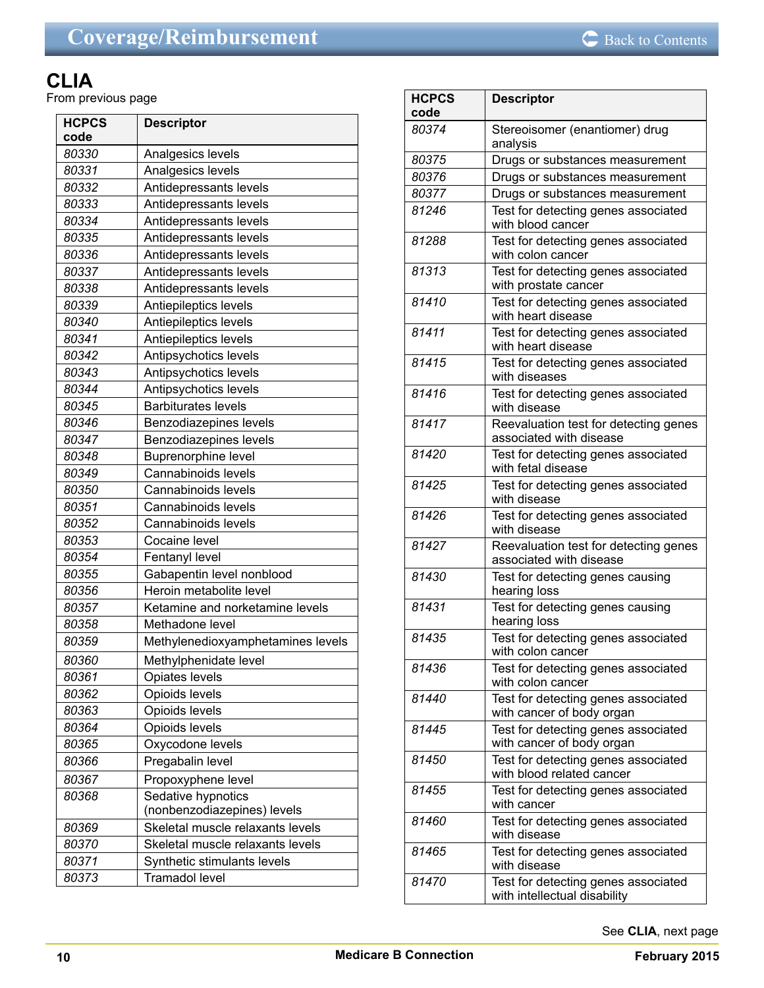## **CLIA**

From previous page

| 80330<br>Analgesics levels<br>80331<br>Analgesics levels<br>80332<br>Antidepressants levels<br>80333<br>Antidepressants levels<br>80334<br>Antidepressants levels<br>80335<br>Antidepressants levels<br>80336<br>Antidepressants levels<br>80337<br>Antidepressants levels<br>Antidepressants levels<br>80338<br>80339<br>Antiepileptics levels<br>80340<br>Antiepileptics levels<br>80341<br>Antiepileptics levels<br>80342<br>Antipsychotics levels<br>80343<br>Antipsychotics levels<br>80344<br>Antipsychotics levels<br>80345<br><b>Barbiturates levels</b><br>80346<br>Benzodiazepines levels<br>80347<br>Benzodiazepines levels<br><b>Buprenorphine level</b><br>80348<br>80349<br>Cannabinoids levels<br>80350<br>Cannabinoids levels<br>80351<br>Cannabinoids levels<br>80352<br>Cannabinoids levels<br>80353<br>Cocaine level<br>80354<br>Fentanyl level<br>Gabapentin level nonblood<br>80355<br>Heroin metabolite level<br>80356<br>Ketamine and norketamine levels<br>80357<br>Methadone level<br>80358<br>80359<br>Methylenedioxyamphetamines levels<br>80360<br>Methylphenidate level<br>Opiates levels<br>80361<br>80362<br>Opioids levels<br>Opioids levels<br>80363<br>80364<br>Opioids levels<br>80365<br>Oxycodone levels<br>80366<br>Pregabalin level<br>80367<br>Propoxyphene level<br>Sedative hypnotics<br>80368<br>(nonbenzodiazepines) levels<br>Skeletal muscle relaxants levels<br>80369<br>80370<br>Skeletal muscle relaxants levels<br>80371<br>Synthetic stimulants levels<br>80373<br><b>Tramadol level</b> | <b>HCPCS</b> | <b>Descriptor</b> |
|---------------------------------------------------------------------------------------------------------------------------------------------------------------------------------------------------------------------------------------------------------------------------------------------------------------------------------------------------------------------------------------------------------------------------------------------------------------------------------------------------------------------------------------------------------------------------------------------------------------------------------------------------------------------------------------------------------------------------------------------------------------------------------------------------------------------------------------------------------------------------------------------------------------------------------------------------------------------------------------------------------------------------------------------------------------------------------------------------------------------------------------------------------------------------------------------------------------------------------------------------------------------------------------------------------------------------------------------------------------------------------------------------------------------------------------------------------------------------------------------------------------------------------------------|--------------|-------------------|
|                                                                                                                                                                                                                                                                                                                                                                                                                                                                                                                                                                                                                                                                                                                                                                                                                                                                                                                                                                                                                                                                                                                                                                                                                                                                                                                                                                                                                                                                                                                                             | code         |                   |
|                                                                                                                                                                                                                                                                                                                                                                                                                                                                                                                                                                                                                                                                                                                                                                                                                                                                                                                                                                                                                                                                                                                                                                                                                                                                                                                                                                                                                                                                                                                                             |              |                   |
|                                                                                                                                                                                                                                                                                                                                                                                                                                                                                                                                                                                                                                                                                                                                                                                                                                                                                                                                                                                                                                                                                                                                                                                                                                                                                                                                                                                                                                                                                                                                             |              |                   |
|                                                                                                                                                                                                                                                                                                                                                                                                                                                                                                                                                                                                                                                                                                                                                                                                                                                                                                                                                                                                                                                                                                                                                                                                                                                                                                                                                                                                                                                                                                                                             |              |                   |
|                                                                                                                                                                                                                                                                                                                                                                                                                                                                                                                                                                                                                                                                                                                                                                                                                                                                                                                                                                                                                                                                                                                                                                                                                                                                                                                                                                                                                                                                                                                                             |              |                   |
|                                                                                                                                                                                                                                                                                                                                                                                                                                                                                                                                                                                                                                                                                                                                                                                                                                                                                                                                                                                                                                                                                                                                                                                                                                                                                                                                                                                                                                                                                                                                             |              |                   |
|                                                                                                                                                                                                                                                                                                                                                                                                                                                                                                                                                                                                                                                                                                                                                                                                                                                                                                                                                                                                                                                                                                                                                                                                                                                                                                                                                                                                                                                                                                                                             |              |                   |
|                                                                                                                                                                                                                                                                                                                                                                                                                                                                                                                                                                                                                                                                                                                                                                                                                                                                                                                                                                                                                                                                                                                                                                                                                                                                                                                                                                                                                                                                                                                                             |              |                   |
|                                                                                                                                                                                                                                                                                                                                                                                                                                                                                                                                                                                                                                                                                                                                                                                                                                                                                                                                                                                                                                                                                                                                                                                                                                                                                                                                                                                                                                                                                                                                             |              |                   |
|                                                                                                                                                                                                                                                                                                                                                                                                                                                                                                                                                                                                                                                                                                                                                                                                                                                                                                                                                                                                                                                                                                                                                                                                                                                                                                                                                                                                                                                                                                                                             |              |                   |
|                                                                                                                                                                                                                                                                                                                                                                                                                                                                                                                                                                                                                                                                                                                                                                                                                                                                                                                                                                                                                                                                                                                                                                                                                                                                                                                                                                                                                                                                                                                                             |              |                   |
|                                                                                                                                                                                                                                                                                                                                                                                                                                                                                                                                                                                                                                                                                                                                                                                                                                                                                                                                                                                                                                                                                                                                                                                                                                                                                                                                                                                                                                                                                                                                             |              |                   |
|                                                                                                                                                                                                                                                                                                                                                                                                                                                                                                                                                                                                                                                                                                                                                                                                                                                                                                                                                                                                                                                                                                                                                                                                                                                                                                                                                                                                                                                                                                                                             |              |                   |
|                                                                                                                                                                                                                                                                                                                                                                                                                                                                                                                                                                                                                                                                                                                                                                                                                                                                                                                                                                                                                                                                                                                                                                                                                                                                                                                                                                                                                                                                                                                                             |              |                   |
|                                                                                                                                                                                                                                                                                                                                                                                                                                                                                                                                                                                                                                                                                                                                                                                                                                                                                                                                                                                                                                                                                                                                                                                                                                                                                                                                                                                                                                                                                                                                             |              |                   |
|                                                                                                                                                                                                                                                                                                                                                                                                                                                                                                                                                                                                                                                                                                                                                                                                                                                                                                                                                                                                                                                                                                                                                                                                                                                                                                                                                                                                                                                                                                                                             |              |                   |
|                                                                                                                                                                                                                                                                                                                                                                                                                                                                                                                                                                                                                                                                                                                                                                                                                                                                                                                                                                                                                                                                                                                                                                                                                                                                                                                                                                                                                                                                                                                                             |              |                   |
|                                                                                                                                                                                                                                                                                                                                                                                                                                                                                                                                                                                                                                                                                                                                                                                                                                                                                                                                                                                                                                                                                                                                                                                                                                                                                                                                                                                                                                                                                                                                             |              |                   |
|                                                                                                                                                                                                                                                                                                                                                                                                                                                                                                                                                                                                                                                                                                                                                                                                                                                                                                                                                                                                                                                                                                                                                                                                                                                                                                                                                                                                                                                                                                                                             |              |                   |
|                                                                                                                                                                                                                                                                                                                                                                                                                                                                                                                                                                                                                                                                                                                                                                                                                                                                                                                                                                                                                                                                                                                                                                                                                                                                                                                                                                                                                                                                                                                                             |              |                   |
|                                                                                                                                                                                                                                                                                                                                                                                                                                                                                                                                                                                                                                                                                                                                                                                                                                                                                                                                                                                                                                                                                                                                                                                                                                                                                                                                                                                                                                                                                                                                             |              |                   |
|                                                                                                                                                                                                                                                                                                                                                                                                                                                                                                                                                                                                                                                                                                                                                                                                                                                                                                                                                                                                                                                                                                                                                                                                                                                                                                                                                                                                                                                                                                                                             |              |                   |
|                                                                                                                                                                                                                                                                                                                                                                                                                                                                                                                                                                                                                                                                                                                                                                                                                                                                                                                                                                                                                                                                                                                                                                                                                                                                                                                                                                                                                                                                                                                                             |              |                   |
|                                                                                                                                                                                                                                                                                                                                                                                                                                                                                                                                                                                                                                                                                                                                                                                                                                                                                                                                                                                                                                                                                                                                                                                                                                                                                                                                                                                                                                                                                                                                             |              |                   |
|                                                                                                                                                                                                                                                                                                                                                                                                                                                                                                                                                                                                                                                                                                                                                                                                                                                                                                                                                                                                                                                                                                                                                                                                                                                                                                                                                                                                                                                                                                                                             |              |                   |
|                                                                                                                                                                                                                                                                                                                                                                                                                                                                                                                                                                                                                                                                                                                                                                                                                                                                                                                                                                                                                                                                                                                                                                                                                                                                                                                                                                                                                                                                                                                                             |              |                   |
|                                                                                                                                                                                                                                                                                                                                                                                                                                                                                                                                                                                                                                                                                                                                                                                                                                                                                                                                                                                                                                                                                                                                                                                                                                                                                                                                                                                                                                                                                                                                             |              |                   |
|                                                                                                                                                                                                                                                                                                                                                                                                                                                                                                                                                                                                                                                                                                                                                                                                                                                                                                                                                                                                                                                                                                                                                                                                                                                                                                                                                                                                                                                                                                                                             |              |                   |
|                                                                                                                                                                                                                                                                                                                                                                                                                                                                                                                                                                                                                                                                                                                                                                                                                                                                                                                                                                                                                                                                                                                                                                                                                                                                                                                                                                                                                                                                                                                                             |              |                   |
|                                                                                                                                                                                                                                                                                                                                                                                                                                                                                                                                                                                                                                                                                                                                                                                                                                                                                                                                                                                                                                                                                                                                                                                                                                                                                                                                                                                                                                                                                                                                             |              |                   |
|                                                                                                                                                                                                                                                                                                                                                                                                                                                                                                                                                                                                                                                                                                                                                                                                                                                                                                                                                                                                                                                                                                                                                                                                                                                                                                                                                                                                                                                                                                                                             |              |                   |
|                                                                                                                                                                                                                                                                                                                                                                                                                                                                                                                                                                                                                                                                                                                                                                                                                                                                                                                                                                                                                                                                                                                                                                                                                                                                                                                                                                                                                                                                                                                                             |              |                   |
|                                                                                                                                                                                                                                                                                                                                                                                                                                                                                                                                                                                                                                                                                                                                                                                                                                                                                                                                                                                                                                                                                                                                                                                                                                                                                                                                                                                                                                                                                                                                             |              |                   |
|                                                                                                                                                                                                                                                                                                                                                                                                                                                                                                                                                                                                                                                                                                                                                                                                                                                                                                                                                                                                                                                                                                                                                                                                                                                                                                                                                                                                                                                                                                                                             |              |                   |
|                                                                                                                                                                                                                                                                                                                                                                                                                                                                                                                                                                                                                                                                                                                                                                                                                                                                                                                                                                                                                                                                                                                                                                                                                                                                                                                                                                                                                                                                                                                                             |              |                   |
|                                                                                                                                                                                                                                                                                                                                                                                                                                                                                                                                                                                                                                                                                                                                                                                                                                                                                                                                                                                                                                                                                                                                                                                                                                                                                                                                                                                                                                                                                                                                             |              |                   |
|                                                                                                                                                                                                                                                                                                                                                                                                                                                                                                                                                                                                                                                                                                                                                                                                                                                                                                                                                                                                                                                                                                                                                                                                                                                                                                                                                                                                                                                                                                                                             |              |                   |
|                                                                                                                                                                                                                                                                                                                                                                                                                                                                                                                                                                                                                                                                                                                                                                                                                                                                                                                                                                                                                                                                                                                                                                                                                                                                                                                                                                                                                                                                                                                                             |              |                   |
|                                                                                                                                                                                                                                                                                                                                                                                                                                                                                                                                                                                                                                                                                                                                                                                                                                                                                                                                                                                                                                                                                                                                                                                                                                                                                                                                                                                                                                                                                                                                             |              |                   |
|                                                                                                                                                                                                                                                                                                                                                                                                                                                                                                                                                                                                                                                                                                                                                                                                                                                                                                                                                                                                                                                                                                                                                                                                                                                                                                                                                                                                                                                                                                                                             |              |                   |
|                                                                                                                                                                                                                                                                                                                                                                                                                                                                                                                                                                                                                                                                                                                                                                                                                                                                                                                                                                                                                                                                                                                                                                                                                                                                                                                                                                                                                                                                                                                                             |              |                   |
|                                                                                                                                                                                                                                                                                                                                                                                                                                                                                                                                                                                                                                                                                                                                                                                                                                                                                                                                                                                                                                                                                                                                                                                                                                                                                                                                                                                                                                                                                                                                             |              |                   |
|                                                                                                                                                                                                                                                                                                                                                                                                                                                                                                                                                                                                                                                                                                                                                                                                                                                                                                                                                                                                                                                                                                                                                                                                                                                                                                                                                                                                                                                                                                                                             |              |                   |
|                                                                                                                                                                                                                                                                                                                                                                                                                                                                                                                                                                                                                                                                                                                                                                                                                                                                                                                                                                                                                                                                                                                                                                                                                                                                                                                                                                                                                                                                                                                                             |              |                   |
|                                                                                                                                                                                                                                                                                                                                                                                                                                                                                                                                                                                                                                                                                                                                                                                                                                                                                                                                                                                                                                                                                                                                                                                                                                                                                                                                                                                                                                                                                                                                             |              |                   |

| <b>HCPCS</b><br>code | <b>Descriptor</b>                                                   |
|----------------------|---------------------------------------------------------------------|
| 80374                | Stereoisomer (enantiomer) drug                                      |
|                      | analysis                                                            |
| 80375                | Drugs or substances measurement                                     |
| 80376                | Drugs or substances measurement                                     |
| 80377                | Drugs or substances measurement                                     |
| 81246                | Test for detecting genes associated                                 |
|                      | with blood cancer                                                   |
| 81288                | Test for detecting genes associated<br>with colon cancer            |
| 81313                | Test for detecting genes associated<br>with prostate cancer         |
| 81410                | Test for detecting genes associated<br>with heart disease           |
| 81411                | Test for detecting genes associated<br>with heart disease           |
| 81415                | Test for detecting genes associated<br>with diseases                |
| 81416                | Test for detecting genes associated<br>with disease                 |
| 81417                | Reevaluation test for detecting genes<br>associated with disease    |
| 81420                | Test for detecting genes associated<br>with fetal disease           |
| 81425                | Test for detecting genes associated<br>with disease                 |
| 81426                | Test for detecting genes associated<br>with disease                 |
| 81427                | Reevaluation test for detecting genes<br>associated with disease    |
| 81430                | Test for detecting genes causing<br>hearing loss                    |
| 81431                | Test for detecting genes causing<br>hearing loss                    |
| 81435                | Test for detecting genes associated<br>with colon cancer_           |
| 81436                | Test for detecting genes associated<br>with colon cancer            |
| 81440                | Test for detecting genes associated<br>with cancer of body organ    |
| 81445                | Test for detecting genes associated<br>with cancer of body organ    |
| 81450                | Test for detecting genes associated<br>with blood related cancer    |
| 81455                | Test for detecting genes associated<br>with cancer                  |
| 81460                | Test for detecting genes associated<br>with disease                 |
| 81465                | Test for detecting genes associated<br>with disease                 |
| 81470                | Test for detecting genes associated<br>with intellectual disability |

See **CLIA**, next page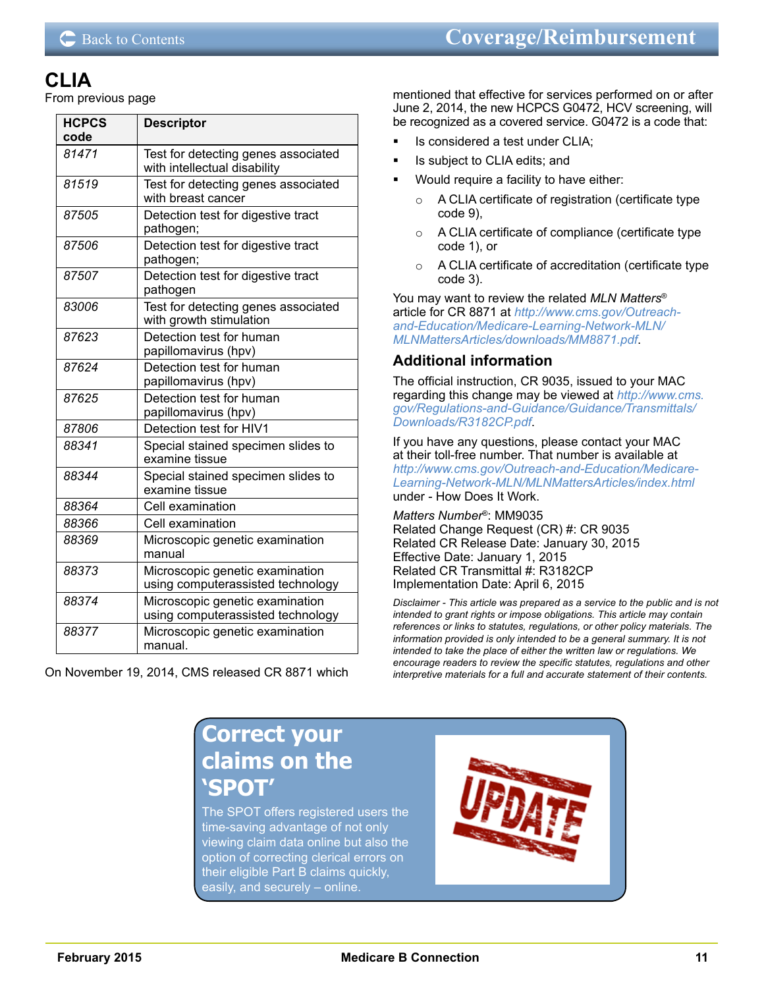## **CLIA**

From previous page

| <b>HCPCS</b><br>code | <b>Descriptor</b>                                                    |
|----------------------|----------------------------------------------------------------------|
| 81471                | Test for detecting genes associated<br>with intellectual disability  |
| 81519                | Test for detecting genes associated<br>with breast cancer            |
| 87505                | Detection test for digestive tract<br>pathogen;                      |
| 87506                | Detection test for digestive tract<br>pathogen;                      |
| 87507                | Detection test for digestive tract<br>pathogen                       |
| 83006                | Test for detecting genes associated<br>with growth stimulation       |
| 87623                | Detection test for human<br>papillomavirus (hpv)                     |
| 87624                | Detection test for human<br>papillomavirus (hpv)                     |
| 87625                | Detection test for human<br>papillomavirus (hpv)                     |
| 87806                | Detection test for HIV1                                              |
| 88341                | Special stained specimen slides to<br>examine tissue                 |
| 88344                | Special stained specimen slides to<br>examine tissue                 |
| 88364                | Cell examination                                                     |
| 88366                | Cell examination                                                     |
| 88369                | Microscopic genetic examination<br>manual                            |
| 88373                | Microscopic genetic examination<br>using computerassisted technology |
| 88374                | Microscopic genetic examination<br>using computerassisted technology |
| 88377                | Microscopic genetic examination<br>manual.                           |

On November 19, 2014, CMS released CR 8871 which

mentioned that effective for services performed on or after June 2, 2014, the new HCPCS G0472, HCV screening, will be recognized as a covered service. G0472 is a code that:

- Is considered a test under CLIA;
- Is subject to CLIA edits; and
- Would require a facility to have either:
	- A CLIA certificate of registration (certificate type code 9),
	- A CLIA certificate of compliance (certificate type code 1), or
	- o A CLIA certificate of accreditation (certificate type code 3).

You may want to review the related *MLN Matters*® article for CR 8871 at *[http://www.cms.gov/Outreach](http://www.cms.gov/Outreach-and-Education/Medicare-Learning-Network-MLN/MLNMattersArticles/downloads/MM8871.pdf)[and-Education/Medicare-Learning-Network-MLN/](http://www.cms.gov/Outreach-and-Education/Medicare-Learning-Network-MLN/MLNMattersArticles/downloads/MM8871.pdf) [MLNMattersArticles/downloads/MM8871.pdf](http://www.cms.gov/Outreach-and-Education/Medicare-Learning-Network-MLN/MLNMattersArticles/downloads/MM8871.pdf)*.

## **Additional information**

The official instruction, CR 9035, issued to your MAC regarding this change may be viewed at *[http://www.cms.](http://www.cms.gov/Regulations-and-Guidance/Guidance/Transmittals/Downloads/R3182CP.pdf) [gov/Regulations-and-Guidance/Guidance/Transmittals/](http://www.cms.gov/Regulations-and-Guidance/Guidance/Transmittals/Downloads/R3182CP.pdf) [Downloads/R3182CP.pdf](http://www.cms.gov/Regulations-and-Guidance/Guidance/Transmittals/Downloads/R3182CP.pdf)*.

If you have any questions, please contact your MAC at their toll-free number. That number is available at *[http://www.cms.gov/Outreach-and-Education/Medicare-](http://www.cms.gov/Outreach-and-Education/Medicare-Learning-Network-MLN/MLNMattersArticles/index.html)[Learning-Network-MLN/MLNMattersArticles/index.html](http://www.cms.gov/Outreach-and-Education/Medicare-Learning-Network-MLN/MLNMattersArticles/index.html)* under - How Does It Work.

*Matters Number*®: MM9035 Related Change Request (CR) #: CR 9035 Related CR Release Date: January 30, 2015 Effective Date: January 1, 2015 Related CR Transmittal #: R3182CP Implementation Date: April 6, 2015

*Disclaimer - This article was prepared as a service to the public and is not intended to grant rights or impose obligations. This article may contain references or links to statutes, regulations, or other policy materials. The information provided is only intended to be a general summary. It is not intended to take the place of either the written law or regulations. We encourage readers to review the specific statutes, regulations and other interpretive materials for a full and accurate statement of their contents.*

## **Correct your claims on the 'SPOT'**

The SPOT offers registered users the time-saving advantage of not only viewing claim data online but also the option of [correcting clerical errors](http://medicare.fcso.com/wrapped/273646.asp) on their eligible Part B claims quickly, easily, and securely – online.

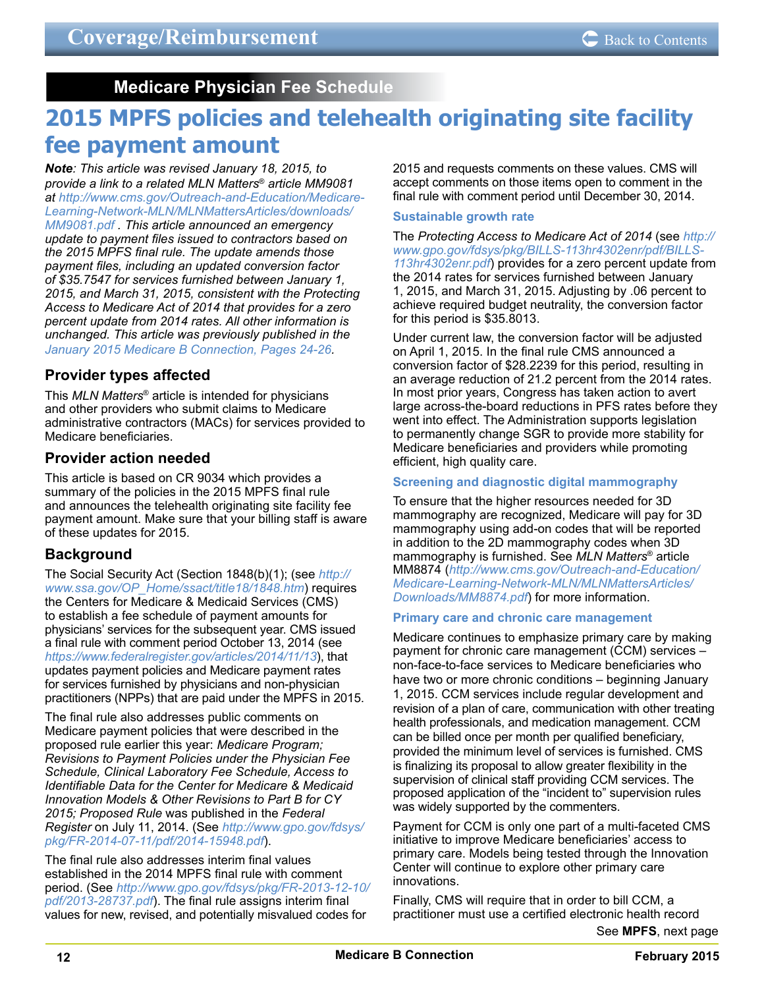**Medicare Physician Fee Schedule**

# <span id="page-11-0"></span>**2015 MPFS policies and telehealth originating site facility fee payment amount**

*Note: This article was revised January 18, 2015, to provide a link to a related MLN Matters*® *article MM9081 at [http://www.cms.gov/Outreach-and-Education/Medicare-](http://www.cms.gov/Outreach-and-Education/Medicare-Learning-Network-MLN/MLNMattersArticles/downloads/MM9081.pdf)[Learning-Network-MLN/MLNMattersArticles/downloads/](http://www.cms.gov/Outreach-and-Education/Medicare-Learning-Network-MLN/MLNMattersArticles/downloads/MM9081.pdf) [MM9081.pdf](http://www.cms.gov/Outreach-and-Education/Medicare-Learning-Network-MLN/MLNMattersArticles/downloads/MM9081.pdf) . This article announced an emergency update to payment files issued to contractors based on the 2015 MPFS final rule. The update amends those payment files, including an updated conversion factor of \$35.7547 for services furnished between January 1, 2015, and March 31, 2015, consistent with the Protecting Access to Medicare Act of 2014 that provides for a zero percent update from 2014 rates. All other information is unchanged. This article was previously published in the [January 2015 Medicare B Connection, Pages 24-26.](http://medicare.fcso.com/publications_b/278009.pdf#page=24)*

## **Provider types affected**

This *MLN Matters*® article is intended for physicians and other providers who submit claims to Medicare administrative contractors (MACs) for services provided to Medicare beneficiaries.

## **Provider action needed**

This article is based on CR 9034 which provides a summary of the policies in the 2015 MPFS final rule and announces the telehealth originating site facility fee payment amount. Make sure that your billing staff is aware of these updates for 2015.

## **Background**

The Social Security Act (Section 1848(b)(1); (see *[http://](http://www.ssa.gov/OP_Home/ssact/title18/1848.htm) [www.ssa.gov/OP\\_Home/ssact/title18/1848.htm](http://www.ssa.gov/OP_Home/ssact/title18/1848.htm)*) requires the Centers for Medicare & Medicaid Services (CMS) to establish a fee schedule of payment amounts for physicians' services for the subsequent year. CMS issued a final rule with comment period October 13, 2014 (see *<https://www.federalregister.gov/articles/2014/11/13>*), that updates payment policies and Medicare payment rates for services furnished by physicians and non-physician practitioners (NPPs) that are paid under the MPFS in 2015.

The final rule also addresses public comments on Medicare payment policies that were described in the proposed rule earlier this year: *Medicare Program; Revisions to Payment Policies under the Physician Fee Schedule, Clinical Laboratory Fee Schedule, Access to Identifiable Data for the Center for Medicare & Medicaid Innovation Models & Other Revisions to Part B for CY 2015; Proposed Rule* was published in the *Federal Register* on July 11, 2014. (See *[http://www.gpo.gov/fdsys/](http://www.gpo.gov/fdsys/pkg/FR-2014-07-11/pdf/2014-15948.pdf) [pkg/FR-2014-07-11/pdf/2014-15948.pdf](http://www.gpo.gov/fdsys/pkg/FR-2014-07-11/pdf/2014-15948.pdf)*).

The final rule also addresses interim final values established in the 2014 MPFS final rule with comment period. (See *[http://www.gpo.gov/fdsys/pkg/FR-2013-12-10/](http://www.gpo.gov/fdsys/pkg/FR-2013-12-10/pdf/2013-28737.pdf) [pdf/2013-28737.pdf](http://www.gpo.gov/fdsys/pkg/FR-2013-12-10/pdf/2013-28737.pdf)*). The final rule assigns interim final values for new, revised, and potentially misvalued codes for

2015 and requests comments on these values. CMS will accept comments on those items open to comment in the final rule with comment period until December 30, 2014.

#### **Sustainable growth rate**

The *Protecting Access to Medicare Act of 2014* (see *[http://](http://www.gpo.gov/fdsys/pkg/BILLS-113hr4302enr/pdf/BILLS-113hr4302enr.pdf) [www.gpo.gov/fdsys/pkg/BILLS-113hr4302enr/pdf/BILLS-](http://www.gpo.gov/fdsys/pkg/BILLS-113hr4302enr/pdf/BILLS-113hr4302enr.pdf)[113hr4302enr.pdf](http://www.gpo.gov/fdsys/pkg/BILLS-113hr4302enr/pdf/BILLS-113hr4302enr.pdf)*) provides for a zero percent update from the 2014 rates for services furnished between January 1, 2015, and March 31, 2015. Adjusting by .06 percent to achieve required budget neutrality, the conversion factor for this period is \$35.8013.

Under current law, the conversion factor will be adjusted on April 1, 2015. In the final rule CMS announced a conversion factor of \$28.2239 for this period, resulting in an average reduction of 21.2 percent from the 2014 rates. In most prior years, Congress has taken action to avert large across-the-board reductions in PFS rates before they went into effect. The Administration supports legislation to permanently change SGR to provide more stability for Medicare beneficiaries and providers while promoting efficient, high quality care.

### **Screening and diagnostic digital mammography**

To ensure that the higher resources needed for 3D mammography are recognized, Medicare will pay for 3D mammography using add-on codes that will be reported in addition to the 2D mammography codes when 3D mammography is furnished. See *MLN Matters*® article MM8874 (*[http://www.cms.gov/Outreach-and-Education/](http://www.cms.gov/Outreach-and-Education/Medicare-Learning-Network-MLN/MLNMattersArticles/Downloads/MM8874.pdf) [Medicare-Learning-Network-MLN/MLNMattersArticles/](http://www.cms.gov/Outreach-and-Education/Medicare-Learning-Network-MLN/MLNMattersArticles/Downloads/MM8874.pdf) [Downloads/MM8874.pdf](http://www.cms.gov/Outreach-and-Education/Medicare-Learning-Network-MLN/MLNMattersArticles/Downloads/MM8874.pdf)*) for more information.

### **Primary care and chronic care management**

Medicare continues to emphasize primary care by making payment for chronic care management (CCM) services – non-face-to-face services to Medicare beneficiaries who have two or more chronic conditions – beginning January 1, 2015. CCM services include regular development and revision of a plan of care, communication with other treating health professionals, and medication management. CCM can be billed once per month per qualified beneficiary, provided the minimum level of services is furnished. CMS is finalizing its proposal to allow greater flexibility in the supervision of clinical staff providing CCM services. The proposed application of the "incident to" supervision rules was widely supported by the commenters.

Payment for CCM is only one part of a multi-faceted CMS initiative to improve Medicare beneficiaries' access to primary care. Models being tested through the Innovation Center will continue to explore other primary care innovations.

Finally, CMS will require that in order to bill CCM, a practitioner must use a certified electronic health record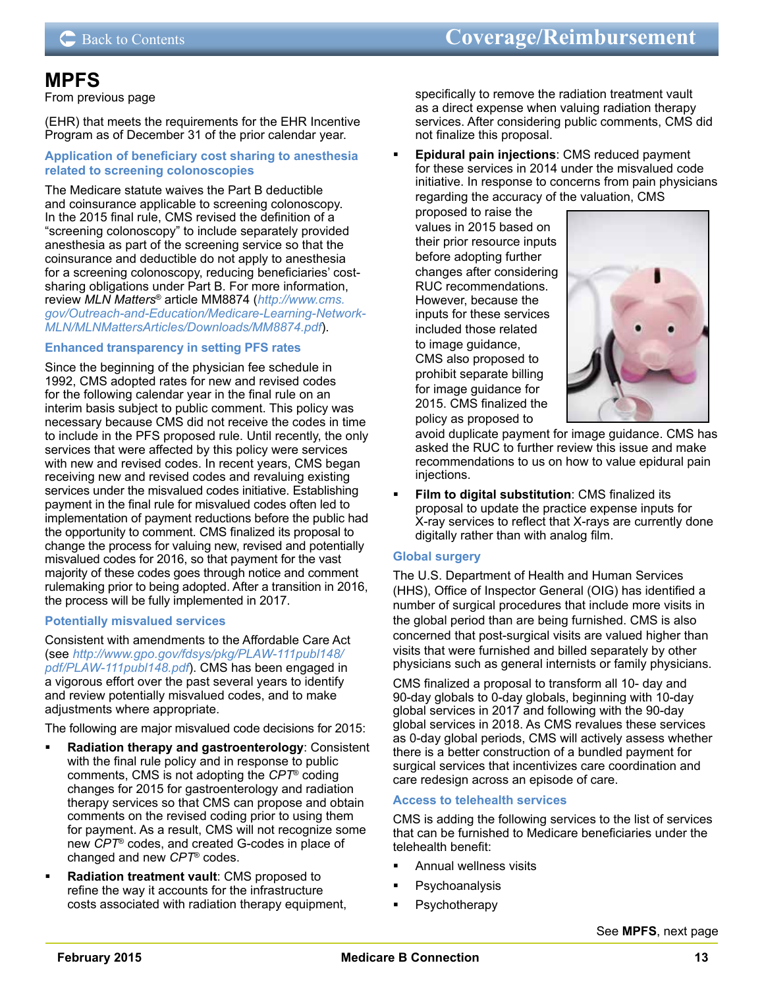## **MPFS**

From previous page

(EHR) that meets the requirements for the EHR Incentive Program as of December 31 of the prior calendar year.

#### **Application of beneficiary cost sharing to anesthesia related to screening colonoscopies**

The Medicare statute waives the Part B deductible and coinsurance applicable to screening colonoscopy. In the 2015 final rule, CMS revised the definition of a "screening colonoscopy" to include separately provided anesthesia as part of the screening service so that the coinsurance and deductible do not apply to anesthesia for a screening colonoscopy, reducing beneficiaries' costsharing obligations under Part B. For more information, review *MLN Matters*® article MM8874 (*[http://www.cms.](http://www.cms.gov/Outreach-and-Education/Medicare-Learning-Network-MLN/MLNMattersArticles/Downloads/MM8874.pdf) [gov/Outreach-and-Education/Medicare-Learning-Network-](http://www.cms.gov/Outreach-and-Education/Medicare-Learning-Network-MLN/MLNMattersArticles/Downloads/MM8874.pdf)[MLN/MLNMattersArticles/Downloads/MM8874.pdf](http://www.cms.gov/Outreach-and-Education/Medicare-Learning-Network-MLN/MLNMattersArticles/Downloads/MM8874.pdf)*).

#### **Enhanced transparency in setting PFS rates**

Since the beginning of the physician fee schedule in 1992, CMS adopted rates for new and revised codes for the following calendar year in the final rule on an interim basis subject to public comment. This policy was necessary because CMS did not receive the codes in time to include in the PFS proposed rule. Until recently, the only services that were affected by this policy were services with new and revised codes. In recent years, CMS began receiving new and revised codes and revaluing existing services under the misvalued codes initiative. Establishing payment in the final rule for misvalued codes often led to implementation of payment reductions before the public had the opportunity to comment. CMS finalized its proposal to change the process for valuing new, revised and potentially misvalued codes for 2016, so that payment for the vast majority of these codes goes through notice and comment rulemaking prior to being adopted. After a transition in 2016, the process will be fully implemented in 2017.

### **Potentially misvalued services**

Consistent with amendments to the Affordable Care Act (see *[http://www.gpo.gov/fdsys/pkg/PLAW-111publ148/](http://www.gpo.gov/fdsys/pkg/PLAW-111publ148/pdf/PLAW-111publ148.pdf) [pdf/PLAW-111publ148.pdf](http://www.gpo.gov/fdsys/pkg/PLAW-111publ148/pdf/PLAW-111publ148.pdf)*). CMS has been engaged in a vigorous effort over the past several years to identify and review potentially misvalued codes, and to make adjustments where appropriate.

The following are major misvalued code decisions for 2015:

- **Radiation therapy and gastroenterology**: Consistent with the final rule policy and in response to public comments, CMS is not adopting the *CPT*® coding changes for 2015 for gastroenterology and radiation therapy services so that CMS can propose and obtain comments on the revised coding prior to using them for payment. As a result, CMS will not recognize some new *CPT*® codes, and created G-codes in place of changed and new *CPT*® codes.
- **Radiation treatment vault**: CMS proposed to refine the way it accounts for the infrastructure costs associated with radiation therapy equipment,

specifically to remove the radiation treatment vault as a direct expense when valuing radiation therapy services. After considering public comments, CMS did not finalize this proposal.

 **Epidural pain injections**: CMS reduced payment for these services in 2014 under the misvalued code initiative. In response to concerns from pain physicians regarding the accuracy of the valuation, CMS

proposed to raise the values in 2015 based on their prior resource inputs before adopting further changes after considering RUC recommendations. However, because the inputs for these services included those related to image guidance, CMS also proposed to prohibit separate billing for image guidance for 2015. CMS finalized the policy as proposed to



avoid duplicate payment for image guidance. CMS has asked the RUC to further review this issue and make recommendations to us on how to value epidural pain injections.

 **Film to digital substitution**: CMS finalized its proposal to update the practice expense inputs for X-ray services to reflect that X-rays are currently done digitally rather than with analog film.

### **Global surgery**

The U.S. Department of Health and Human Services (HHS), Office of Inspector General (OIG) has identified a number of surgical procedures that include more visits in the global period than are being furnished. CMS is also concerned that post-surgical visits are valued higher than visits that were furnished and billed separately by other physicians such as general internists or family physicians.

CMS finalized a proposal to transform all 10- day and 90-day globals to 0-day globals, beginning with 10-day global services in 2017 and following with the 90-day global services in 2018. As CMS revalues these services as 0-day global periods, CMS will actively assess whether there is a better construction of a bundled payment for surgical services that incentivizes care coordination and care redesign across an episode of care.

### **Access to telehealth services**

CMS is adding the following services to the list of services that can be furnished to Medicare beneficiaries under the telehealth benefit:

- Annual wellness visits
- Psychoanalysis
- Psychotherapy

See **MPFS**, next page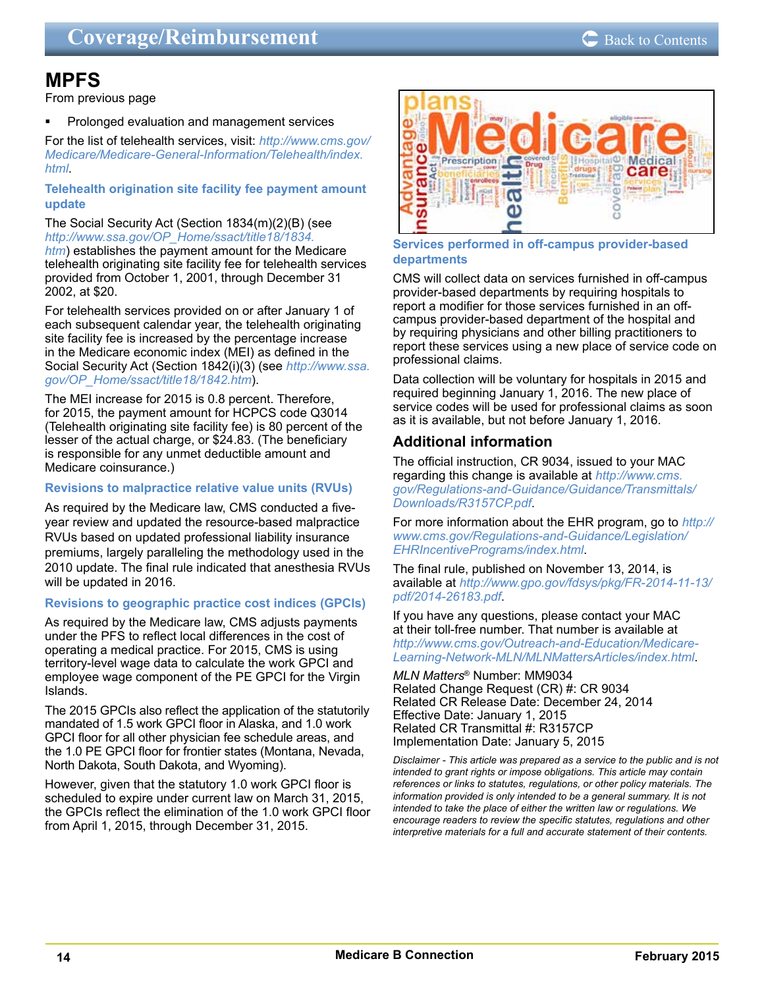## **MPFS**

From previous page

 Prolonged evaluation and management services

For the list of telehealth services, visit: *[http://www.cms.gov/](http://www.cms.gov/Medicare/Medicare-General-Information/Telehealth/index.html) [Medicare/Medicare-General-Information/Telehealth/index.](http://www.cms.gov/Medicare/Medicare-General-Information/Telehealth/index.html) [html](http://www.cms.gov/Medicare/Medicare-General-Information/Telehealth/index.html)*.

#### **Telehealth origination site facility fee payment amount update**

The Social Security Act (Section 1834(m)(2)(B) (see *[http://www.ssa.gov/OP\\_Home/ssact/title18/1834.](http://www.ssa.gov/OP_Home/ssact/title18/1834.htm) [htm](http://www.ssa.gov/OP_Home/ssact/title18/1834.htm)*) establishes the payment amount for the Medicare telehealth originating site facility fee for telehealth services provided from October 1, 2001, through December 31 2002, at \$20.

For telehealth services provided on or after January 1 of each subsequent calendar year, the telehealth originating site facility fee is increased by the percentage increase in the Medicare economic index (MEI) as defined in the Social Security Act (Section 1842(i)(3) (see *[http://www.ssa.](http://www.ssa.gov/OP_Home/ssact/title18/1842.htm) [gov/OP\\_Home/ssact/title18/1842.htm](http://www.ssa.gov/OP_Home/ssact/title18/1842.htm)*).

The MEI increase for 2015 is 0.8 percent. Therefore, for 2015, the payment amount for HCPCS code Q3014 (Telehealth originating site facility fee) is 80 percent of the lesser of the actual charge, or \$24.83. (The beneficiary is responsible for any unmet deductible amount and Medicare coinsurance.)

#### **Revisions to malpractice relative value units (RVUs)**

As required by the Medicare law, CMS conducted a fiveyear review and updated the resource-based malpractice RVUs based on updated professional liability insurance premiums, largely paralleling the methodology used in the 2010 update. The final rule indicated that anesthesia RVUs will be updated in 2016.

#### **Revisions to geographic practice cost indices (GPCIs)**

As required by the Medicare law, CMS adjusts payments under the PFS to reflect local differences in the cost of operating a medical practice. For 2015, CMS is using territory-level wage data to calculate the work GPCI and employee wage component of the PE GPCI for the Virgin Islands.

The 2015 GPCIs also reflect the application of the statutorily mandated of 1.5 work GPCI floor in Alaska, and 1.0 work GPCI floor for all other physician fee schedule areas, and the 1.0 PE GPCI floor for frontier states (Montana, Nevada, North Dakota, South Dakota, and Wyoming).

However, given that the statutory 1.0 work GPCI floor is scheduled to expire under current law on March 31, 2015, the GPCIs reflect the elimination of the 1.0 work GPCI floor from April 1, 2015, through December 31, 2015.



**Services performed in off-campus provider-based departments**

CMS will collect data on services furnished in off-campus provider-based departments by requiring hospitals to report a modifier for those services furnished in an offcampus provider-based department of the hospital and by requiring physicians and other billing practitioners to report these services using a new place of service code on professional claims.

Data collection will be voluntary for hospitals in 2015 and required beginning January 1, 2016. The new place of service codes will be used for professional claims as soon as it is available, but not before January 1, 2016.

## **Additional information**

The official instruction, CR 9034, issued to your MAC regarding this change is available at *[http://www.cms.](http://www.cms.gov/Regulations-and-Guidance/Guidance/Transmittals/Downloads/R3157CP.pdf) [gov/Regulations-and-Guidance/Guidance/Transmittals/](http://www.cms.gov/Regulations-and-Guidance/Guidance/Transmittals/Downloads/R3157CP.pdf) [Downloads/R3157CP.pdf](http://www.cms.gov/Regulations-and-Guidance/Guidance/Transmittals/Downloads/R3157CP.pdf)*.

For more information about the EHR program, go to *[http://](http://www.cms.gov/Regulations-and-Guidance/Legislation/EHRIncentivePrograms/index.html) [www.cms.gov/Regulations-and-Guidance/Legislation/](http://www.cms.gov/Regulations-and-Guidance/Legislation/EHRIncentivePrograms/index.html) [EHRIncentivePrograms/index.html](http://www.cms.gov/Regulations-and-Guidance/Legislation/EHRIncentivePrograms/index.html)*.

The final rule, published on November 13, 2014, is available at *[http://www.gpo.gov/fdsys/pkg/FR-2014-11-13/](http://www.gpo.gov/fdsys/pkg/FR-2014-11-13/pdf/2014-26183.pdf) [pdf/2014-26183.pdf](http://www.gpo.gov/fdsys/pkg/FR-2014-11-13/pdf/2014-26183.pdf)*.

#### If you have any questions, please contact your MAC at their toll-free number. That number is available at *[http://www.cms.gov/Outreach-and-Education/Medicare-](http://www.cms.gov/Outreach-and-Education/Medicare-Learning-Network-MLN/MLNMattersArticles/index.html)[Learning-Network-MLN/MLNMattersArticles/index.html](http://www.cms.gov/Outreach-and-Education/Medicare-Learning-Network-MLN/MLNMattersArticles/index.html)*.

*MLN Matters*® Number: MM9034 Related Change Request (CR) #: CR 9034 Related CR Release Date: December 24, 2014 Effective Date: January 1, 2015 Related CR Transmittal #: R3157CP Implementation Date: January 5, 2015

*Disclaimer - This article was prepared as a service to the public and is not intended to grant rights or impose obligations. This article may contain references or links to statutes, regulations, or other policy materials. The information provided is only intended to be a general summary. It is not intended to take the place of either the written law or regulations. We encourage readers to review the specific statutes, regulations and other interpretive materials for a full and accurate statement of their contents.*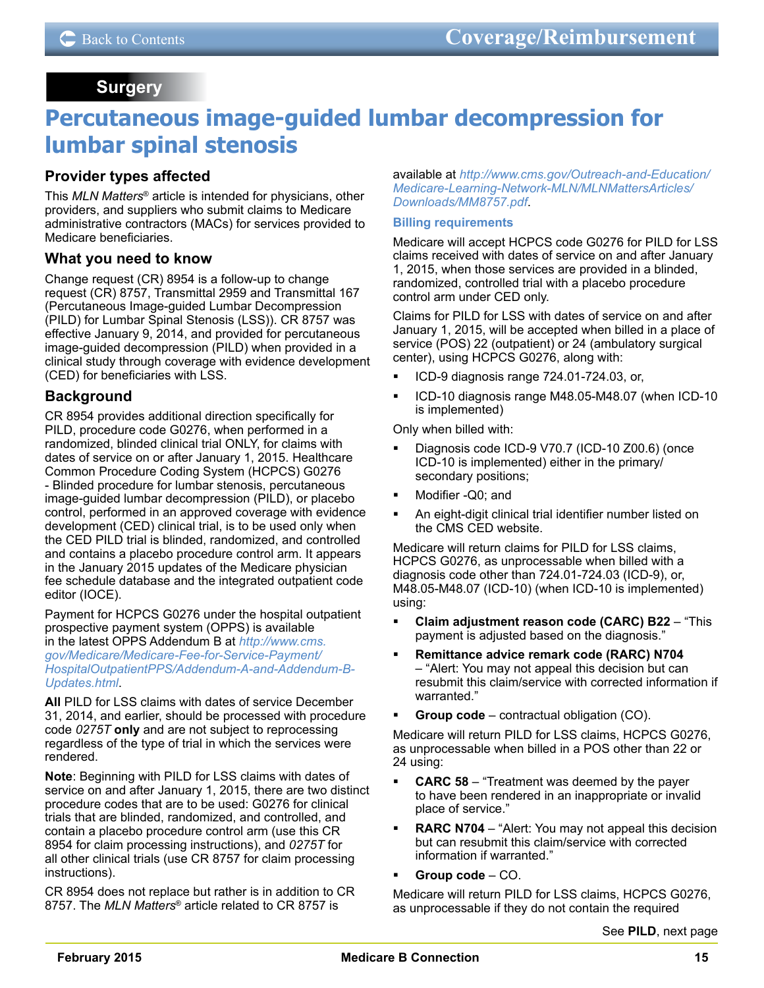## **Surgery**

# <span id="page-14-0"></span>**Percutaneous image-guided lumbar decompression for lumbar spinal stenosis**

## **Provider types affected**

This *MLN Matters*® article is intended for physicians, other providers, and suppliers who submit claims to Medicare administrative contractors (MACs) for services provided to Medicare beneficiaries.

## **What you need to know**

Change request (CR) 8954 is a follow-up to change request (CR) 8757, Transmittal 2959 and Transmittal 167 (Percutaneous Image-guided Lumbar Decompression (PILD) for Lumbar Spinal Stenosis (LSS)). CR 8757 was effective January 9, 2014, and provided for percutaneous image-guided decompression (PILD) when provided in a clinical study through coverage with evidence development (CED) for beneficiaries with LSS.

## **Background**

CR 8954 provides additional direction specifically for PILD, procedure code G0276, when performed in a randomized, blinded clinical trial ONLY, for claims with dates of service on or after January 1, 2015. Healthcare Common Procedure Coding System (HCPCS) G0276 - Blinded procedure for lumbar stenosis, percutaneous image-guided lumbar decompression (PILD), or placebo control, performed in an approved coverage with evidence development (CED) clinical trial, is to be used only when the CED PILD trial is blinded, randomized, and controlled and contains a placebo procedure control arm. It appears in the January 2015 updates of the Medicare physician fee schedule database and the integrated outpatient code editor (IOCE).

Payment for HCPCS G0276 under the hospital outpatient prospective payment system (OPPS) is available in the latest OPPS Addendum B at *[http://www.cms.](http://www.cms.gov/Medicare/Medicare-Fee-for-Service-Payment/HospitalOutpatientPPS/Addendum-A-and-Addendum-B-Updates.html) [gov/Medicare/Medicare-Fee-for-Service-Payment/](http://www.cms.gov/Medicare/Medicare-Fee-for-Service-Payment/HospitalOutpatientPPS/Addendum-A-and-Addendum-B-Updates.html) [HospitalOutpatientPPS/Addendum-A-and-Addendum-B-](http://www.cms.gov/Medicare/Medicare-Fee-for-Service-Payment/HospitalOutpatientPPS/Addendum-A-and-Addendum-B-Updates.html)[Updates.html](http://www.cms.gov/Medicare/Medicare-Fee-for-Service-Payment/HospitalOutpatientPPS/Addendum-A-and-Addendum-B-Updates.html)*.

**All** PILD for LSS claims with dates of service December 31, 2014, and earlier, should be processed with procedure code *0275T* **only** and are not subject to reprocessing regardless of the type of trial in which the services were rendered.

**Note**: Beginning with PILD for LSS claims with dates of service on and after January 1, 2015, there are two distinct procedure codes that are to be used: G0276 for clinical trials that are blinded, randomized, and controlled, and contain a placebo procedure control arm (use this CR 8954 for claim processing instructions), and *0275T* for all other clinical trials (use CR 8757 for claim processing instructions).

CR 8954 does not replace but rather is in addition to CR 8757. The *MLN Matters*® article related to CR 8757 is

available at *[http://www.cms.gov/Outreach-and-Education/](http://www.cms.gov/Outreach-and-Education/Medicare-Learning-Network-MLN/MLNMattersArticles/Downloads/MM8757.pdf) [Medicare-Learning-Network-MLN/MLNMattersArticles/](http://www.cms.gov/Outreach-and-Education/Medicare-Learning-Network-MLN/MLNMattersArticles/Downloads/MM8757.pdf) [Downloads/MM8757.pdf](http://www.cms.gov/Outreach-and-Education/Medicare-Learning-Network-MLN/MLNMattersArticles/Downloads/MM8757.pdf)*.

#### **Billing requirements**

Medicare will accept HCPCS code G0276 for PILD for LSS claims received with dates of service on and after January 1, 2015, when those services are provided in a blinded, randomized, controlled trial with a placebo procedure control arm under CED only.

Claims for PILD for LSS with dates of service on and after January 1, 2015, will be accepted when billed in a place of service (POS) 22 (outpatient) or 24 (ambulatory surgical center), using HCPCS G0276, along with:

- ICD-9 diagnosis range 724.01-724.03, or,
- ICD-10 diagnosis range M48.05-M48.07 (when ICD-10 is implemented)

Only when billed with:

- Diagnosis code ICD-9 V70.7 (ICD-10 Z00.6) (once ICD-10 is implemented) either in the primary/ secondary positions;
- Modifier -Q0; and
- An eight-digit clinical trial identifier number listed on the CMS CED website.

Medicare will return claims for PILD for LSS claims, HCPCS G0276, as unprocessable when billed with a diagnosis code other than 724.01-724.03 (ICD-9), or, M48.05-M48.07 (ICD-10) (when ICD-10 is implemented) using:

- **Claim adjustment reason code (CARC) B22** "This payment is adjusted based on the diagnosis."
- **Remittance advice remark code (RARC) N704** – "Alert: You may not appeal this decision but can resubmit this claim/service with corrected information if warranted."
- **Group code** contractual obligation (CO).

Medicare will return PILD for LSS claims, HCPCS G0276, as unprocessable when billed in a POS other than 22 or 24 using:

- **CARC 58** "Treatment was deemed by the payer to have been rendered in an inappropriate or invalid place of service."
- **RARC N704** "Alert: You may not appeal this decision but can resubmit this claim/service with corrected information if warranted."
- **Group code** CO.

Medicare will return PILD for LSS claims, HCPCS G0276, as unprocessable if they do not contain the required

See **PILD**, next page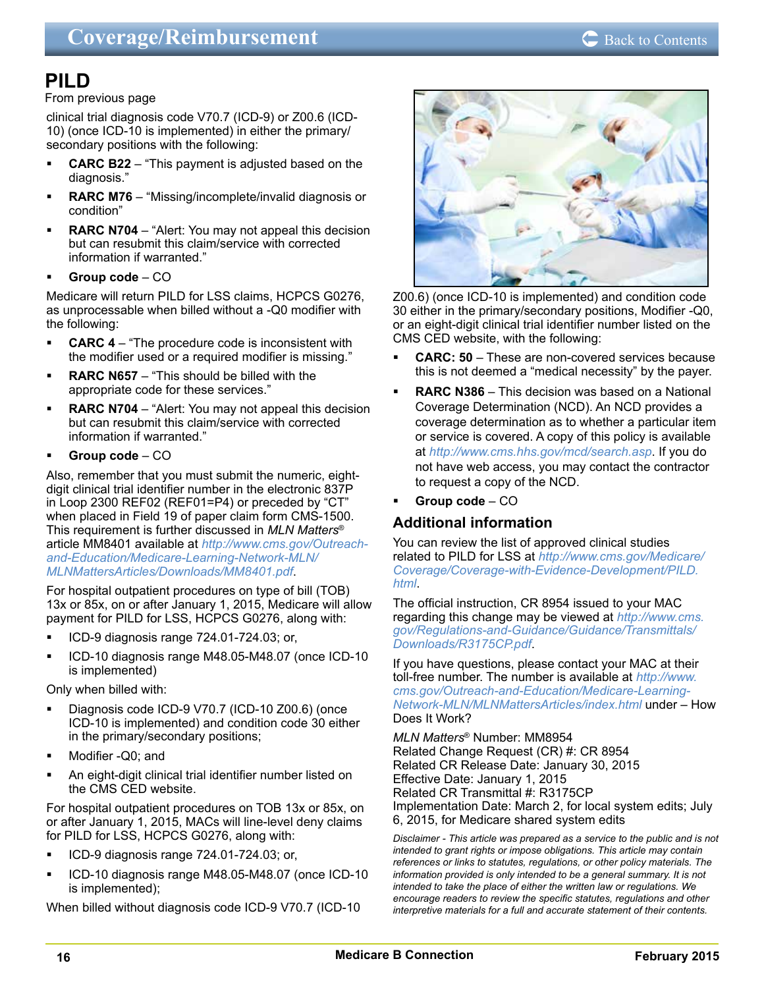## **PILD**

#### From previous page

clinical trial diagnosis code V70.7 (ICD-9) or Z00.6 (ICD-10) (once ICD-10 is implemented) in either the primary/ secondary positions with the following:

- **CARC B22** "This payment is adjusted based on the diagnosis."
- **RARC M76** "Missing/incomplete/invalid diagnosis or condition"
- **RARC N704** "Alert: You may not appeal this decision but can resubmit this claim/service with corrected information if warranted."
- **Group code** CO

Medicare will return PILD for LSS claims, HCPCS G0276, as unprocessable when billed without a -Q0 modifier with the following:

- **CARC 4** "The procedure code is inconsistent with the modifier used or a required modifier is missing."
- **RARC N657** "This should be billed with the appropriate code for these services."
- **RARC N704** "Alert: You may not appeal this decision but can resubmit this claim/service with corrected information if warranted."
- **Group code** CO

Also, remember that you must submit the numeric, eightdigit clinical trial identifier number in the electronic 837P in Loop 2300 REF02 (REF01=P4) or preceded by "CT" when placed in Field 19 of paper claim form CMS-1500. This requirement is further discussed in *MLN Matters*® article MM8401 available at *[http://www.cms.gov/Outreach](http://www.cms.gov/Outreach-and-Education/Medicare-Learning-Network-MLN/MLNMattersArticles/Downloads/MM8401.pdf)[and-Education/Medicare-Learning-Network-MLN/](http://www.cms.gov/Outreach-and-Education/Medicare-Learning-Network-MLN/MLNMattersArticles/Downloads/MM8401.pdf) [MLNMattersArticles/Downloads/MM8401.pdf](http://www.cms.gov/Outreach-and-Education/Medicare-Learning-Network-MLN/MLNMattersArticles/Downloads/MM8401.pdf)*.

For hospital outpatient procedures on type of bill (TOB) 13x or 85x, on or after January 1, 2015, Medicare will allow payment for PILD for LSS, HCPCS G0276, along with:

- ICD-9 diagnosis range 724.01-724.03; or,
- ICD-10 diagnosis range M48.05-M48.07 (once ICD-10 is implemented)

Only when billed with:

- Diagnosis code ICD-9 V70.7 (ICD-10 Z00.6) (once ICD-10 is implemented) and condition code 30 either in the primary/secondary positions;
- Modifier -Q0; and
- An eight-digit clinical trial identifier number listed on the CMS CED website.

For hospital outpatient procedures on TOB 13x or 85x, on or after January 1, 2015, MACs will line-level deny claims for PILD for LSS, HCPCS G0276, along with:

- ICD-9 diagnosis range 724.01-724.03; or,
- ICD-10 diagnosis range M48.05-M48.07 (once ICD-10 is implemented);

When billed without diagnosis code ICD-9 V70.7 (ICD-10



Z00.6) (once ICD-10 is implemented) and condition code 30 either in the primary/secondary positions, Modifier -Q0, or an eight-digit clinical trial identifier number listed on the CMS CED website, with the following:

- **CARC: 50** These are non-covered services because this is not deemed a "medical necessity" by the payer.
- **RARC N386**  This decision was based on a National Coverage Determination (NCD). An NCD provides a coverage determination as to whether a particular item or service is covered. A copy of this policy is available at *<http://www.cms.hhs.gov/mcd/search.asp>*. If you do not have web access, you may contact the contractor to request a copy of the NCD.

 **Group code** – CO

## **Additional information**

You can review the list of approved clinical studies related to PILD for LSS at *[http://www.cms.gov/Medicare/](http://www.cms.gov/Medicare/Coverage/Coverage-with-Evidence-Development/PILD.html) [Coverage/Coverage-with-Evidence-Development/PILD.](http://www.cms.gov/Medicare/Coverage/Coverage-with-Evidence-Development/PILD.html) [html](http://www.cms.gov/Medicare/Coverage/Coverage-with-Evidence-Development/PILD.html)*.

The official instruction, CR 8954 issued to your MAC regarding this change may be viewed at *[http://www.cms.](http://www.cms.gov/Regulations-and-Guidance/Guidance/Transmittals/Downloads/R3175CP.pdf) [gov/Regulations-and-Guidance/Guidance/Transmittals/](http://www.cms.gov/Regulations-and-Guidance/Guidance/Transmittals/Downloads/R3175CP.pdf) [Downloads/R3175CP.pdf](http://www.cms.gov/Regulations-and-Guidance/Guidance/Transmittals/Downloads/R3175CP.pdf)*.

If you have questions, please contact your MAC at their toll-free number. The number is available at *[http://www.](http://www.cms.gov/Outreach-and-Education/Medicare-Learning-Network-MLN/MLNMattersArticles/index.html) [cms.gov/Outreach-and-Education/Medicare-Learning-](http://www.cms.gov/Outreach-and-Education/Medicare-Learning-Network-MLN/MLNMattersArticles/index.html)[Network-MLN/MLNMattersArticles/index.html](http://www.cms.gov/Outreach-and-Education/Medicare-Learning-Network-MLN/MLNMattersArticles/index.html)* under – How Does It Work?

*MLN Matters*® Number: MM8954 Related Change Request (CR) #: CR 8954 Related CR Release Date: January 30, 2015 Effective Date: January 1, 2015 Related CR Transmittal #: R3175CP Implementation Date: March 2, for local system edits; July 6, 2015, for Medicare shared system edits

*Disclaimer - This article was prepared as a service to the public and is not intended to grant rights or impose obligations. This article may contain references or links to statutes, regulations, or other policy materials. The information provided is only intended to be a general summary. It is not intended to take the place of either the written law or regulations. We encourage readers to review the specific statutes, regulations and other interpretive materials for a full and accurate statement of their contents.*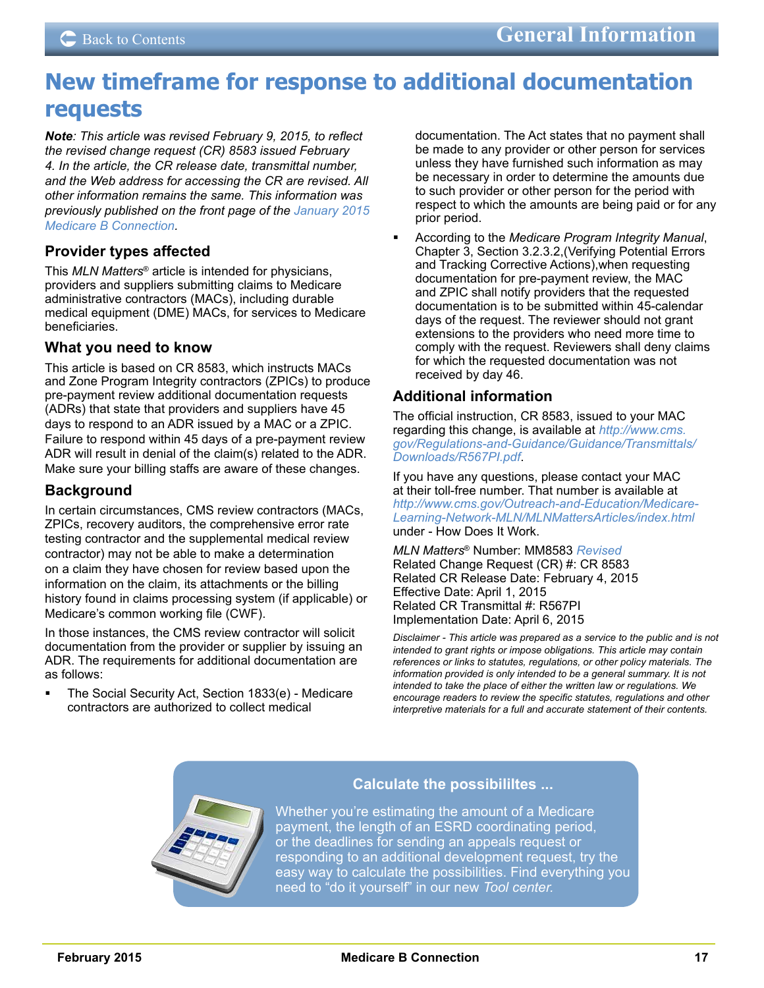# <span id="page-16-0"></span>**New timeframe for response to additional documentation requests**

*Note: This article was revised February 9, 2015, to reflect the revised change request (CR) 8583 issued February 4. In the article, the CR release date, transmittal number, and the Web address for accessing the CR are revised. All other information remains the same. This information was previously published on the front page of the [January 2015](http://medicare.fcso.com/Publications_B/278009.pdf)  [Medicare B Connection.](http://medicare.fcso.com/Publications_B/278009.pdf)*

## **Provider types affected**

This *MLN Matters*® article is intended for physicians, providers and suppliers submitting claims to Medicare administrative contractors (MACs), including durable medical equipment (DME) MACs, for services to Medicare beneficiaries.

### **What you need to know**

This article is based on CR 8583, which instructs MACs and Zone Program Integrity contractors (ZPICs) to produce pre-payment review additional documentation requests (ADRs) that state that providers and suppliers have 45 days to respond to an ADR issued by a MAC or a ZPIC. Failure to respond within 45 days of a pre-payment review ADR will result in denial of the claim(s) related to the ADR. Make sure your billing staffs are aware of these changes.

## **Background**

In certain circumstances, CMS review contractors (MACs, ZPICs, recovery auditors, the comprehensive error rate testing contractor and the supplemental medical review contractor) may not be able to make a determination on a claim they have chosen for review based upon the information on the claim, its attachments or the billing history found in claims processing system (if applicable) or Medicare's common working file (CWF).

In those instances, the CMS review contractor will solicit documentation from the provider or supplier by issuing an ADR. The requirements for additional documentation are as follows:

 The Social Security Act, Section 1833(e) - Medicare contractors are authorized to collect medical

documentation. The Act states that no payment shall be made to any provider or other person for services unless they have furnished such information as may be necessary in order to determine the amounts due to such provider or other person for the period with respect to which the amounts are being paid or for any prior period.

 According to the *Medicare Program Integrity Manual*, Chapter 3, Section 3.2.3.2,(Verifying Potential Errors and Tracking Corrective Actions),when requesting documentation for pre-payment review, the MAC and ZPIC shall notify providers that the requested documentation is to be submitted within 45-calendar days of the request. The reviewer should not grant extensions to the providers who need more time to comply with the request. Reviewers shall deny claims for which the requested documentation was not received by day 46.

## **Additional information**

The official instruction, CR 8583, issued to your MAC regarding this change, is available at *[http://www.cms.](http://www.cms.gov/Regulations-and-Guidance/Guidance/Transmittals/Downloads/R567PI.pdf) [gov/Regulations-and-Guidance/Guidance/Transmittals/](http://www.cms.gov/Regulations-and-Guidance/Guidance/Transmittals/Downloads/R567PI.pdf) [Downloads/R567PI.pdf](http://www.cms.gov/Regulations-and-Guidance/Guidance/Transmittals/Downloads/R567PI.pdf)*.

If you have any questions, please contact your MAC at their toll-free number. That number is available at *[http://www.cms.gov/Outreach-and-Education/Medicare-](http://www.cms.gov/Outreach-and-Education/Medicare-Learning-Network-MLN/MLNMattersArticles/index.html)[Learning-Network-MLN/MLNMattersArticles/index.html](http://www.cms.gov/Outreach-and-Education/Medicare-Learning-Network-MLN/MLNMattersArticles/index.html)* under - How Does It Work.

*MLN Matters*® Number: MM8583 *Revised* Related Change Request (CR) #: CR 8583 Related CR Release Date: February 4, 2015 Effective Date: April 1, 2015 Related CR Transmittal #: R567PI Implementation Date: April 6, 2015

*Disclaimer - This article was prepared as a service to the public and is not intended to grant rights or impose obligations. This article may contain references or links to statutes, regulations, or other policy materials. The information provided is only intended to be a general summary. It is not intended to take the place of either the written law or regulations. We encourage readers to review the specific statutes, regulations and other interpretive materials for a full and accurate statement of their contents.*



### **Calculate the possibililtes ...**

Whether you're estimating the amount of a Medicare payment, the length of an ESRD coordinating period, or the deadlines for sending an appeals request or responding to an additional development request, try the easy way to calculate the possibilities. Find everything you need to "do it yourself" in our new *[Tool center.](http://medicare.fcso.com/Tools_Center/233145.asp)*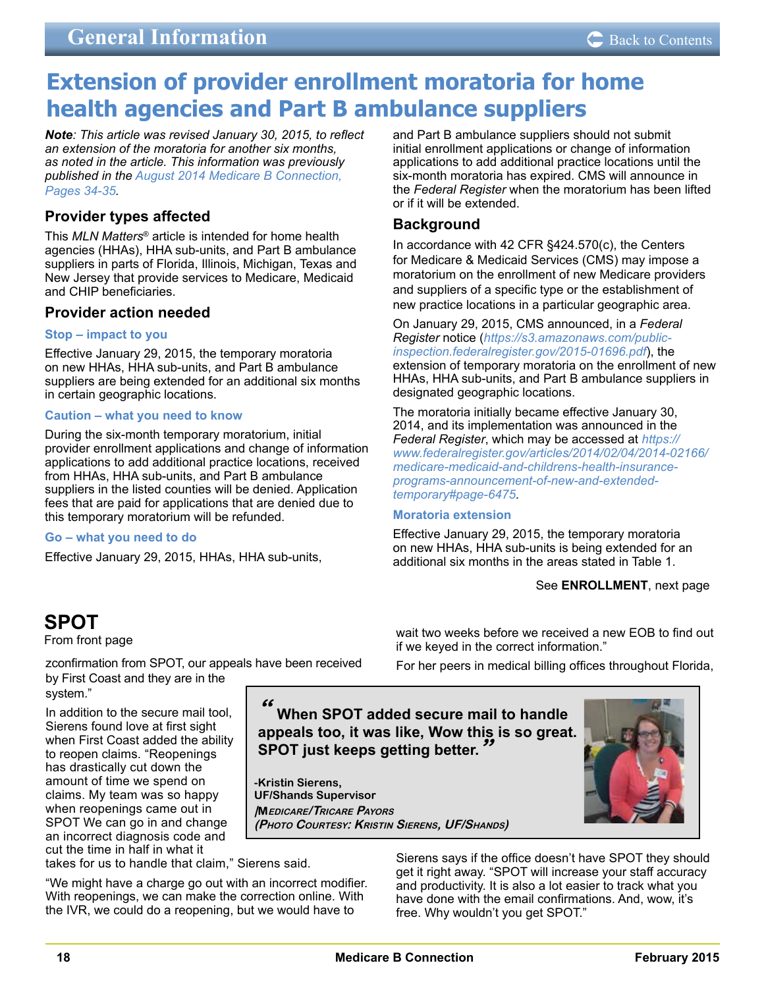# <span id="page-17-0"></span>**Extension of provider enrollment moratoria for home health agencies and Part B ambulance suppliers**

*Note: This article was revised January 30, 2015, to reflect an extension of the moratoria for another six months, as noted in the article. This information was previously published in the [August 2014 Medicare B Connection,](http://medicare.fcso.com/Publications_B/2014/273385.pdf#page=34)  [Pages 34-35.](http://medicare.fcso.com/Publications_B/2014/273385.pdf#page=34)*

## **Provider types affected**

This *MLN Matters*® article is intended for home health agencies (HHAs), HHA sub-units, and Part B ambulance suppliers in parts of Florida, Illinois, Michigan, Texas and New Jersey that provide services to Medicare, Medicaid and CHIP beneficiaries.

## **Provider action needed**

#### **Stop – impact to you**

Effective January 29, 2015, the temporary moratoria on new HHAs, HHA sub-units, and Part B ambulance suppliers are being extended for an additional six months in certain geographic locations.

### **Caution – what you need to know**

During the six-month temporary moratorium, initial provider enrollment applications and change of information applications to add additional practice locations, received from HHAs, HHA sub-units, and Part B ambulance suppliers in the listed counties will be denied. Application fees that are paid for applications that are denied due to this temporary moratorium will be refunded.

#### **Go – what you need to do**

Effective January 29, 2015, HHAs, HHA sub-units,

and Part B ambulance suppliers should not submit initial enrollment applications or change of information applications to add additional practice locations until the six-month moratoria has expired. CMS will announce in the *Federal Register* when the moratorium has been lifted or if it will be extended.

## **Background**

In accordance with 42 CFR §424.570(c), the Centers for Medicare & Medicaid Services (CMS) may impose a moratorium on the enrollment of new Medicare providers and suppliers of a specific type or the establishment of new practice locations in a particular geographic area.

On January 29, 2015, CMS announced, in a *Federal Register* notice (*[https://s3.amazonaws.com/public](https://s3.amazonaws.com/public-inspection.federalregister.gov/2015-01696.pdf)[inspection.federalregister.gov/2015-01696.pdf](https://s3.amazonaws.com/public-inspection.federalregister.gov/2015-01696.pdf)*), the extension of temporary moratoria on the enrollment of new HHAs, HHA sub-units, and Part B ambulance suppliers in designated geographic locations.

The moratoria initially became effective January 30, 2014, and its implementation was announced in the *Federal Register*, which may be accessed at *[https://](https://www.federalregister.gov/articles/2014/02/04/2014-02166/medicare-medicaid-and-childrens-health-insurance-programs-announcement-of-new-and-extended-temporary#page-6475) [www.federalregister.gov/articles/2014/02/04/2014-02166/](https://www.federalregister.gov/articles/2014/02/04/2014-02166/medicare-medicaid-and-childrens-health-insurance-programs-announcement-of-new-and-extended-temporary#page-6475) [medicare-medicaid-and-childrens-health-insurance](https://www.federalregister.gov/articles/2014/02/04/2014-02166/medicare-medicaid-and-childrens-health-insurance-programs-announcement-of-new-and-extended-temporary#page-6475)[programs-announcement-of-new-and-extended](https://www.federalregister.gov/articles/2014/02/04/2014-02166/medicare-medicaid-and-childrens-health-insurance-programs-announcement-of-new-and-extended-temporary#page-6475)[temporary#page-6475](https://www.federalregister.gov/articles/2014/02/04/2014-02166/medicare-medicaid-and-childrens-health-insurance-programs-announcement-of-new-and-extended-temporary#page-6475)*.

#### **Moratoria extension**

Effective January 29, 2015, the temporary moratoria on new HHAs, HHA sub-units is being extended for an additional six months in the areas stated in Table 1.

wait two weeks before we received a new EOB to find out

### See **ENROLLMENT**, next page

## **SPOT**

From front page

zconfirmation from SPOT, our appeals have been received by First Coast and they are in the system."

In addition to the secure mail tool, Sierens found love at first sight when First Coast added the ability to reopen claims. "Reopenings has drastically cut down the amount of time we spend on claims. My team was so happy when reopenings came out in SPOT We can go in and change an incorrect diagnosis code and cut the time in half in what it

if we keyed in the correct information." For her peers in medical billing offices throughout Florida,

**" When SPOT added secure mail to handle appeals too, it was like, Wow this is so great. SPOT just keeps getting better.** 

**-Kristin Sierens, UF/Shands Supervisor |Medicare/Tricare Payors (Photo Courtesy: Kristin Sierens, UF/Shands)**



Sierens says if the office doesn't have SPOT they should get it right away. "SPOT will increase your staff accuracy and productivity. It is also a lot easier to track what you have done with the email confirmations. And, wow, it's free. Why wouldn't you get SPOT."

takes for us to handle that claim," Sierens said.

"We might have a charge go out with an incorrect modifier. With reopenings, we can make the correction online. With the IVR, we could do a reopening, but we would have to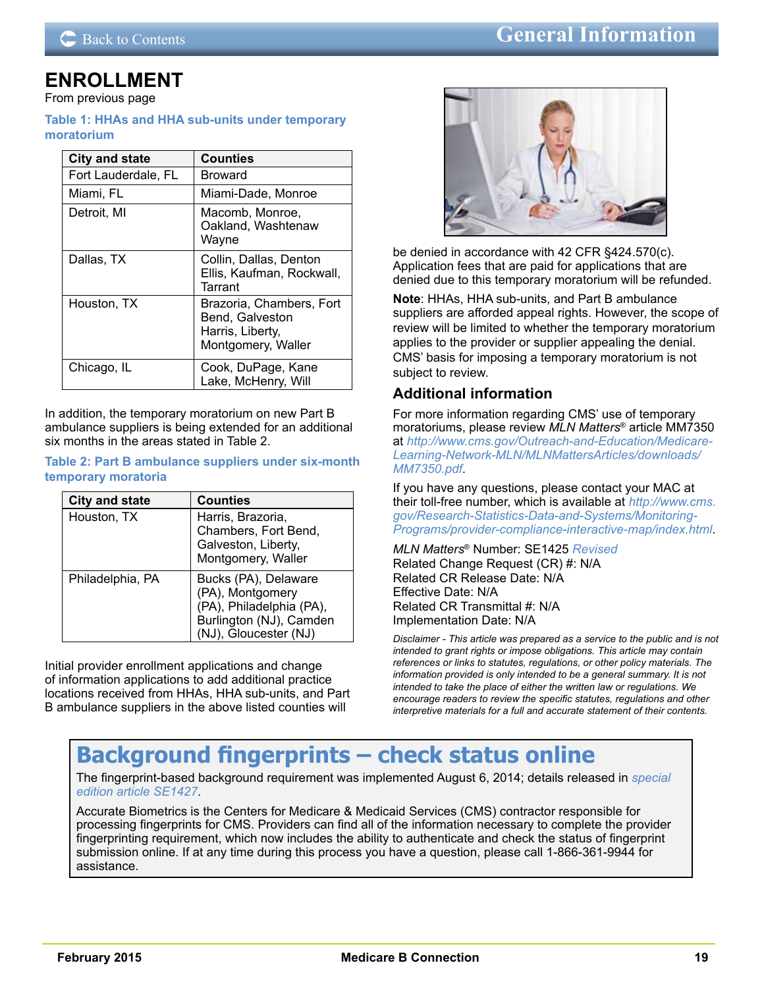## **DE [Back to Contents](#page-1-0) About the Medicare Back to Contents About the Medicare B Connection**

## <span id="page-18-0"></span>**ENROLLMENT**

From previous page

#### **Table 1: HHAs and HHA sub-units under temporary moratorium**

| <b>City and state</b> | <b>Counties</b>                                                                       |  |  |
|-----------------------|---------------------------------------------------------------------------------------|--|--|
| Fort Lauderdale, FL   | Broward                                                                               |  |  |
| Miami, FL             | Miami-Dade, Monroe                                                                    |  |  |
| Detroit, MI           | Macomb, Monroe,<br>Oakland, Washtenaw<br>Wayne                                        |  |  |
| Dallas, TX            | Collin, Dallas, Denton<br>Ellis, Kaufman, Rockwall,<br>Tarrant                        |  |  |
| Houston, TX           | Brazoria, Chambers, Fort<br>Bend, Galveston<br>Harris, Liberty,<br>Montgomery, Waller |  |  |
| Chicago, IL           | Cook, DuPage, Kane<br>Lake, McHenry, Will                                             |  |  |

In addition, the temporary moratorium on new Part B ambulance suppliers is being extended for an additional six months in the areas stated in Table 2.

#### **Table 2: Part B ambulance suppliers under six-month temporary moratoria**

| <b>City and state</b> | <b>Counties</b>                                                                                                          |
|-----------------------|--------------------------------------------------------------------------------------------------------------------------|
| Houston, TX           | Harris, Brazoria,<br>Chambers, Fort Bend,<br>Galveston, Liberty,<br>Montgomery, Waller                                   |
| Philadelphia, PA      | Bucks (PA), Delaware<br>(PA), Montgomery<br>(PA), Philadelphia (PA),<br>Burlington (NJ), Camden<br>(NJ), Gloucester (NJ) |

Initial provider enrollment applications and change of information applications to add additional practice locations received from HHAs, HHA sub-units, and Part B ambulance suppliers in the above listed counties will



be denied in accordance with 42 CFR §424.570(c). Application fees that are paid for applications that are denied due to this temporary moratorium will be refunded.

**Note**: HHAs, HHA sub-units, and Part B ambulance suppliers are afforded appeal rights. However, the scope of review will be limited to whether the temporary moratorium applies to the provider or supplier appealing the denial. CMS' basis for imposing a temporary moratorium is not subject to review.

## **Additional information**

For more information regarding CMS' use of temporary moratoriums, please review *MLN Matters*® article MM7350 at *[http://www.cms.gov/Outreach-and-Education/Medicare-](http://www.cms.gov/Outreach-and-Education/Medicare-Learning-Network-MLN/MLNMattersArticles/downloads/MM7350.pdf)[Learning-Network-MLN/MLNMattersArticles/downloads/](http://www.cms.gov/Outreach-and-Education/Medicare-Learning-Network-MLN/MLNMattersArticles/downloads/MM7350.pdf) [MM7350.pdf](http://www.cms.gov/Outreach-and-Education/Medicare-Learning-Network-MLN/MLNMattersArticles/downloads/MM7350.pdf)*.

If you have any questions, please contact your MAC at their toll-free number, which is available at *[http://www.cms.](http://www.cms.gov/Research-Statistics-Data-and-Systems/Monitoring-Programs/provider-compliance-interactive-map/index.html) [gov/Research-Statistics-Data-and-Systems/Monitoring-](http://www.cms.gov/Research-Statistics-Data-and-Systems/Monitoring-Programs/provider-compliance-interactive-map/index.html)[Programs/provider-compliance-interactive-map/index.html](http://www.cms.gov/Research-Statistics-Data-and-Systems/Monitoring-Programs/provider-compliance-interactive-map/index.html)*.

*MLN Matters*® Number: SE1425 *Revised* Related Change Request (CR) #: N/A Related CR Release Date: N/A Effective Date: N/A Related CR Transmittal #: N/A Implementation Date: N/A

*Disclaimer - This article was prepared as a service to the public and is not intended to grant rights or impose obligations. This article may contain references or links to statutes, regulations, or other policy materials. The information provided is only intended to be a general summary. It is not intended to take the place of either the written law or regulations. We encourage readers to review the specific statutes, regulations and other interpretive materials for a full and accurate statement of their contents.*

# **Background fingerprints – check status online**

The fingerprint-based background requirement was implemented August 6, 2014; details released in *[special](http://www.cms.gov/Outreach-and-Education/Medicare-Learning-Network-MLN/MLNMattersArticles/Downloads/SE1427.pdf)  [edition article SE1427](http://www.cms.gov/Outreach-and-Education/Medicare-Learning-Network-MLN/MLNMattersArticles/Downloads/SE1427.pdf)*.

Accurate Biometrics is the Centers for Medicare & Medicaid Services (CMS) contractor responsible for processing fingerprints for CMS. Providers can find all of the information necessary to complete the provider fingerprinting requirement, which now includes the ability to authenticate and check the status of fingerprint submission online. If at any time during this process you have a question, please call 1-866-361-9944 for assistance.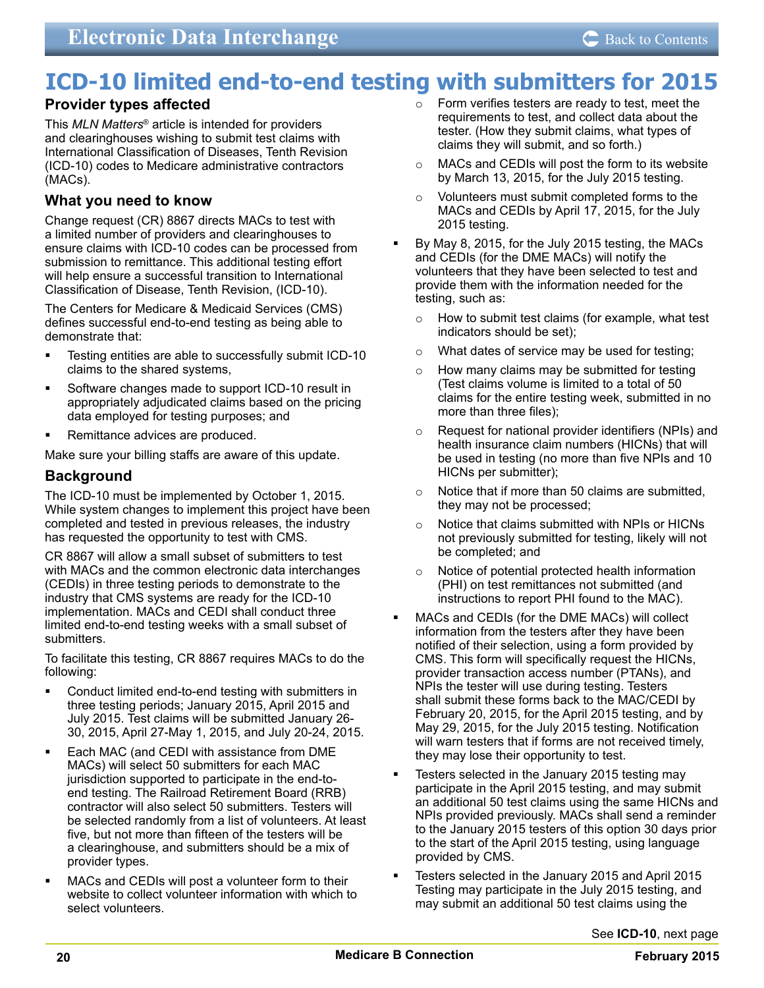## <span id="page-19-0"></span>**ICD-10 limited end-to-end testing with submitters for 2015**

## **Provider types affected**

This *MLN Matters*® article is intended for providers and clearinghouses wishing to submit test claims with International Classification of Diseases, Tenth Revision (ICD-10) codes to Medicare administrative contractors (MACs).

## **What you need to know**

Change request (CR) 8867 directs MACs to test with a limited number of providers and clearinghouses to ensure claims with ICD-10 codes can be processed from submission to remittance. This additional testing effort will help ensure a successful transition to International Classification of Disease, Tenth Revision, (ICD-10).

The Centers for Medicare & Medicaid Services (CMS) defines successful end-to-end testing as being able to demonstrate that:

- Testing entities are able to successfully submit ICD-10 claims to the shared systems,
- Software changes made to support ICD-10 result in appropriately adjudicated claims based on the pricing data employed for testing purposes; and
- Remittance advices are produced.

Make sure your billing staffs are aware of this update.

### **Background**

The ICD-10 must be implemented by October 1, 2015. While system changes to implement this project have been completed and tested in previous releases, the industry has requested the opportunity to test with CMS.

CR 8867 will allow a small subset of submitters to test with MACs and the common electronic data interchanges (CEDIs) in three testing periods to demonstrate to the industry that CMS systems are ready for the ICD-10 implementation. MACs and CEDI shall conduct three limited end-to-end testing weeks with a small subset of submitters.

To facilitate this testing, CR 8867 requires MACs to do the following:

- Conduct limited end-to-end testing with submitters in three testing periods; January 2015, April 2015 and July 2015. Test claims will be submitted January 26- 30, 2015, April 27-May 1, 2015, and July 20-24, 2015.
- Each MAC (and CEDI with assistance from DME MACs) will select 50 submitters for each MAC jurisdiction supported to participate in the end-toend testing. The Railroad Retirement Board (RRB) contractor will also select 50 submitters. Testers will be selected randomly from a list of volunteers. At least five, but not more than fifteen of the testers will be a clearinghouse, and submitters should be a mix of provider types.
- MACs and CEDIs will post a volunteer form to their website to collect volunteer information with which to select volunteers.
- o Form verifies testers are ready to test, meet the requirements to test, and collect data about the tester. (How they submit claims, what types of claims they will submit, and so forth.)
- o MACs and CEDIs will post the form to its website by March 13, 2015, for the July 2015 testing.
- o Volunteers must submit completed forms to the MACs and CEDIs by April 17, 2015, for the July 2015 testing.
- By May 8, 2015, for the July 2015 testing, the MACs and CEDIs (for the DME MACs) will notify the volunteers that they have been selected to test and provide them with the information needed for the testing, such as:
	- o How to submit test claims (for example, what test indicators should be set);
	- o What dates of service may be used for testing;
	- o How many claims may be submitted for testing (Test claims volume is limited to a total of 50 claims for the entire testing week, submitted in no more than three files);
	- o Request for national provider identifiers (NPIs) and health insurance claim numbers (HICNs) that will be used in testing (no more than five NPIs and 10 HICNs per submitter);
	- $\circ$  Notice that if more than 50 claims are submitted, they may not be processed;
	- o Notice that claims submitted with NPIs or HICNs not previously submitted for testing, likely will not be completed; and
	- o Notice of potential protected health information (PHI) on test remittances not submitted (and instructions to report PHI found to the MAC).
- MACs and CEDIs (for the DME MACs) will collect information from the testers after they have been notified of their selection, using a form provided by CMS. This form will specifically request the HICNs, provider transaction access number (PTANs), and NPIs the tester will use during testing. Testers shall submit these forms back to the MAC/CEDI by February 20, 2015, for the April 2015 testing, and by May 29, 2015, for the July 2015 testing. Notification will warn testers that if forms are not received timely, they may lose their opportunity to test.
- Testers selected in the January 2015 testing may participate in the April 2015 testing, and may submit an additional 50 test claims using the same HICNs and NPIs provided previously. MACs shall send a reminder to the January 2015 testers of this option 30 days prior to the start of the April 2015 testing, using language provided by CMS.
- Testers selected in the January 2015 and April 2015 Testing may participate in the July 2015 testing, and may submit an additional 50 test claims using the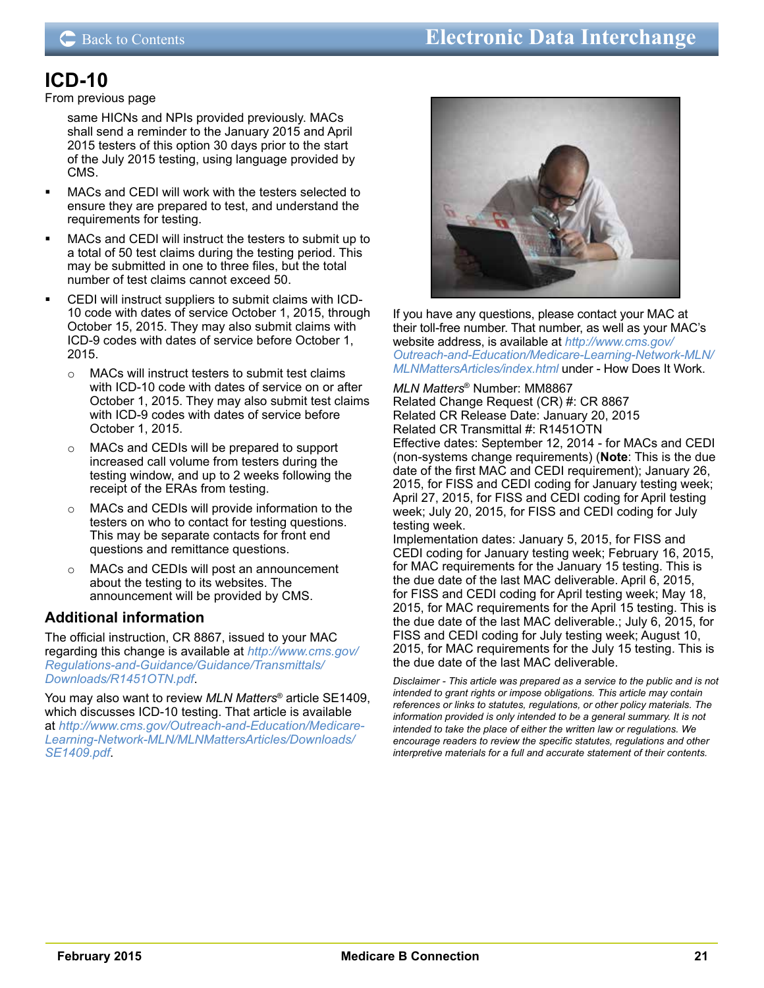## **ICD-10**

### From previous page

same HICNs and NPIs provided previously. MACs shall send a reminder to the January 2015 and April 2015 testers of this option 30 days prior to the start of the July 2015 testing, using language provided by CMS.

- MACs and CEDI will work with the testers selected to ensure they are prepared to test, and understand the requirements for testing.
- MACs and CEDI will instruct the testers to submit up to a total of 50 test claims during the testing period. This may be submitted in one to three files, but the total number of test claims cannot exceed 50.
- CEDI will instruct suppliers to submit claims with ICD-10 code with dates of service October 1, 2015, through October 15, 2015. They may also submit claims with ICD-9 codes with dates of service before October 1, 2015.
	- o MACs will instruct testers to submit test claims with ICD-10 code with dates of service on or after October 1, 2015. They may also submit test claims with ICD-9 codes with dates of service before October 1, 2015.
	- o MACs and CEDIs will be prepared to support increased call volume from testers during the testing window, and up to 2 weeks following the receipt of the ERAs from testing.
	- o MACs and CEDIs will provide information to the testers on who to contact for testing questions. This may be separate contacts for front end questions and remittance questions.
	- o MACs and CEDIs will post an announcement about the testing to its websites. The announcement will be provided by CMS.

## **Additional information**

The official instruction, CR 8867, issued to your MAC regarding this change is available at *[http://www.cms.gov/](http://www.cms.gov/Regulations-and-Guidance/Guidance/Transmittals/Downloads/R1451OTN.pdf) [Regulations-and-Guidance/Guidance/Transmittals/](http://www.cms.gov/Regulations-and-Guidance/Guidance/Transmittals/Downloads/R1451OTN.pdf) [Downloads/R1451OTN.pdf](http://www.cms.gov/Regulations-and-Guidance/Guidance/Transmittals/Downloads/R1451OTN.pdf)*.

You may also want to review *MLN Matters*® article SE1409, which discusses ICD-10 testing. That article is available at *[http://www.cms.gov/Outreach-and-Education/Medicare-](http://www.cms.gov/Outreach-and-Education/Medicare-Learning-Network-MLN/MLNMattersArticles/Downloads/SE1409.pdf)[Learning-Network-MLN/MLNMattersArticles/Downloads/](http://www.cms.gov/Outreach-and-Education/Medicare-Learning-Network-MLN/MLNMattersArticles/Downloads/SE1409.pdf) [SE1409.pdf](http://www.cms.gov/Outreach-and-Education/Medicare-Learning-Network-MLN/MLNMattersArticles/Downloads/SE1409.pdf)*.



If you have any questions, please contact your MAC at their toll-free number. That number, as well as your MAC's website address, is available at *[http://www.cms.gov/](http://www.cms.gov/Outreach-and-Education/Medicare-Learning-Network-MLN/MLNMattersArticles/index.html) [Outreach-and-Education/Medicare-Learning-Network-MLN/](http://www.cms.gov/Outreach-and-Education/Medicare-Learning-Network-MLN/MLNMattersArticles/index.html) [MLNMattersArticles/index.html](http://www.cms.gov/Outreach-and-Education/Medicare-Learning-Network-MLN/MLNMattersArticles/index.html)* under - How Does It Work.

#### *MLN Matters*® Number: MM8867

Related Change Request (CR) #: CR 8867 Related CR Release Date: January 20, 2015 Related CR Transmittal #: R1451OTN Effective dates: September 12, 2014 - for MACs and CEDI (non-systems change requirements) (**Note**: This is the due date of the first MAC and CEDI requirement); January 26, 2015, for FISS and CEDI coding for January testing week; April 27, 2015, for FISS and CEDI coding for April testing week; July 20, 2015, for FISS and CEDI coding for July testing week.

Implementation dates: January 5, 2015, for FISS and CEDI coding for January testing week; February 16, 2015, for MAC requirements for the January 15 testing. This is the due date of the last MAC deliverable. April 6, 2015, for FISS and CEDI coding for April testing week; May 18, 2015, for MAC requirements for the April 15 testing. This is the due date of the last MAC deliverable.; July 6, 2015, for FISS and CEDI coding for July testing week; August 10, 2015, for MAC requirements for the July 15 testing. This is the due date of the last MAC deliverable.

*Disclaimer - This article was prepared as a service to the public and is not intended to grant rights or impose obligations. This article may contain references or links to statutes, regulations, or other policy materials. The information provided is only intended to be a general summary. It is not intended to take the place of either the written law or regulations. We encourage readers to review the specific statutes, regulations and other interpretive materials for a full and accurate statement of their contents.*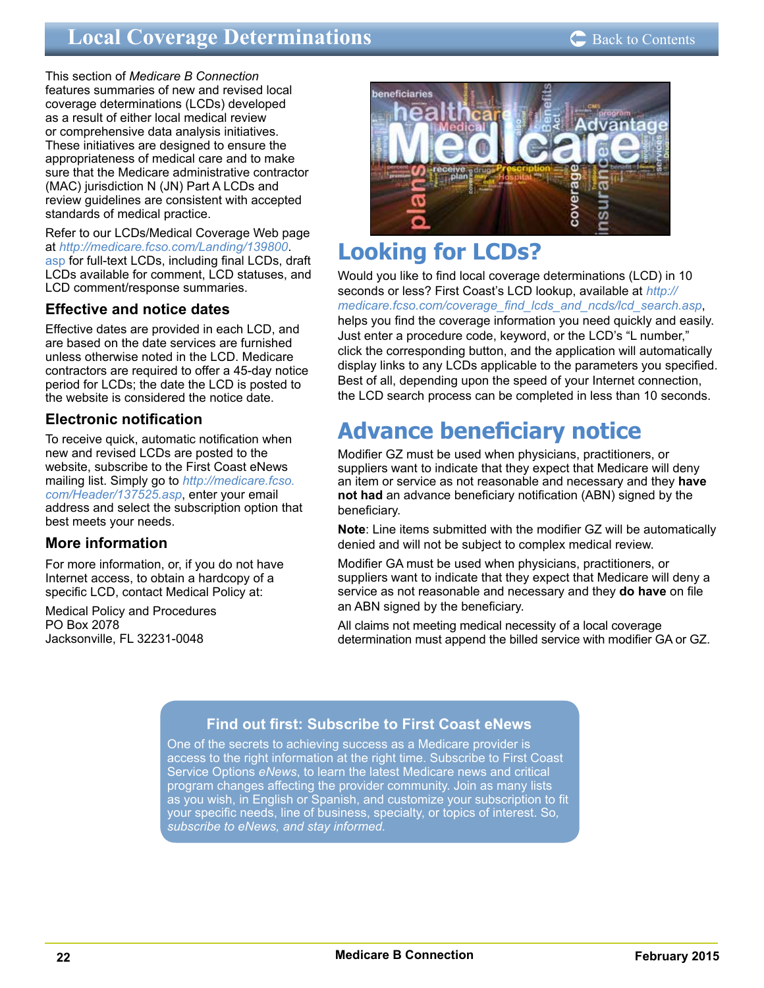## <span id="page-21-0"></span>**Local Coverage Determinations**

This section of *Medicare B Connection* features summaries of new and revised local coverage determinations (LCDs) developed as a result of either local medical review or comprehensive data analysis initiatives. These initiatives are designed to ensure the appropriateness of medical care and to make sure that the Medicare administrative contractor (MAC) jurisdiction N (JN) Part A LCDs and review guidelines are consistent with accepted standards of medical practice.

Refer to our LCDs/Medical Coverage Web page at *[http://medicare.fcso.com/Landing/139800](http://medicare.fcso.com/Landing/139800.asp)*. [asp](http://medicare.fcso.com/Landing/139800.asp) for full-text LCDs, including final LCDs, draft LCDs available for comment, LCD statuses, and LCD comment/response summaries.

## **Effective and notice dates**

Effective dates are provided in each LCD, and are based on the date services are furnished unless otherwise noted in the LCD. Medicare contractors are required to offer a 45-day notice period for LCDs; the date the LCD is posted to the website is considered the notice date.

## **Electronic notification**

To receive quick, automatic notification when new and revised LCDs are posted to the website, subscribe to the First Coast eNews mailing list. Simply go to *[http://medicare.fcso.](http://medicare.fcso.com/Header/137525.asp) [com/Header/137525.asp](http://medicare.fcso.com/Header/137525.asp)*, enter your email address and select the subscription option that best meets your needs.

## **More information**

For more information, or, if you do not have Internet access, to obtain a hardcopy of a specific LCD, contact Medical Policy at:

Medical Policy and Procedures PO Box 2078 Jacksonville, FL 32231-0048



# **Looking for LCDs?**

Would you like to find local coverage determinations (LCD) in 10 seconds or less? First Coast's LCD lookup, available at *[http://](http://medicare.fcso.com/coverage_find_lcds_and_ncds/lcd_search.asp) [medicare.fcso.com/coverage\\_find\\_lcds\\_and\\_ncds/lcd\\_search.asp](http://medicare.fcso.com/coverage_find_lcds_and_ncds/lcd_search.asp)*, helps you find the coverage information you need quickly and easily. Just enter a procedure code, keyword, or the LCD's "L number," click the corresponding button, and the application will automatically display links to any LCDs applicable to the parameters you specified. Best of all, depending upon the speed of your Internet connection, the LCD search process can be completed in less than 10 seconds.

# **Advance beneficiary notice**

Modifier GZ must be used when physicians, practitioners, or suppliers want to indicate that they expect that Medicare will deny an item or service as not reasonable and necessary and they **have not had** an advance beneficiary notification (ABN) signed by the beneficiary.

**Note**: Line items submitted with the modifier GZ will be automatically denied and will not be subject to complex medical review.

Modifier GA must be used when physicians, practitioners, or suppliers want to indicate that they expect that Medicare will deny a service as not reasonable and necessary and they **do have** on file an ABN signed by the beneficiary.

All claims not meeting medical necessity of a local coverage determination must append the billed service with modifier GA or GZ.

## **Find out first: Subscribe to First Coast eNews**

One of the secrets to achieving success as a Medicare provider is access to the right information at the right time. Subscribe to First Coast Service Options *eNews*, to learn the latest Medicare news and critical program changes affecting the provider community. Join as many lists as you wish, in English or Spanish, and customize your subscription to fit your specific needs, line of business, specialty, or topics of interest. So*, [subscribe to eNews, and stay informed.](http://medicare.fcso.com/Header/137525.asp)*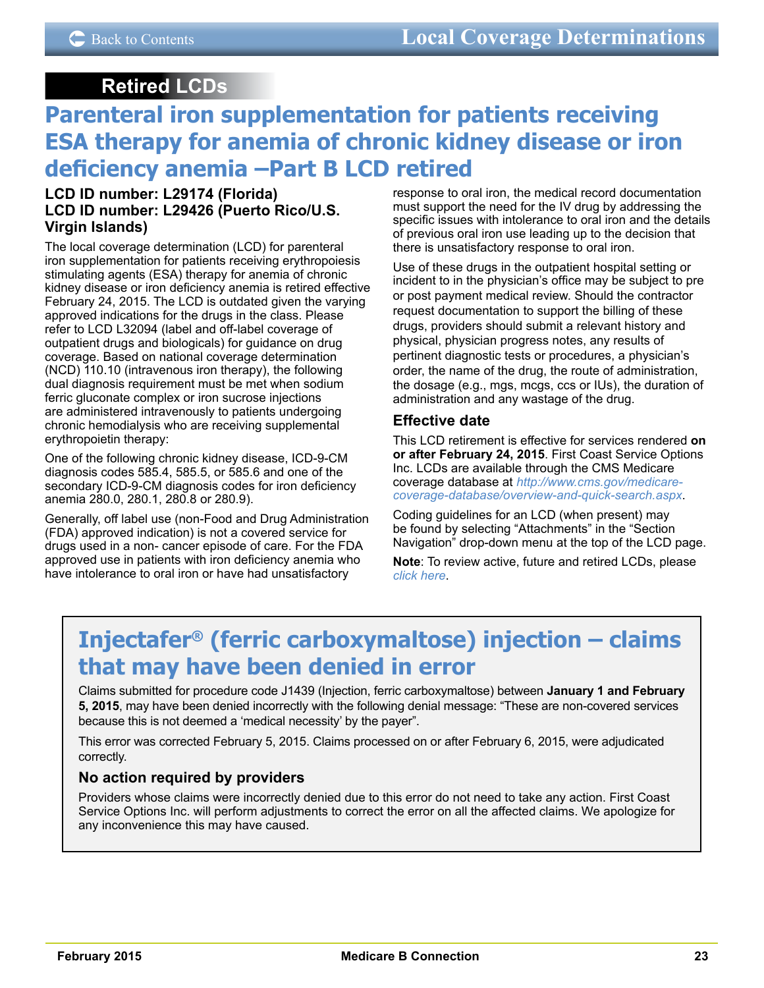## **Retired LCDs**

## <span id="page-22-0"></span>**Parenteral iron supplementation for patients receiving ESA therapy for anemia of chronic kidney disease or iron deficiency anemia –Part B LCD retired**

### **LCD ID number: L29174 (Florida) LCD ID number: L29426 (Puerto Rico/U.S. Virgin Islands)**

The local coverage determination (LCD) for parenteral iron supplementation for patients receiving erythropoiesis stimulating agents (ESA) therapy for anemia of chronic kidney disease or iron deficiency anemia is retired effective February 24, 2015. The LCD is outdated given the varying approved indications for the drugs in the class. Please refer to LCD L32094 (label and off-label coverage of outpatient drugs and biologicals) for guidance on drug coverage. Based on national coverage determination (NCD) 110.10 (intravenous iron therapy), the following dual diagnosis requirement must be met when sodium ferric gluconate complex or iron sucrose injections are administered intravenously to patients undergoing chronic hemodialysis who are receiving supplemental erythropoietin therapy:

One of the following chronic kidney disease, ICD-9-CM diagnosis codes 585.4, 585.5, or 585.6 and one of the secondary ICD-9-CM diagnosis codes for iron deficiency anemia 280.0, 280.1, 280.8 or 280.9).

Generally, off label use (non-Food and Drug Administration (FDA) approved indication) is not a covered service for drugs used in a non- cancer episode of care. For the FDA approved use in patients with iron deficiency anemia who have intolerance to oral iron or have had unsatisfactory

response to oral iron, the medical record documentation must support the need for the IV drug by addressing the specific issues with intolerance to oral iron and the details of previous oral iron use leading up to the decision that there is unsatisfactory response to oral iron.

Use of these drugs in the outpatient hospital setting or incident to in the physician's office may be subject to pre or post payment medical review. Should the contractor request documentation to support the billing of these drugs, providers should submit a relevant history and physical, physician progress notes, any results of pertinent diagnostic tests or procedures, a physician's order, the name of the drug, the route of administration, the dosage (e.g., mgs, mcgs, ccs or IUs), the duration of administration and any wastage of the drug.

## **Effective date**

This LCD retirement is effective for services rendered **on or after February 24, 2015**. First Coast Service Options Inc. LCDs are available through the CMS Medicare coverage database at *[http://www.cms.gov/medicare](http://www.cms.gov/medicare-coverage-database/overview-and-quick-search.aspx)[coverage-database/overview-and-quick-search.aspx](http://www.cms.gov/medicare-coverage-database/overview-and-quick-search.aspx)*.

Coding guidelines for an LCD (when present) may be found by selecting "Attachments" in the "Section Navigation" drop-down menu at the top of the LCD page.

**Note**: To review active, future and retired LCDs, please *[click here](http://medicare.fcso.com/Coverage_Find_LCDs_and_NCDs/index.asp)*.

# **Injectafer® (ferric carboxymaltose) injection – claims that may have been denied in error**

Claims submitted for procedure code J1439 (Injection, ferric carboxymaltose) between **January 1 and February 5, 2015**, may have been denied incorrectly with the following denial message: "These are non-covered services because this is not deemed a 'medical necessity' by the payer".

This error was corrected February 5, 2015. Claims processed on or after February 6, 2015, were adjudicated correctly.

## **No action required by providers**

Providers whose claims were incorrectly denied due to this error do not need to take any action. First Coast Service Options Inc. will perform adjustments to correct the error on all the affected claims. We apologize for any inconvenience this may have caused.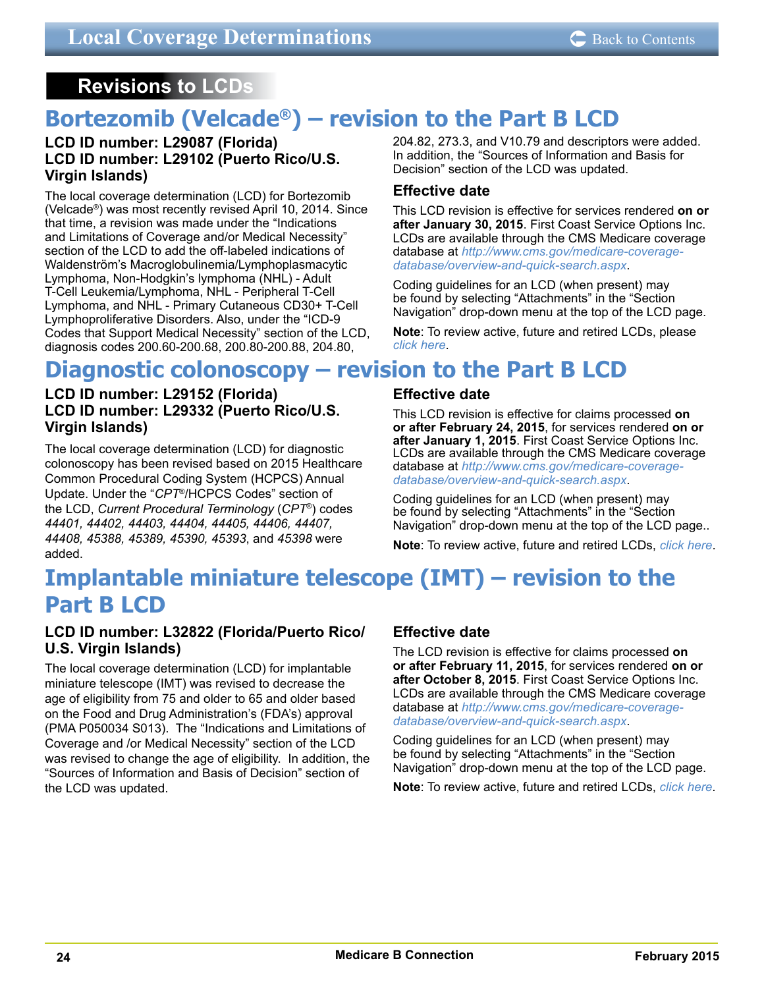## <span id="page-23-0"></span>**Revisions to LCDs**

# **Bortezomib (Velcade®) – revision to the Part B LCD**

### **LCD ID number: L29087 (Florida) LCD ID number: L29102 (Puerto Rico/U.S. Virgin Islands)**

The local coverage determination (LCD) for Bortezomib (Velcade®) was most recently revised April 10, 2014. Since that time, a revision was made under the "Indications and Limitations of Coverage and/or Medical Necessity" section of the LCD to add the off-labeled indications of Waldenström's Macroglobulinemia/Lymphoplasmacytic Lymphoma, Non-Hodgkin's lymphoma (NHL) - Adult T-Cell Leukemia/Lymphoma, NHL - Peripheral T-Cell Lymphoma, and NHL - Primary Cutaneous CD30+ T-Cell Lymphoproliferative Disorders. Also, under the "ICD-9 Codes that Support Medical Necessity" section of the LCD, diagnosis codes 200.60-200.68, 200.80-200.88, 204.80,

204.82, 273.3, and V10.79 and descriptors were added. In addition, the "Sources of Information and Basis for Decision" section of the LCD was updated.

## **Effective date**

This LCD revision is effective for services rendered **on or after January 30, 2015**. First Coast Service Options Inc. LCDs are available through the CMS Medicare coverage database at *[http://www.cms.gov/medicare-coverage](http://www.cms.gov/medicare-coverage-database/overview-and-quick-search.aspx)[database/overview-and-quick-search.aspx](http://www.cms.gov/medicare-coverage-database/overview-and-quick-search.aspx)*.

Coding guidelines for an LCD (when present) may be found by selecting "Attachments" in the "Section Navigation" drop-down menu at the top of the LCD page.

**Note**: To review active, future and retired LCDs, please *[click here](http://medicare.fcso.com/Coverage_Find_LCDs_and_NCDs/index.asp)*.

## **Diagnostic colonoscopy – revision to the Part B LCD**

### **LCD ID number: L29152 (Florida) LCD ID number: L29332 (Puerto Rico/U.S. Virgin Islands)**

The local coverage determination (LCD) for diagnostic colonoscopy has been revised based on 2015 Healthcare Common Procedural Coding System (HCPCS) Annual Update. Under the "*CPT*®/HCPCS Codes" section of the LCD, *Current Procedural Terminology* (*CPT*®) codes *44401, 44402, 44403, 44404, 44405, 44406, 44407, 44408, 45388, 45389, 45390, 45393*, and *45398* were added.

## **Effective date**

This LCD revision is effective for claims processed **on or after February 24, 2015**, for services rendered **on or after January 1, 2015**. First Coast Service Options Inc. LCDs are available through the CMS Medicare coverage database at *[http://www.cms.gov/medicare-coverage](http://www.cms.gov/medicare-coverage-database/overview-and-quick-search.aspx)[database/overview-and-quick-search.aspx](http://www.cms.gov/medicare-coverage-database/overview-and-quick-search.aspx)*.

Coding guidelines for an LCD (when present) may be found by selecting "Attachments" in the "Section Navigation" drop-down menu at the top of the LCD page..

**Note**: To review active, future and retired LCDs, *[click here](http://medicare.fcso.com/Coverage_Find_LCDs_and_NCDs/index.asp)*.

## **Implantable miniature telescope (IMT) – revision to the Part B LCD**

## **LCD ID number: L32822 (Florida/Puerto Rico/ U.S. Virgin Islands)**

The local coverage determination (LCD) for implantable miniature telescope (IMT) was revised to decrease the age of eligibility from 75 and older to 65 and older based on the Food and Drug Administration's (FDA's) approval (PMA P050034 S013). The "Indications and Limitations of Coverage and /or Medical Necessity" section of the LCD was revised to change the age of eligibility. In addition, the "Sources of Information and Basis of Decision" section of the LCD was updated.

## **Effective date**

The LCD revision is effective for claims processed **on or after February 11, 2015**, for services rendered **on or after October 8, 2015**. First Coast Service Options Inc. LCDs are available through the CMS Medicare coverage database at *[http://www.cms.gov/medicare-coverage](http://www.cms.gov/medicare-coverage-database/overview-and-quick-search.aspx)[database/overview-and-quick-search.aspx](http://www.cms.gov/medicare-coverage-database/overview-and-quick-search.aspx)*.

Coding guidelines for an LCD (when present) may be found by selecting "Attachments" in the "Section Navigation" drop-down menu at the top of the LCD page.

**Note**: To review active, future and retired LCDs, *[click here](http://medicare.fcso.com/Coverage_Find_LCDs_and_NCDs/index.asp)*.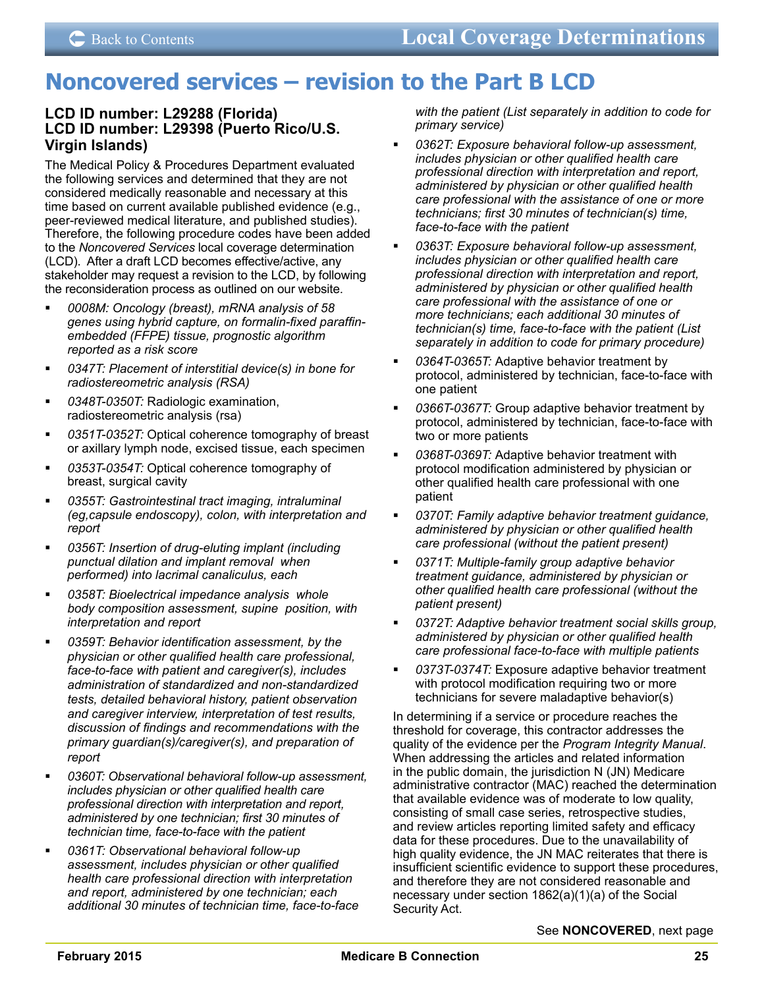## <span id="page-24-0"></span>**Noncovered services – revision to the Part B LCD**

## **LCD ID number: L29288 (Florida) LCD ID number: L29398 (Puerto Rico/U.S. Virgin Islands)**

The Medical Policy & Procedures Department evaluated the following services and determined that they are not considered medically reasonable and necessary at this time based on current available published evidence (e.g., peer-reviewed medical literature, and published studies). Therefore, the following procedure codes have been added to the *Noncovered Services* local coverage determination (LCD). After a draft LCD becomes effective/active, any stakeholder may request a revision to the LCD, by following the reconsideration process as outlined on our website.

- *0008M: Oncology (breast), mRNA analysis of 58 genes using hybrid capture, on formalin-fixed paraffinembedded (FFPE) tissue, prognostic algorithm reported as a risk score*
- *0347T: Placement of interstitial device(s) in bone for radiostereometric analysis (RSA)*
- *0348T-0350T:* Radiologic examination, radiostereometric analysis (rsa)
- *0351T-0352T:* Optical coherence tomography of breast or axillary lymph node, excised tissue, each specimen
- *0353T-0354T:* Optical coherence tomography of breast, surgical cavity
- *0355T: Gastrointestinal tract imaging, intraluminal (eg,capsule endoscopy), colon, with interpretation and report*
- *0356T: Insertion of drug-eluting implant (including punctual dilation and implant removal when performed) into lacrimal canaliculus, each*
- *0358T: Bioelectrical impedance analysis whole body composition assessment, supine position, with interpretation and report*
- *0359T: Behavior identification assessment, by the physician or other qualified health care professional, face-to-face with patient and caregiver(s), includes administration of standardized and non-standardized tests, detailed behavioral history, patient observation and caregiver interview, interpretation of test results, discussion of findings and recommendations with the primary guardian(s)/caregiver(s), and preparation of report*
- *0360T: Observational behavioral follow-up assessment, includes physician or other qualified health care professional direction with interpretation and report, administered by one technician; first 30 minutes of technician time, face-to-face with the patient*
- *0361T: Observational behavioral follow-up assessment, includes physician or other qualified health care professional direction with interpretation and report, administered by one technician; each additional 30 minutes of technician time, face-to-face*

*with the patient (List separately in addition to code for primary service)*

- *0362T: Exposure behavioral follow-up assessment, includes physician or other qualified health care professional direction with interpretation and report, administered by physician or other qualified health care professional with the assistance of one or more technicians; first 30 minutes of technician(s) time, face-to-face with the patient*
- *0363T: Exposure behavioral follow-up assessment, includes physician or other qualified health care professional direction with interpretation and report, administered by physician or other qualified health care professional with the assistance of one or more technicians; each additional 30 minutes of technician(s) time, face-to-face with the patient (List separately in addition to code for primary procedure)*
- *0364T-0365T:* Adaptive behavior treatment by protocol, administered by technician, face-to-face with one patient
- *0366T-0367T:* Group adaptive behavior treatment by protocol, administered by technician, face-to-face with two or more patients
- *0368T-0369T:* Adaptive behavior treatment with protocol modification administered by physician or other qualified health care professional with one patient
- *0370T: Family adaptive behavior treatment guidance, administered by physician or other qualified health care professional (without the patient present)*
- *0371T: Multiple-family group adaptive behavior treatment guidance, administered by physician or other qualified health care professional (without the patient present)*
- *0372T: Adaptive behavior treatment social skills group, administered by physician or other qualified health care professional face-to-face with multiple patients*
- *0373T-0374T:* Exposure adaptive behavior treatment with protocol modification requiring two or more technicians for severe maladaptive behavior(s)

In determining if a service or procedure reaches the threshold for coverage, this contractor addresses the quality of the evidence per the *Program Integrity Manual*. When addressing the articles and related information in the public domain, the jurisdiction N (JN) Medicare administrative contractor (MAC) reached the determination that available evidence was of moderate to low quality, consisting of small case series, retrospective studies, and review articles reporting limited safety and efficacy data for these procedures. Due to the unavailability of high quality evidence, the JN MAC reiterates that there is insufficient scientific evidence to support these procedures, and therefore they are not considered reasonable and necessary under section 1862(a)(1)(a) of the Social Security Act.

See **NONCOVERED**, next page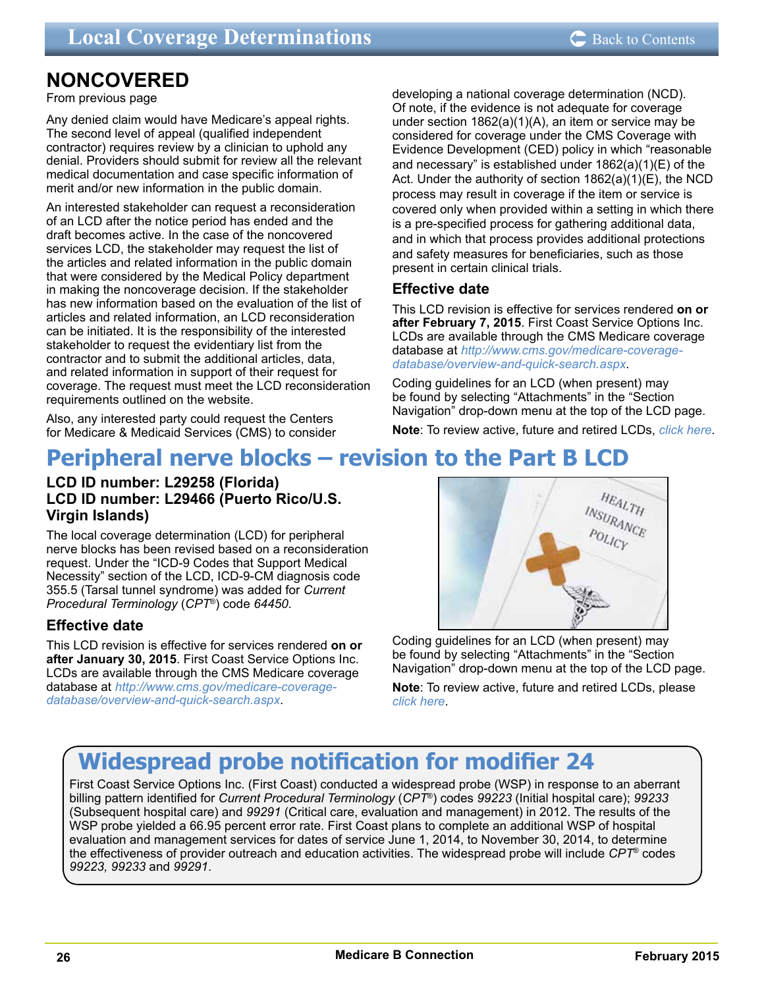# <span id="page-25-0"></span>**NONCOVERED**<br>From previous page

Any denied claim would have Medicare's appeal rights. The second level of appeal (qualified independent contractor) requires review by a clinician to uphold any denial. Providers should submit for review all the relevant medical documentation and case specific information of merit and/or new information in the public domain.

An interested stakeholder can request a reconsideration of an LCD after the notice period has ended and the draft becomes active. In the case of the noncovered services LCD, the stakeholder may request the list of the articles and related information in the public domain that were considered by the Medical Policy department in making the noncoverage decision. If the stakeholder has new information based on the evaluation of the list of articles and related information, an LCD reconsideration can be initiated. It is the responsibility of the interested stakeholder to request the evidentiary list from the contractor and to submit the additional articles, data, and related information in support of their request for coverage. The request must meet the LCD reconsideration requirements outlined on the website.

Also, any interested party could request the Centers for Medicare & Medicaid Services (CMS) to consider developing a national coverage determination (NCD). Of note, if the evidence is not adequate for coverage under section 1862(a)(1)(A), an item or service may be considered for coverage under the CMS Coverage with Evidence Development (CED) policy in which "reasonable and necessary" is established under 1862(a)(1)(E) of the Act. Under the authority of section 1862(a)(1)(E), the NCD process may result in coverage if the item or service is covered only when provided within a setting in which there is a pre-specified process for gathering additional data, and in which that process provides additional protections and safety measures for beneficiaries, such as those present in certain clinical trials.

## **Effective date**

This LCD revision is effective for services rendered **on or after February 7, 2015**. First Coast Service Options Inc. LCDs are available through the CMS Medicare coverage database at *[http://www.cms.gov/medicare-coverage](http://www.cms.gov/medicare-coverage-database/overview-and-quick-search.aspx)[database/overview-and-quick-search.aspx](http://www.cms.gov/medicare-coverage-database/overview-and-quick-search.aspx)*.

Coding guidelines for an LCD (when present) may be found by selecting "Attachments" in the "Section Navigation" drop-down menu at the top of the LCD page.

**Note**: To review active, future and retired LCDs, *[click here](http://medicare.fcso.com/Coverage_Find_LCDs_and_NCDs/index.asp)*.

# **Peripheral nerve blocks – revision to the Part B LCD**

### **LCD ID number: L29258 (Florida) LCD ID number: L29466 (Puerto Rico/U.S. Virgin Islands)**

The local coverage determination (LCD) for peripheral nerve blocks has been revised based on a reconsideration request. Under the "ICD-9 Codes that Support Medical Necessity" section of the LCD, ICD-9-CM diagnosis code 355.5 (Tarsal tunnel syndrome) was added for *Current Procedural Terminology* (*CPT*®) code *64450*.

## **Effective date**

This LCD revision is effective for services rendered **on or after January 30, 2015**. First Coast Service Options Inc. LCDs are available through the CMS Medicare coverage database at *[http://www.cms.gov/medicare-coverage](http://www.cms.gov/medicare-coverage-database/overview-and-quick-search.aspx)[database/overview-and-quick-search.aspx](http://www.cms.gov/medicare-coverage-database/overview-and-quick-search.aspx)*.



Coding guidelines for an LCD (when present) may be found by selecting "Attachments" in the "Section Navigation" drop-down menu at the top of the LCD page.

**Note**: To review active, future and retired LCDs, please *[click here](http://medicare.fcso.com/Coverage_Find_LCDs_and_NCDs/index.asp)*.

# **Widespread probe notification for modifier 24**

First Coast Service Options Inc. (First Coast) conducted a widespread probe (WSP) in response to an aberrant billing pattern identified for *Current Procedural Terminology* (*CPT*®) codes *99223* (Initial hospital care); *99233* (Subsequent hospital care) and *99291* (Critical care, evaluation and management) in 2012. The results of the WSP probe yielded a 66.95 percent error rate. First Coast plans to complete an additional WSP of hospital evaluation and management services for dates of service June 1, 2014, to November 30, 2014, to determine the effectiveness of provider outreach and education activities. The widespread probe will include *CPT*® codes *99223, 99233* and *99291*.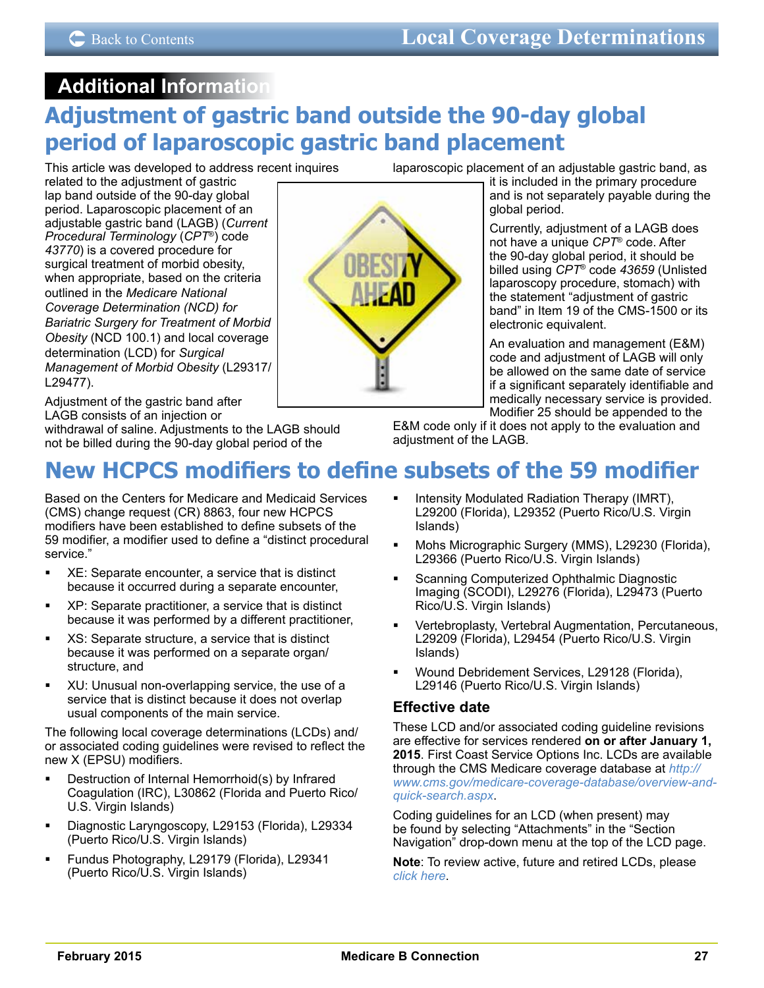## <span id="page-26-0"></span>**Additional Information Adjustment of gastric band outside the 90-day global period of laparoscopic gastric band placement**

This article was developed to address recent inquires

related to the adjustment of gastric lap band outside of the 90-day global period. Laparoscopic placement of an adjustable gastric band (LAGB) (*Current Procedural Terminology* (*CPT*®) code *43770*) is a covered procedure for surgical treatment of morbid obesity, when appropriate, based on the criteria outlined in the *Medicare National Coverage Determination (NCD) for Bariatric Surgery for Treatment of Morbid Obesity* (NCD 100.1) and local coverage determination (LCD) for *Surgical Management of Morbid Obesity* (L29317/ L29477).

Adjustment of the gastric band after LAGB consists of an injection or

withdrawal of saline. Adjustments to the LAGB should not be billed during the 90-day global period of the

laparoscopic placement of an adjustable gastric band, as

it is included in the primary procedure and is not separately payable during the global period.

Currently, adjustment of a LAGB does not have a unique *CPT*® code. After the 90-day global period, it should be billed using *CPT*® code *43659* (Unlisted laparoscopy procedure, stomach) with the statement "adjustment of gastric band" in Item 19 of the CMS-1500 or its electronic equivalent.

An evaluation and management (E&M) code and adjustment of LAGB will only be allowed on the same date of service if a significant separately identifiable and medically necessary service is provided. Modifier 25 should be appended to the

E&M code only if it does not apply to the evaluation and adjustment of the LAGB.

# **New HCPCS modifiers to define subsets of the 59 modifier**

Based on the Centers for Medicare and Medicaid Services (CMS) change request (CR) 8863, four new HCPCS modifiers have been established to define subsets of the 59 modifier, a modifier used to define a "distinct procedural service."

- XE: Separate encounter, a service that is distinct because it occurred during a separate encounter,
- XP: Separate practitioner, a service that is distinct because it was performed by a different practitioner,
- XS: Separate structure, a service that is distinct because it was performed on a separate organ/ structure, and
- **XU: Unusual non-overlapping service, the use of a** service that is distinct because it does not overlap usual components of the main service.

The following local coverage determinations (LCDs) and/ or associated coding guidelines were revised to reflect the new X (EPSU) modifiers.

- **Destruction of Internal Hemorrhoid(s) by Infrared** Coagulation (IRC), L30862 (Florida and Puerto Rico/ U.S. Virgin Islands)
- Diagnostic Laryngoscopy, L29153 (Florida), L29334 (Puerto Rico/U.S. Virgin Islands)
- Fundus Photography, L29179 (Florida), L29341 (Puerto Rico/U.S. Virgin Islands)
- Intensity Modulated Radiation Therapy (IMRT), L29200 (Florida), L29352 (Puerto Rico/U.S. Virgin Islands)
- Mohs Micrographic Surgery (MMS), L29230 (Florida), L29366 (Puerto Rico/U.S. Virgin Islands)
- Scanning Computerized Ophthalmic Diagnostic Imaging (SCODI), L29276 (Florida), L29473 (Puerto Rico/U.S. Virgin Islands)
- Vertebroplasty, Vertebral Augmentation, Percutaneous, L29209 (Florida), L29454 (Puerto Rico/U.S. Virgin Islands)
- Wound Debridement Services, L29128 (Florida), L29146 (Puerto Rico/U.S. Virgin Islands)

## **Effective date**

These LCD and/or associated coding guideline revisions are effective for services rendered **on or after January 1, 2015**. First Coast Service Options Inc. LCDs are available through the CMS Medicare coverage database at *[http://](http://www.cms.gov/medicare-coverage-database/overview-and-quick-search.aspx) [www.cms.gov/medicare-coverage-database/overview-and](http://www.cms.gov/medicare-coverage-database/overview-and-quick-search.aspx)[quick-search.aspx](http://www.cms.gov/medicare-coverage-database/overview-and-quick-search.aspx)*.

Coding guidelines for an LCD (when present) may be found by selecting "Attachments" in the "Section Navigation" drop-down menu at the top of the LCD page.

**Note**: To review active, future and retired LCDs, please *[click here](http://medicare.fcso.com/Coverage_Find_LCDs_and_NCDs/index.asp)*.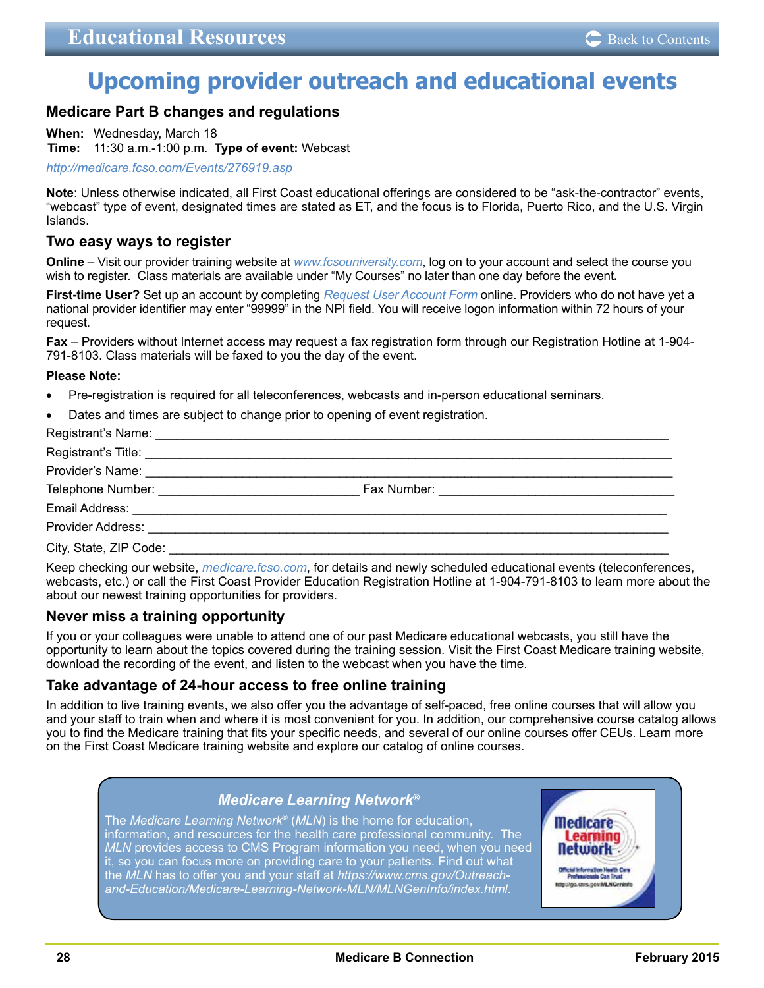## <span id="page-27-0"></span>**Upcoming provider outreach and educational events**

### **Medicare Part B changes and regulations**

**When:** Wednesday, March 18

**Time:** 11:30 a.m.-1:00 p.m. **Type of event:** Webcast

*<http://medicare.fcso.com/Events/276919.asp>*

**Note**: Unless otherwise indicated, all First Coast educational offerings are considered to be "ask-the-contractor" events, "webcast" type of event, designated times are stated as ET, and the focus is to Florida, Puerto Rico, and the U.S. Virgin Islands.

### **Two easy ways to register**

**Online** – Visit our provider training website at *[www.fcsouniversity.com](https://gm1.geolearning.com/geonext/fcso/dynamicopensite.geo?id=nAbqEz2j88oHjJBuLrEsYkrAtQ%2fShdV4dS7eFK7zp3A%3d)*, log on to your account and select the course you wish to register. Class materials are available under "My Courses" no later than one day before the event**.** 

**First-time User?** Set up an account by completing *[Request User Account Form](https://gm1.geolearning.com/geonext/fcso/requestaccount.geo)* online. Providers who do not have yet a national provider identifier may enter "99999" in the NPI field. You will receive logon information within 72 hours of your request.

**Fax** – Providers without Internet access may request a fax registration form through our Registration Hotline at 1-904- 791-8103. Class materials will be faxed to you the day of the event.

#### **Please Note:**

- Pre-registration is required for all teleconferences, webcasts and in-person educational seminars.
- Dates and times are subject to change prior to opening of event registration.

Keep checking our website, *[medicare.fcso.com](http://medicare.fcso.com/)*, for details and newly scheduled educational events (teleconferences, webcasts, etc.) or call the First Coast Provider Education Registration Hotline at 1-904-791-8103 to learn more about the about our newest training opportunities for providers.

### **Never miss a training opportunity**

If you or your colleagues were unable to attend one of our past Medicare educational webcasts, you still have the opportunity to learn about the topics covered during the training session. Visit the First Coast Medicare training website, download the recording of the event, and listen to the webcast when you have the time.

### **Take advantage of 24-hour access to free online training**

In addition to live training events, we also offer you the advantage of self-paced, free online courses that will allow you and your staff to train when and where it is most convenient for you. In addition, our comprehensive course catalog allows you to find the Medicare training that fits your specific needs, and several of our online courses offer CEUs. Learn more on the First Coast Medicare training website and explore our catalog of online courses.

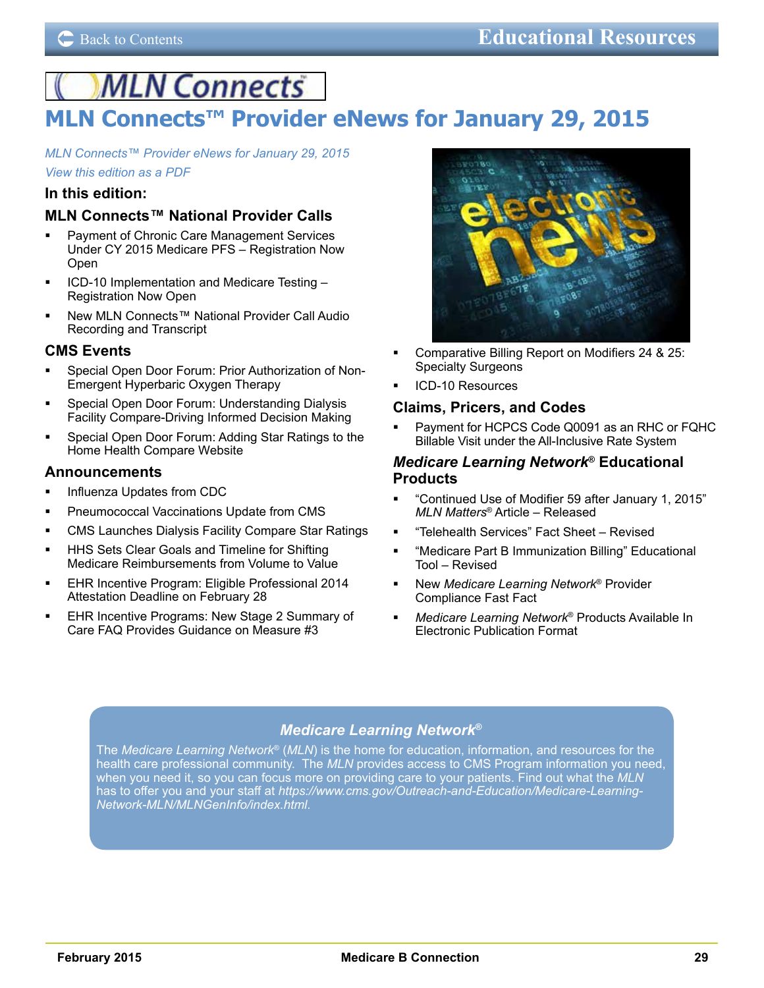# <span id="page-28-0"></span>**MLN Connects**

# **MLN Connects™ Provider eNews for January 29, 2015**

*[MLN Connects™ Provider eNews for January 29, 2015](http://www.cms.gov/Outreach-and-Education/Outreach/FFSProvPartProg/Provider-Partnership-Email-Archive-Items/2015-01-29-eNews.html)*

*[View this edition as a PDF](http://www.cms.gov/Outreach-and-Education/Outreach/FFSProvPartProg/Downloads/2015-01-29-Message.pdf)*

## **In this edition:**

## **MLN Connects™ National Provider Calls**

- Payment of Chronic Care Management Services Under CY 2015 Medicare PFS – Registration Now Open
- ICD-10 Implementation and Medicare Testing Registration Now Open
- New MLN Connects™ National Provider Call Audio Recording and Transcript

### **CMS Events**

- Special Open Door Forum: Prior Authorization of Non-Emergent Hyperbaric Oxygen Therapy
- **Special Open Door Forum: Understanding Dialysis** Facility Compare-Driving Informed Decision Making
- Special Open Door Forum: Adding Star Ratings to the Home Health Compare Website

### **Announcements**

- **Influenza Updates from CDC**
- Pneumococcal Vaccinations Update from CMS
- CMS Launches Dialysis Facility Compare Star Ratings
- HHS Sets Clear Goals and Timeline for Shifting Medicare Reimbursements from Volume to Value
- EHR Incentive Program: Eligible Professional 2014 Attestation Deadline on February 28
- EHR Incentive Programs: New Stage 2 Summary of Care FAQ Provides Guidance on Measure #3



- Comparative Billing Report on Modifiers 24 & 25: Specialty Surgeons
- ICD-10 Resources

### **Claims, Pricers, and Codes**

 Payment for HCPCS Code Q0091 as an RHC or FQHC Billable Visit under the All-Inclusive Rate System

### *Medicare Learning Network***® Educational Products**

- "Continued Use of Modifier 59 after January 1, 2015" *MLN Matters*® Article – Released
- "Telehealth Services" Fact Sheet Revised
- "Medicare Part B Immunization Billing" Educational Tool – Revised
- New *Medicare Learning Network*® Provider Compliance Fast Fact
- *Medicare Learning Network*® Products Available In Electronic Publication Format

## *Medicare Learning Network***®**

The *Medicare Learning Network*® (*MLN*) is the home for education, information, and resources for the health care professional community. The *MLN* provides access to CMS Program information you need, when you need it, so you can focus more on providing care to your patients. Find out what the *MLN* has to offer you and your staff at *[https://www.cms.gov/Outreach-and-Education/Medicare-Learning-](https://www.cms.gov/Outreach-and-Education/Medicare-Learning-Network-MLN/MLNGenInfo/index.html)[Network-MLN/MLNGenInfo/index.html](https://www.cms.gov/Outreach-and-Education/Medicare-Learning-Network-MLN/MLNGenInfo/index.html)*.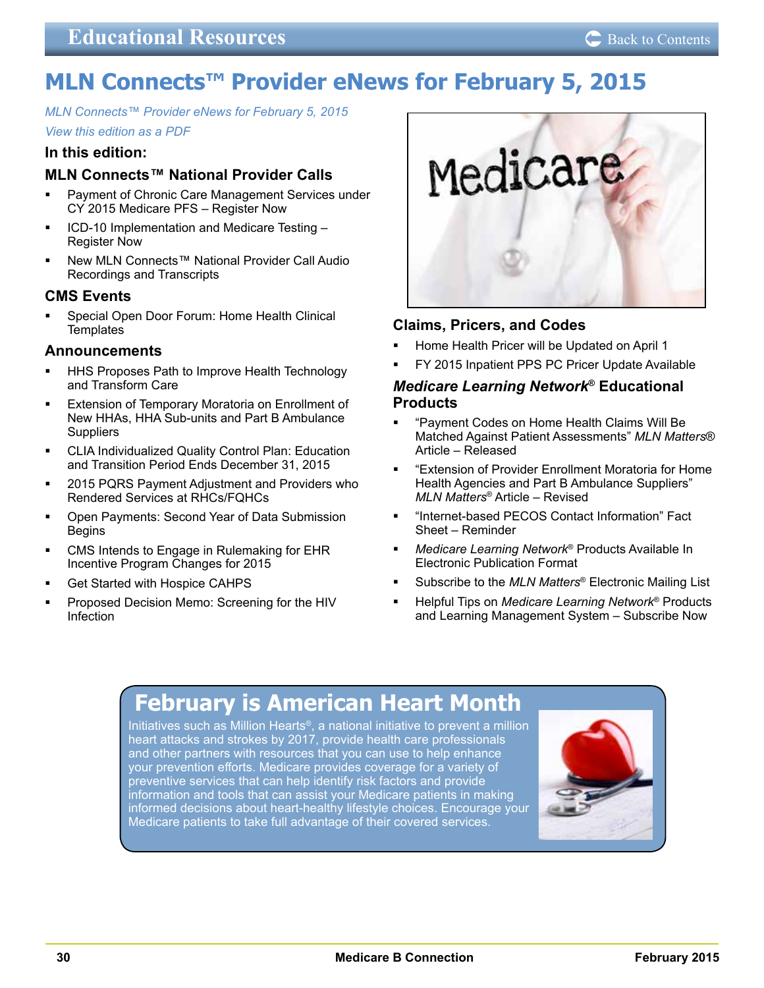# <span id="page-29-0"></span>**MLN Connects™ Provider eNews for February 5, 2015**

*[MLN Connects™ Provider eNews for February 5, 2015](http://www.cms.gov/Outreach-and-Education/Outreach/FFSProvPartProg/Provider-Partnership-Email-Archive-Items/2015-02-05-eNews.html?DLPage=1&DLSort=0&DLSortDir=descending) [View this edition as a PDF](http://links.govdelivery.com/track?type=click&enid=ZWFzPTEmbWFpbGluZ2lkPTIwMTUwMjA0LjQxMTU4MTAxJm1lc3NhZ2VpZD1NREItUFJELUJVTC0yMDE1MDIwNC40MTE1ODEwMSZkYXRhYmFzZWlkPTEwMDEmc2VyaWFsPTE3Mzc1NjA5JmVtYWlsaWQ9dGhvbWFzLnNtaXRoQGZjc28uY29tJnVzZXJpZD10aG9tYXMuc21pdGhAZmNzby5jb20mZmw9JmV4dHJhPU11bHRpdmFyaWF0ZUlkPSYmJg==&&&101&&&http://www.cms.gov/Outreach-and-Education/Outreach/FFSProvPartProg/Downloads/2015-02-05-eNews.pdf)*

### **In this edition:**

## **MLN Connects™ National Provider Calls**

- Payment of Chronic Care Management Services under CY 2015 Medicare PFS – Register Now
- ICD-10 Implementation and Medicare Testing Register Now
- New MLN Connects™ National Provider Call Audio Recordings and Transcripts

## **CMS Events**

 Special Open Door Forum: Home Health Clinical **Templates** 

### **Announcements**

- HHS Proposes Path to Improve Health Technology and Transform Care
- **Extension of Temporary Moratoria on Enrollment of** New HHAs, HHA Sub-units and Part B Ambulance **Suppliers**
- CLIA Individualized Quality Control Plan: Education and Transition Period Ends December 31, 2015
- 2015 PQRS Payment Adjustment and Providers who Rendered Services at RHCs/FQHCs
- Open Payments: Second Year of Data Submission Begins
- CMS Intends to Engage in Rulemaking for EHR Incentive Program Changes for 2015
- Get Started with Hospice CAHPS
- Proposed Decision Memo: Screening for the HIV Infection



## **Claims, Pricers, and Codes**

- Home Health Pricer will be Updated on April 1
- FY 2015 Inpatient PPS PC Pricer Update Available

## *Medicare Learning Network***® Educational Products**

- "Payment Codes on Home Health Claims Will Be Matched Against Patient Assessments" *MLN Matters*® Article – Released
- "Extension of Provider Enrollment Moratoria for Home Health Agencies and Part B Ambulance Suppliers" *MLN Matters*® Article – Revised
- "Internet-based PECOS Contact Information" Fact Sheet – Reminder
- *Medicare Learning Network*® Products Available In Electronic Publication Format
- Subscribe to the *MLN Matters*® Electronic Mailing List
- Helpful Tips on *Medicare Learning Network*® Products and Learning Management System – Subscribe Now

# **February is American Heart Month**

Initiatives such as [Million Hearts](http://millionhearts.hhs.gov/resources/toolkits.html)®, a national initiative to prevent a million heart attacks and strokes by 2017, provide health care professionals and other partners with resources that you can use to help enhance your prevention efforts. Medicare provides coverage for a variety of preventive services that can help identify risk factors and provide information and tools that can assist your Medicare patients in making informed decisions about heart-healthy lifestyle choices. Encourage your Medicare patients to take full advantage of their covered services.

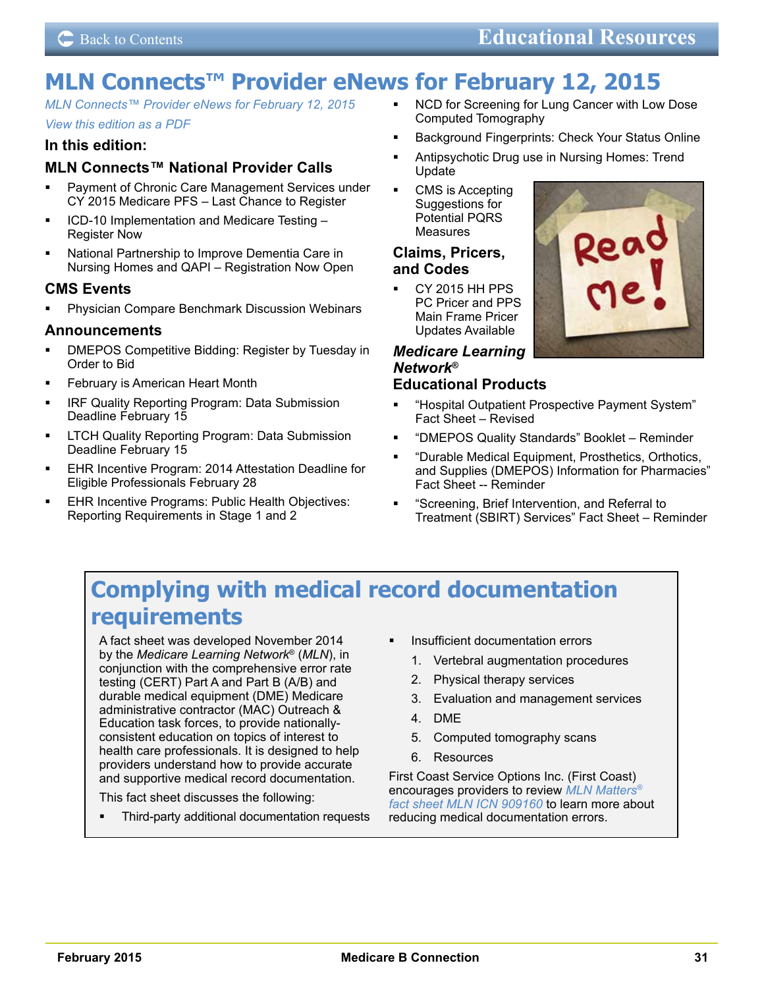# <span id="page-30-0"></span>**MLN Connects™ Provider eNews for February 12, 2015**

*[MLN Connects™ Provider eNews for February 12, 2015](http://www.cms.gov/Outreach-and-Education/Outreach/FFSProvPartProg/Provider-Partnership-Email-Archive-Items/2015-02-12-eNews.html?DLPage=1&DLSort=0&DLSortDir=descending) [View this edition as a PDF](http://www.cms.gov/Outreach-and-Education/Outreach/FFSProvPartProg/Downloads/2015-02-12-eNews-file.pdf)*

### **In this edition:**

## **MLN Connects™ National Provider Calls**

- **Payment of Chronic Care Management Services under** CY 2015 Medicare PFS – Last Chance to Register
- ICD-10 Implementation and Medicare Testing Register Now
- National Partnership to Improve Dementia Care in Nursing Homes and QAPI – Registration Now Open

### **CMS Events**

 Physician Compare Benchmark Discussion Webinars

### **Announcements**

- **-** DMEPOS Competitive Bidding: Register by Tuesday in Order to Bid
- February is American Heart Month
- IRF Quality Reporting Program: Data Submission Deadline February 15
- LTCH Quality Reporting Program: Data Submission Deadline February 15
- **EHR Incentive Program: 2014 Attestation Deadline for** Eligible Professionals February 28
- EHR Incentive Programs: Public Health Objectives: Reporting Requirements in Stage 1 and 2
- **NCD** for Screening for Lung Cancer with Low Dose Computed Tomography
- Background Fingerprints: Check Your Status Online
- Antipsychotic Drug use in Nursing Homes: Trend Update
- CMS is Accepting Suggestions for Potential PQRS Measures

### **Claims, Pricers, and Codes**

 CY 2015 HH PPS PC Pricer and PPS Main Frame Pricer Updates Available

#### *Medicare Learning Network***® Educational Products**

- "Hospital Outpatient Prospective Payment System" Fact Sheet – Revised
- "DMEPOS Quality Standards" Booklet Reminder
- "Durable Medical Equipment, Prosthetics, Orthotics, and Supplies (DMEPOS) Information for Pharmacies" Fact Sheet -- Reminder
- "Screening, Brief Intervention, and Referral to Treatment (SBIRT) Services" Fact Sheet – Reminder

# **Complying with medical record documentation requirements**

A fact sheet was developed November 2014 by the *Medicare Learning Network*® (*MLN*), in conjunction with the comprehensive error rate testing (CERT) Part A and Part B (A/B) and durable medical equipment (DME) Medicare administrative contractor (MAC) Outreach & Education task forces, to provide nationallyconsistent education on topics of interest to health care professionals. It is designed to help providers understand how to provide accurate and supportive medical record documentation.

This fact sheet discusses the following:

 Third-party additional documentation requests

- **Insufficient documentation errors** 
	- 1. Vertebral augmentation procedures
	- 2. Physical therapy services
	- 3. Evaluation and management services
	- 4. DME
	- 5. Computed tomography scans
	- 6. Resources

First Coast Service Options Inc. (First Coast) encourages providers to review *[MLN Matters®](http://www.cms.gov/Outreach-and-Education/Medicare-Learning-Network-MLN/MLNProducts/Downloads/CERTMedRecDoc-FactSheet-ICN909160.pdf) [fact sheet MLN ICN 909160](http://www.cms.gov/Outreach-and-Education/Medicare-Learning-Network-MLN/MLNProducts/Downloads/CERTMedRecDoc-FactSheet-ICN909160.pdf)* to learn more about reducing medical documentation errors.

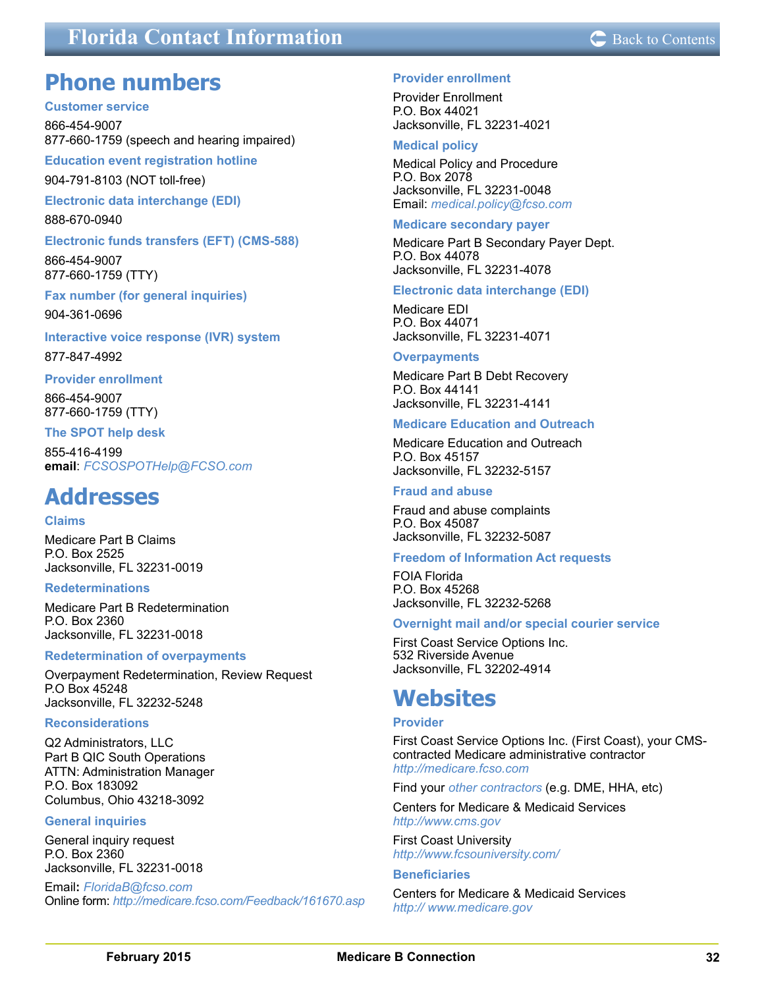## <span id="page-31-0"></span>**About The Medicare Back to Contact Information Department Contents**

## **Phone numbers**

#### **Customer service**

866-454-9007 877-660-1759 (speech and hearing impaired)

**Education event registration hotline**

904-791-8103 (NOT toll-free)

**Electronic data interchange (EDI)**

888-670-0940

#### **Electronic funds transfers (EFT) (CMS-588)**

866-454-9007 877-660-1759 (TTY)

**Fax number (for general inquiries)** 904-361-0696

**Interactive voice response (IVR) system**

877-847-4992

#### **Provider enrollment**

866-454-9007 877-660-1759 (TTY)

#### **The SPOT help desk**

855-416-4199 **email**: *[FCSOSPOTHelp@FCSO.com](mailto:FCSOSPOTHelp%40FCSO.com?subject=SPOT%20help%20desk)*

## **Addresses**

#### **Claims**

Medicare Part B Claims P.O. Box 2525 Jacksonville, FL 32231-0019

#### **Redeterminations**

Medicare Part B Redetermination P.O. Box 2360 Jacksonville, FL 32231-0018

#### **Redetermination of overpayments**

Overpayment Redetermination, Review Request P.O Box 45248 Jacksonville, FL 32232-5248

#### **Reconsiderations**

Q2 Administrators, LLC Part B QIC South Operations ATTN: Administration Manager P.O. Box 183092 Columbus, Ohio 43218-3092

#### **General inquiries**

General inquiry request P.O. Box 2360 Jacksonville, FL 32231-0018

Email**:** *[FloridaB@fcso.com](mailto:FloridaB%40fcso.com?subject=General%20inquiry)* Online form: *<http://medicare.fcso.com/Feedback/161670.asp>*

#### **Provider enrollment**

Provider Enrollment P.O. Box 44021 Jacksonville, FL 32231-4021

#### **Medical policy**

Medical Policy and Procedure P.O. Box 2078 Jacksonville, FL 32231-0048 Email: *[medical.policy@fcso.com](mailto:medical.policy@fcso.com)*

#### **Medicare secondary payer**

Medicare Part B Secondary Payer Dept. P.O. Box 44078 Jacksonville, FL 32231-4078

#### **Electronic data interchange (EDI)**

Medicare EDI P.O. Box 44071 Jacksonville, FL 32231-4071

#### **Overpayments**

Medicare Part B Debt Recovery P.O. Box 44141 Jacksonville, FL 32231-4141

#### **Medicare Education and Outreach**

Medicare Education and Outreach P.O. Box 45157 Jacksonville, FL 32232-5157

#### **Fraud and abuse**

Fraud and abuse complaints P.O. Box 45087 Jacksonville, FL 32232-5087

#### **Freedom of Information Act requests**

FOIA Florida P.O. Box 45268 Jacksonville, FL 32232-5268

#### **Overnight mail and/or special courier service**

First Coast Service Options Inc. 532 Riverside Avenue Jacksonville, FL 32202-4914

## **Websites**

#### **Provider**

First Coast Service Options Inc. (First Coast), your CMScontracted Medicare administrative contractor *<http://medicare.fcso.com>*

Find your *[other contractors](http://www.cms.gov/Research-Statistics-Data-and-Systems/Monitoring-Programs/provider-compliance-interactive-map/index.html)* (e.g. DME, HHA, etc)

Centers for Medicare & Medicaid Services *<http://www.cms.gov>*

First Coast University *<http://www.fcsouniversity.com/>*

#### **Beneficiaries**

Centers for Medicare & Medicaid Services *<http:// www.medicare.gov>*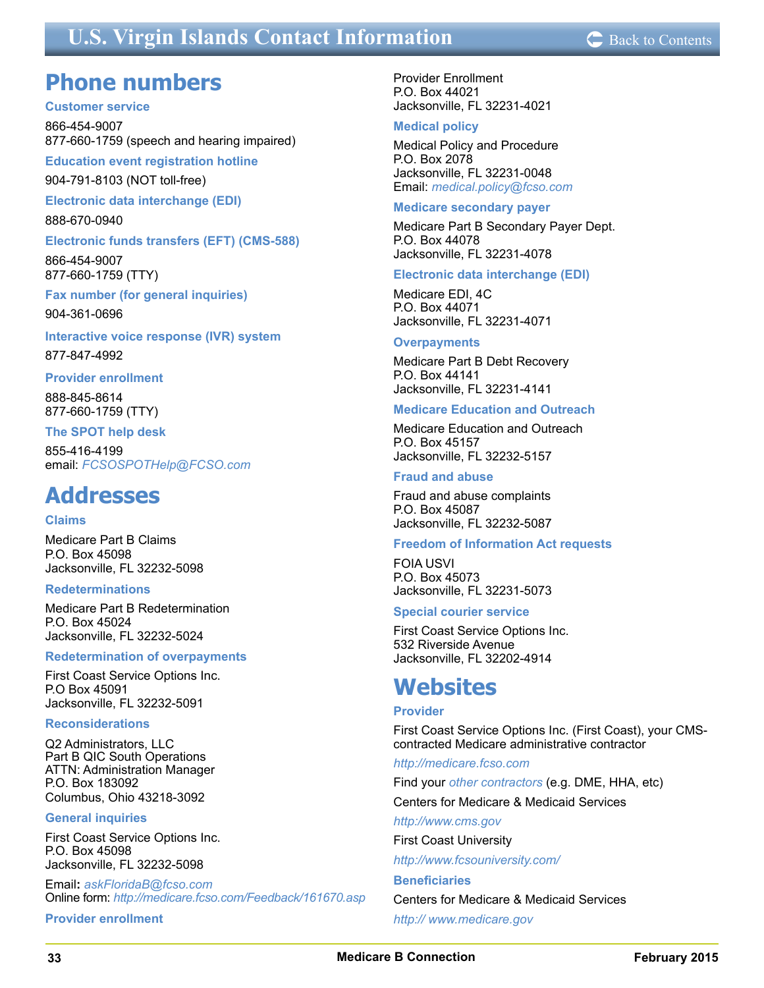## <span id="page-32-0"></span>**U.S. Virgin Islands Contact Information**  $\text{C}$  [Back to Contents](#page-1-0)



## **Phone numbers**

#### **Customer service**

866-454-9007 877-660-1759 (speech and hearing impaired)

**Education event registration hotline**

904-791-8103 (NOT toll-free)

**Electronic data interchange (EDI)**

888-670-0940

**Electronic funds transfers (EFT) (CMS-588)**

866-454-9007 877-660-1759 (TTY)

**Fax number (for general inquiries)**

904-361-0696

**Interactive voice response (IVR) system**

877-847-4992

#### **Provider enrollment**

888-845-8614 877-660-1759 (TTY)

**The SPOT help desk**

855-416-4199 email: *[FCSOSPOTHelp@FCSO.com](mailto:FCSOSPOTHelp%40FCSO.com?subject=SPOT%20help%20desk)*

## **Addresses**

#### **Claims**

Medicare Part B Claims P.O. Box 45098 Jacksonville, FL 32232-5098

#### **Redeterminations**

Medicare Part B Redetermination P.O. Box 45024 Jacksonville, FL 32232-5024

#### **Redetermination of overpayments**

First Coast Service Options Inc. P.O Box 45091 Jacksonville, FL 32232-5091

#### **Reconsiderations**

Q2 Administrators, LLC Part B QIC South Operations ATTN: Administration Manager P.O. Box 183092 Columbus, Ohio 43218-3092

#### **General inquiries**

First Coast Service Options Inc. P.O. Box 45098 Jacksonville, FL 32232-5098

Email**:** *ask[FloridaB@fcso.com](mailto:AskFloridaB@fcso.com)* Online form: *<http://medicare.fcso.com/Feedback/161670.asp>*

**Provider enrollment**

Provider Enrollment P.O. Box 44021 Jacksonville, FL 32231-4021

#### **Medical policy**

Medical Policy and Procedure P.O. Box 2078 Jacksonville, FL 32231-0048 Email: *[medical.policy@fcso.com](mailto:medical.policy@fcso.com)*

#### **Medicare secondary payer**

Medicare Part B Secondary Payer Dept. P.O. Box 44078 Jacksonville, FL 32231-4078

#### **Electronic data interchange (EDI)**

Medicare EDI, 4C P.O. Box 44071 Jacksonville, FL 32231-4071

#### **Overpayments**

Medicare Part B Debt Recovery P.O. Box 44141 Jacksonville, FL 32231-4141

### **Medicare Education and Outreach**

Medicare Education and Outreach P.O. Box 45157 Jacksonville, FL 32232-5157

#### **Fraud and abuse**

Fraud and abuse complaints P.O. Box 45087 Jacksonville, FL 32232-5087

#### **Freedom of Information Act requests**

FOIA USVI P.O. Box 45073 Jacksonville, FL 32231-5073

#### **Special courier service**

First Coast Service Options Inc. 532 Riverside Avenue Jacksonville, FL 32202-4914

## **Websites**

#### **Provider**

First Coast Service Options Inc. (First Coast), your CMScontracted Medicare administrative contractor

*<http://medicare.fcso.com>*

Find your *[other contractors](http://www.cms.gov/Research-Statistics-Data-and-Systems/Monitoring-Programs/provider-compliance-interactive-map/index.html)* (e.g. DME, HHA, etc)

Centers for Medicare & Medicaid Services

*<http://www.cms.gov>*

First Coast University

*<http://www.fcsouniversity.com/>*

**Beneficiaries** Centers for Medicare & Medicaid Services *[http:// www.medicare.gov](http://www.medicare.gov)*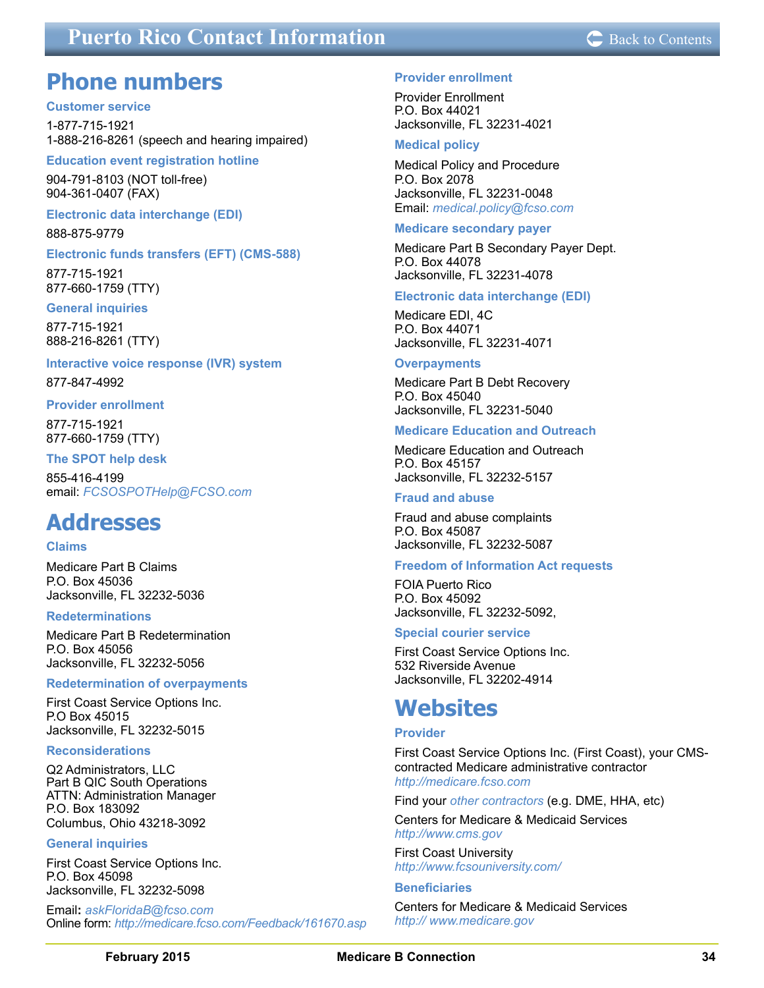## <span id="page-33-0"></span>**Puerto Rico Contact Information C** [Back to Contents](#page-1-0)

## **Phone numbers**

#### **Customer service**

1-877-715-1921 1-888-216-8261 (speech and hearing impaired)

#### **Education event registration hotline**

904-791-8103 (NOT toll-free) 904-361-0407 (FAX)

#### **Electronic data interchange (EDI)**

888-875-9779

#### **Electronic funds transfers (EFT) (CMS-588)**

877-715-1921 877-660-1759 (TTY)

**General inquiries** 877-715-1921 888-216-8261 (TTY)

#### **Interactive voice response (IVR) system**

877-847-4992

#### **Provider enrollment**

877-715-1921 877-660-1759 (TTY)

#### **The SPOT help desk**

855-416-4199 email: *[FCSOSPOTHelp@FCSO.com](mailto:FCSOSPOTHelp%40FCSO.com?subject=SPOT%20help%20desk)*

## **Addresses**

#### **Claims**

Medicare Part B Claims P.O. Box 45036 Jacksonville, FL 32232-5036

#### **Redeterminations**

Medicare Part B Redetermination P.O. Box 45056 Jacksonville, FL 32232-5056

#### **Redetermination of overpayments**

First Coast Service Options Inc. P.O Box 45015 Jacksonville, FL 32232-5015

#### **Reconsiderations**

Q2 Administrators, LLC Part B QIC South Operations ATTN: Administration Manager P.O. Box 183092 Columbus, Ohio 43218-3092

#### **General inquiries**

First Coast Service Options Inc. P.O. Box 45098 Jacksonville, FL 32232-5098

Email**:** *askF[loridaB@fcso.com](mailto:AskFloridaB@fcso.com)* Online form: *<http://medicare.fcso.com/Feedback/161670.asp>* Provider Enrollment P.O. Box 44021 Jacksonville, FL 32231-4021

#### **Medical policy**

Medical Policy and Procedure P.O. Box 2078 Jacksonville, FL 32231-0048 Email: *[medical.policy@fcso.com](mailto:medical.policy@fcso.com)*

#### **Medicare secondary payer**

Medicare Part B Secondary Payer Dept. P.O. Box 44078 Jacksonville, FL 32231-4078

#### **Electronic data interchange (EDI)**

Medicare EDI, 4C P.O. Box 44071 Jacksonville, FL 32231-4071

#### **Overpayments**

Medicare Part B Debt Recovery P.O. Box 45040 Jacksonville, FL 32231-5040

#### **Medicare Education and Outreach**

Medicare Education and Outreach P.O. Box 45157 Jacksonville, FL 32232-5157

#### **Fraud and abuse**

Fraud and abuse complaints P.O. Box 45087 Jacksonville, FL 32232-5087

#### **Freedom of Information Act requests**

FOIA Puerto Rico P.O. Box 45092 Jacksonville, FL 32232-5092,

#### **Special courier service**

First Coast Service Options Inc. 532 Riverside Avenue Jacksonville, FL 32202-4914

## **Websites**

#### **Provider**

First Coast Service Options Inc. (First Coast), your CMScontracted Medicare administrative contractor *<http://medicare.fcso.com>*

Find your *[other contractors](http://www.cms.gov/Research-Statistics-Data-and-Systems/Monitoring-Programs/provider-compliance-interactive-map/index.html)* (e.g. DME, HHA, etc)

Centers for Medicare & Medicaid Services *<http://www.cms.gov>*

First Coast University *<http://www.fcsouniversity.com/>*

#### **Beneficiaries**

Centers for Medicare & Medicaid Services *[http:// www.medicare.gov](http://www.medicare.gov)*